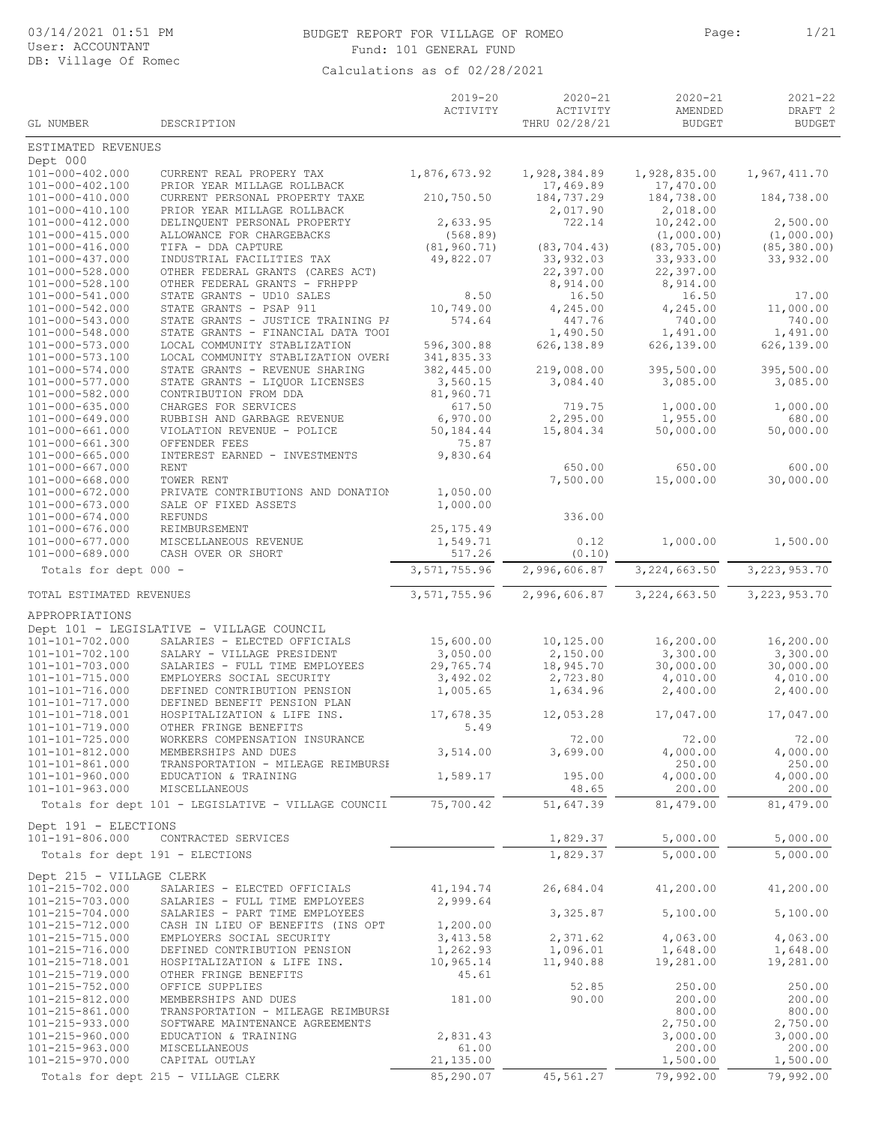### BUDGET REPORT FOR VILLAGE OF ROMEO Page: 1/21 Fund: 101 GENERAL FUND

|                                                    |                                                                    | $2019 - 20$<br>ACTIVITY   | $2020 - 21$<br>ACTIVITY   | $2020 - 21$<br>AMENDED     | $2021 - 22$<br>DRAFT <sub>2</sub> |
|----------------------------------------------------|--------------------------------------------------------------------|---------------------------|---------------------------|----------------------------|-----------------------------------|
| GL NUMBER                                          | DESCRIPTION                                                        |                           | THRU 02/28/21             | <b>BUDGET</b>              | <b>BUDGET</b>                     |
| ESTIMATED REVENUES                                 |                                                                    |                           |                           |                            |                                   |
| Dept 000<br>101-000-402.000                        | CURRENT REAL PROPERY TAX                                           | 1,876,673.92              | 1,928,384.89              | 1,928,835.00               | 1,967,411.70                      |
| 101-000-402.100                                    | PRIOR YEAR MILLAGE ROLLBACK                                        |                           | 17,469.89                 | 17,470.00                  |                                   |
| 101-000-410.000<br>101-000-410.100                 | CURRENT PERSONAL PROPERTY TAXE<br>PRIOR YEAR MILLAGE ROLLBACK      | 210,750.50                | 184,737.29<br>2,017.90    | 184,738.00<br>2,018.00     | 184,738.00                        |
| 101-000-412.000                                    | DELINQUENT PERSONAL PROPERTY                                       | 2,633.95                  | 722.14                    | 10,242.00                  | 2,500.00                          |
| $101 - 000 - 415.000$                              | ALLOWANCE FOR CHARGEBACKS                                          | (568.89)                  |                           | (1,000.00)                 | (1,000.00)                        |
| $101 - 000 - 416.000$<br>$101 - 000 - 437.000$     | TIFA - DDA CAPTURE<br>INDUSTRIAL FACILITIES TAX                    | (81, 960.71)<br>49,822.07 | (83, 704.43)<br>33,932.03 | (83, 705, 00)<br>33,933.00 | (85, 380.00)<br>33,932.00         |
| 101-000-528.000                                    | OTHER FEDERAL GRANTS (CARES ACT)                                   |                           | 22,397.00                 | 22,397.00                  |                                   |
| $101 - 000 - 528.100$                              | OTHER FEDERAL GRANTS - FRHPPP                                      |                           | 8,914.00                  | 8,914.00                   |                                   |
| 101-000-541.000<br>101-000-542.000                 | STATE GRANTS - UD10 SALES<br>STATE GRANTS - PSAP 911               | 8.50<br>10,749.00         | 16.50<br>4,245.00         | 16.50<br>4,245.00          | 17.00<br>11,000.00                |
| 101-000-543.000                                    | STATE GRANTS - JUSTICE TRAINING PI                                 | 574.64                    | 447.76                    | 740.00                     | 740.00                            |
| 101-000-548.000                                    | STATE GRANTS - FINANCIAL DATA TOOI                                 |                           | 1,490.50                  | 1,491.00                   | 1,491.00                          |
| 101-000-573.000<br>101-000-573.100                 | LOCAL COMMUNITY STABLIZATION<br>LOCAL COMMUNITY STABLIZATION OVERH | 596,300.88<br>341,835.33  | 626,138.89                | 626,139.00                 | 626,139.00                        |
| 101-000-574.000                                    | STATE GRANTS - REVENUE SHARING                                     | 382,445.00                | 219,008.00                | 395,500.00                 | 395,500.00                        |
| 101-000-577.000                                    | STATE GRANTS - LIQUOR LICENSES                                     | 3,560.15                  | 3,084.40                  | 3,085.00                   | 3,085.00                          |
| 101-000-582.000<br>$101 - 000 - 635.000$           | CONTRIBUTION FROM DDA<br>CHARGES FOR SERVICES                      | 81,960.71                 | 719.75                    |                            |                                   |
| $101 - 000 - 649.000$                              | RUBBISH AND GARBAGE REVENUE                                        | 617.50<br>6,970.00        | 2,295.00                  | 1,000.00<br>1,955.00       | 1,000.00<br>680.00                |
| 101-000-661.000                                    | VIOLATION REVENUE - POLICE                                         | 50,184.44                 | 15,804.34                 | 50,000.00                  | 50,000.00                         |
| $101 - 000 - 661.300$                              | OFFENDER FEES                                                      | 75.87                     |                           |                            |                                   |
| $101 - 000 - 665.000$<br>$101 - 000 - 667.000$     | INTEREST EARNED - INVESTMENTS<br><b>RENT</b>                       | 9,830.64                  | 650.00                    | 650.00                     | 600.00                            |
| $101 - 000 - 668.000$                              | TOWER RENT                                                         |                           | 7,500.00                  | 15,000.00                  | 30,000.00                         |
| $101 - 000 - 672.000$                              | PRIVATE CONTRIBUTIONS AND DONATION                                 | 1,050.00                  |                           |                            |                                   |
| 101-000-673.000<br>$101 - 000 - 674.000$           | SALE OF FIXED ASSETS<br><b>REFUNDS</b>                             | 1,000.00                  | 336.00                    |                            |                                   |
| $101 - 000 - 676.000$                              | REIMBURSEMENT                                                      | 25, 175.49                |                           |                            |                                   |
| $101 - 000 - 677.000$                              | MISCELLANEOUS REVENUE                                              | 1,549.71                  | 0.12                      | 1,000.00                   | 1,500.00                          |
| 101-000-689.000                                    | CASH OVER OR SHORT                                                 | 517.26                    | (0.10)                    |                            |                                   |
| Totals for dept 000 -                              |                                                                    | 3,571,755.96              | 2,996,606.87              | 3,224,663.50               | 3, 223, 953. 70                   |
| TOTAL ESTIMATED REVENUES                           |                                                                    | 3,571,755.96              | 2,996,606.87              | 3,224,663.50               | 3, 223, 953.70                    |
| APPROPRIATIONS                                     |                                                                    |                           |                           |                            |                                   |
|                                                    | Dept 101 - LEGISLATIVE - VILLAGE COUNCIL                           |                           |                           |                            |                                   |
| $101 - 101 - 702.000$<br>101-101-702.100           | SALARIES - ELECTED OFFICIALS<br>SALARY - VILLAGE PRESIDENT         | 15,600.00                 | 10,125.00                 | 16,200.00                  | 16,200.00<br>3,300.00             |
| 101-101-703.000                                    | SALARIES - FULL TIME EMPLOYEES                                     | 3,050.00<br>29,765.74     | 2,150.00<br>18,945.70     | 3,300.00<br>30,000.00      | 30,000.00                         |
| 101-101-715.000                                    | EMPLOYERS SOCIAL SECURITY                                          | 3,492.02                  | 2,723.80                  | 4,010.00                   | 4,010.00                          |
| 101-101-716.000                                    | DEFINED CONTRIBUTION PENSION                                       | 1,005.65                  | 1,634.96                  | 2,400.00                   | 2,400.00                          |
| 101-101-717.000<br>101-101-718.001                 | DEFINED BENEFIT PENSION PLAN<br>HOSPITALIZATION & LIFE INS.        | 17,678.35                 | 12,053.28                 | 17,047.00                  | 17,047.00                         |
| 101-101-719.000                                    | OTHER FRINGE BENEFITS                                              | 5.49                      |                           |                            |                                   |
| 101-101-725.000                                    | WORKERS COMPENSATION INSURANCE                                     |                           | 72.00                     | 72.00                      | 72.00                             |
| 101-101-812.000<br>101-101-861.000                 | MEMBERSHIPS AND DUES<br>TRANSPORTATION - MILEAGE REIMBURSH         | 3,514.00                  | 3,699.00                  | 4,000.00<br>250.00         | 4,000.00<br>250.00                |
| $101 - 101 - 960.000$                              | EDUCATION & TRAINING                                               | 1,589.17                  | 195.00                    | 4,000.00                   | 4,000.00                          |
| $101 - 101 - 963.000$                              | MISCELLANEOUS                                                      |                           | 48.65                     | 200.00                     | 200.00                            |
|                                                    | Totals for dept 101 - LEGISLATIVE - VILLAGE COUNCII                | 75,700.42                 | 51,647.39                 | 81,479.00                  | 81,479.00                         |
| Dept 191 - ELECTIONS                               |                                                                    |                           |                           |                            |                                   |
| 101-191-806.000<br>Totals for dept 191 - ELECTIONS | CONTRACTED SERVICES                                                |                           | 1,829.37<br>1,829.37      | 5,000.00<br>5,000.00       | 5,000.00<br>5,000.00              |
|                                                    |                                                                    |                           |                           |                            |                                   |
| Dept 215 - VILLAGE CLERK<br>101-215-702.000        | SALARIES - ELECTED OFFICIALS                                       | 41,194.74                 | 26,684.04                 | 41,200.00                  | 41,200.00                         |
| 101-215-703.000                                    | SALARIES - FULL TIME EMPLOYEES                                     | 2,999.64                  |                           |                            |                                   |
| 101-215-704.000                                    | SALARIES - PART TIME EMPLOYEES                                     |                           | 3,325.87                  | 5,100.00                   | 5,100.00                          |
| 101-215-712.000<br>101-215-715.000                 | CASH IN LIEU OF BENEFITS (INS OPT<br>EMPLOYERS SOCIAL SECURITY     | 1,200.00<br>3, 413.58     | 2,371.62                  | 4,063.00                   | 4,063.00                          |
| 101-215-716.000                                    | DEFINED CONTRIBUTION PENSION                                       | 1,262.93                  | 1,096.01                  | 1,648.00                   | 1,648.00                          |
| 101-215-718.001                                    | HOSPITALIZATION & LIFE INS.                                        | 10,965.14                 | 11,940.88                 | 19,281.00                  | 19,281.00                         |
| 101-215-719.000                                    | OTHER FRINGE BENEFITS                                              | 45.61                     |                           |                            |                                   |
| 101-215-752.000<br>101-215-812.000                 | OFFICE SUPPLIES<br>MEMBERSHIPS AND DUES                            | 181.00                    | 52.85<br>90.00            | 250.00<br>200.00           | 250.00<br>200.00                  |
| 101-215-861.000                                    | TRANSPORTATION - MILEAGE REIMBURSH                                 |                           |                           | 800.00                     | 800.00                            |
| 101-215-933.000                                    | SOFTWARE MAINTENANCE AGREEMENTS                                    |                           |                           | 2,750.00                   | 2,750.00                          |
| 101-215-960.000<br>101-215-963.000                 | EDUCATION & TRAINING<br>MISCELLANEOUS                              | 2,831.43<br>61.00         |                           | 3,000.00<br>200.00         | 3,000.00<br>200.00                |
| 101-215-970.000                                    | CAPITAL OUTLAY                                                     | 21,135.00                 |                           | 1,500.00                   | 1,500.00                          |
|                                                    | Totals for dept 215 - VILLAGE CLERK                                | 85,290.07                 | 45,561.27                 | 79,992.00                  | 79,992.00                         |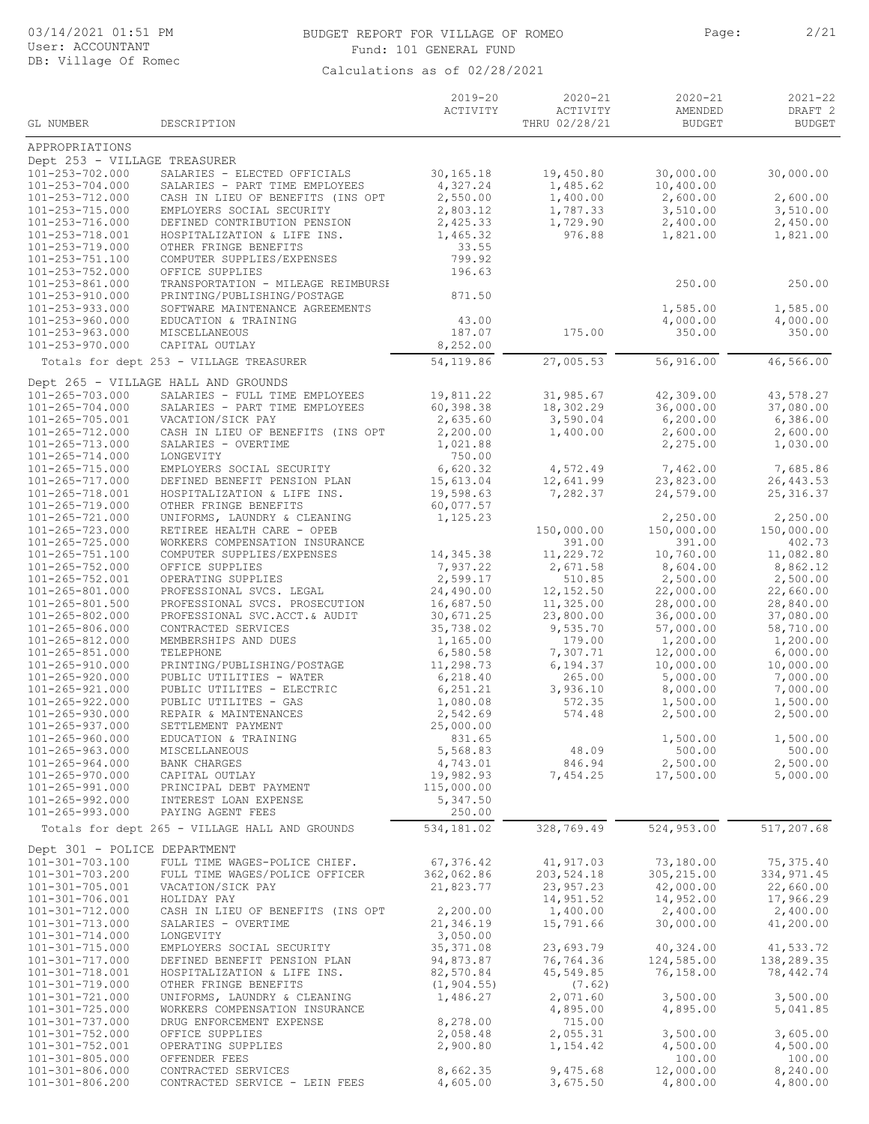### BUDGET REPORT FOR VILLAGE OF ROMEO Page: 2/21 Fund: 101 GENERAL FUND

| GL NUMBER                                | DESCRIPTION                                                    | $2019 - 20$<br>ACTIVITY | $2020 - 21$<br>ACTIVITY<br>THRU 02/28/21 | $2020 - 21$<br>AMENDED<br><b>BUDGET</b> | $2021 - 22$<br>DRAFT <sub>2</sub><br><b>BUDGET</b> |
|------------------------------------------|----------------------------------------------------------------|-------------------------|------------------------------------------|-----------------------------------------|----------------------------------------------------|
| APPROPRIATIONS                           |                                                                |                         |                                          |                                         |                                                    |
| Dept 253 - VILLAGE TREASURER             |                                                                |                         |                                          |                                         |                                                    |
| 101-253-702.000                          | SALARIES - ELECTED OFFICIALS                                   | 30,165.18               | 19,450.80                                | 30,000.00                               | 30,000.00                                          |
| 101-253-704.000                          | SALARIES - PART TIME EMPLOYEES                                 | 4,327.24                | 1,485.62                                 | 10,400.00                               |                                                    |
| 101-253-712.000<br>101-253-715.000       | CASH IN LIEU OF BENEFITS (INS OPT<br>EMPLOYERS SOCIAL SECURITY | 2,550.00<br>2,803.12    | 1,400.00<br>1,787.33                     | 2,600.00<br>3,510.00                    | 2,600.00<br>3,510.00                               |
| 101-253-716.000                          | DEFINED CONTRIBUTION PENSION                                   | 2,425.33                | 1,729.90                                 | 2,400.00                                | 2,450.00                                           |
| 101-253-718.001                          | HOSPITALIZATION & LIFE INS.                                    | 1,465.32                | 976.88                                   | 1,821.00                                | 1,821.00                                           |
| 101-253-719.000                          | OTHER FRINGE BENEFITS                                          | 33.55<br>799.92         |                                          |                                         |                                                    |
| 101-253-751.100<br>101-253-752.000       | COMPUTER SUPPLIES/EXPENSES<br>OFFICE SUPPLIES                  | 196.63                  |                                          |                                         |                                                    |
| 101-253-861.000                          | TRANSPORTATION - MILEAGE REIMBURSH                             |                         |                                          | 250.00                                  | 250.00                                             |
| 101-253-910.000                          | PRINTING/PUBLISHING/POSTAGE                                    | 871.50                  |                                          |                                         |                                                    |
| 101-253-933.000<br>101-253-960.000       | SOFTWARE MAINTENANCE AGREEMENTS<br>EDUCATION & TRAINING        | 43.00                   |                                          | 1,585.00<br>4,000.00                    | 1,585.00<br>4,000.00                               |
| 101-253-963.000                          | MISCELLANEOUS                                                  | 187.07                  | 175.00                                   | 350.00                                  | 350.00                                             |
| 101-253-970.000                          | CAPITAL OUTLAY                                                 | 8,252.00                |                                          |                                         |                                                    |
|                                          | Totals for dept 253 - VILLAGE TREASURER                        | 54,119.86               | 27,005.53                                | 56,916.00                               | 46,566.00                                          |
|                                          | Dept 265 - VILLAGE HALL AND GROUNDS                            |                         |                                          |                                         |                                                    |
| 101-265-703.000                          | SALARIES - FULL TIME EMPLOYEES                                 | 19,811.22               | 31,985.67                                | 42,309.00                               | 43,578.27                                          |
| 101-265-704.000<br>101-265-705.001       | SALARIES - PART TIME EMPLOYEES<br>VACATION/SICK PAY            | 60,398.38<br>2,635.60   | 18,302.29<br>3,590.04                    | 36,000.00<br>6,200.00                   | 37,080.00<br>6,386.00                              |
| $101 - 265 - 712.000$                    | CASH IN LIEU OF BENEFITS (INS OPT                              | 2,200.00                | 1,400.00                                 | 2,600.00                                | 2,600.00                                           |
| 101-265-713.000                          | SALARIES - OVERTIME                                            | 1,021.88                |                                          | 2,275.00                                | 1,030.00                                           |
| 101-265-714.000                          | LONGEVITY                                                      | 750.00<br>6,620.32      |                                          |                                         |                                                    |
| 101-265-715.000<br>101-265-717.000       | EMPLOYERS SOCIAL SECURITY<br>DEFINED BENEFIT PENSION PLAN      | 15,613.04               | 4,572.49<br>12,641.99                    | 7,462.00<br>23,823.00                   | 7,685.86<br>26, 443.53                             |
| 101-265-718.001                          | HOSPITALIZATION & LIFE INS.                                    | 19,598.63               | 7,282.37                                 | 24,579.00                               | 25, 316.37                                         |
| 101-265-719.000                          | OTHER FRINGE BENEFITS                                          | 60,077.57               |                                          |                                         |                                                    |
| 101-265-721.000<br>101-265-723.000       | UNIFORMS, LAUNDRY & CLEANING<br>RETIREE HEALTH CARE - OPEB     | 1,125.23                | 150,000.00                               | 2,250.00<br>150,000.00                  | 2,250.00<br>150,000.00                             |
| $101 - 265 - 725.000$                    | WORKERS COMPENSATION INSURANCE                                 |                         | 391.00                                   | 391.00                                  | 402.73                                             |
| 101-265-751.100                          | COMPUTER SUPPLIES/EXPENSES                                     | 14,345.38               | 11,229.72                                | 10,760.00                               | 11,082.80                                          |
| 101-265-752.000                          | OFFICE SUPPLIES                                                | 7,937.22<br>2,599.17    | 2,671.58                                 | 8,604.00                                | 8,862.12<br>2,500.00                               |
| 101-265-752.001<br>101-265-801.000       | OPERATING SUPPLIES<br>PROFESSIONAL SVCS. LEGAL                 | 24,490.00               | 510.85<br>12,152.50                      | 2,500.00<br>22,000.00                   | 22,660.00                                          |
| 101-265-801.500                          | PROFESSIONAL SVCS. PROSECUTION                                 | 16,687.50               | 11,325.00                                | 28,000.00                               | 28,840.00                                          |
| 101-265-802.000                          | PROFESSIONAL SVC.ACCT.& AUDIT                                  | 30,671.25               | 23,800.00                                | 36,000.00                               | 37,080.00                                          |
| 101-265-806.000<br>101-265-812.000       | CONTRACTED SERVICES<br>MEMBERSHIPS AND DUES                    | 35,738.02<br>1,165.00   | 9,535.70<br>179.00                       | 57,000.00<br>1,200.00                   | 58,710.00<br>1,200.00                              |
| $101 - 265 - 851.000$                    | TELEPHONE                                                      | 6,580.58                | 7,307.71                                 | 12,000.00                               | 6,000.00                                           |
| 101-265-910.000                          | PRINTING/PUBLISHING/POSTAGE                                    | 11,298.73               | 6,194.37                                 | 10,000.00                               | 10,000.00                                          |
| 101-265-920.000<br>101-265-921.000       | PUBLIC UTILITIES - WATER                                       | 6,218.40                | 265.00                                   | 5,000.00                                | 7,000.00                                           |
| 101-265-922.000                          | PUBLIC UTILITES - ELECTRIC<br>PUBLIC UTILITES - GAS            | 6, 251.21<br>1,080.08   | 3,936.10<br>572.35                       | 8,000.00<br>1,500.00                    | 7,000.00<br>1,500.00                               |
| $101 - 265 - 930.000$                    | REPAIR & MAINTENANCES                                          | 2,542.69                | 574.48                                   | 2,500.00                                | 2,500.00                                           |
| $101 - 265 - 937.000$                    | SETTLEMENT PAYMENT                                             | 25,000.00               |                                          |                                         |                                                    |
| 101-265-960.000<br>101-265-963.000       | EDUCATION & TRAINING<br>MISCELLANEOUS                          | 831.65<br>5,568.83      | 48.09                                    | 1,500.00<br>500.00                      | 1,500.00<br>500.00                                 |
| $101 - 265 - 964.000$                    | BANK CHARGES                                                   | 4,743.01                | 846.94                                   | 2,500.00                                | 2,500.00                                           |
| 101-265-970.000                          | CAPITAL OUTLAY                                                 | 19,982.93               | 7,454.25                                 | 17,500.00                               | 5,000.00                                           |
| 101-265-991.000                          | PRINCIPAL DEBT PAYMENT                                         | 115,000.00              |                                          |                                         |                                                    |
| 101-265-992.000<br>101-265-993.000       | INTEREST LOAN EXPENSE<br>PAYING AGENT FEES                     | 5,347.50<br>250.00      |                                          |                                         |                                                    |
|                                          | Totals for dept 265 - VILLAGE HALL AND GROUNDS                 | 534,181.02              | 328,769.49                               | 524,953.00                              | 517,207.68                                         |
| Dept 301 - POLICE DEPARTMENT             |                                                                |                         |                                          |                                         |                                                    |
| 101-301-703.100                          | FULL TIME WAGES-POLICE CHIEF.                                  | 67,376.42               | 41,917.03                                | 73,180.00                               | 75,375.40                                          |
| 101-301-703.200                          | FULL TIME WAGES/POLICE OFFICER                                 | 362,062.86              | 203,524.18                               | 305,215.00                              | 334,971.45                                         |
| 101-301-705.001<br>101-301-706.001       | VACATION/SICK PAY                                              | 21,823.77               | 23,957.23<br>14,951.52                   | 42,000.00<br>14,952.00                  | 22,660.00<br>17,966.29                             |
| 101-301-712.000                          | HOLIDAY PAY<br>CASH IN LIEU OF BENEFITS (INS OPT               | 2,200.00                | 1,400.00                                 | 2,400.00                                | 2,400.00                                           |
| 101-301-713.000                          | SALARIES - OVERTIME                                            | 21,346.19               | 15,791.66                                | 30,000.00                               | 41,200.00                                          |
| 101-301-714.000                          | LONGEVITY                                                      | 3,050.00                |                                          |                                         |                                                    |
| 101-301-715.000<br>101-301-717.000       | EMPLOYERS SOCIAL SECURITY<br>DEFINED BENEFIT PENSION PLAN      | 35, 371.08<br>94,873.87 | 23,693.79<br>76,764.36                   | 40,324.00<br>124,585.00                 | 41,533.72<br>138,289.35                            |
| 101-301-718.001                          | HOSPITALIZATION & LIFE INS.                                    | 82,570.84               | 45,549.85                                | 76,158.00                               | 78,442.74                                          |
| 101-301-719.000                          | OTHER FRINGE BENEFITS                                          | (1, 904.55)             | (7.62)                                   |                                         |                                                    |
| 101-301-721.000                          | UNIFORMS, LAUNDRY & CLEANING                                   | 1,486.27                | 2,071.60                                 | 3,500.00                                | 3,500.00                                           |
| $101 - 301 - 725.000$<br>101-301-737.000 | WORKERS COMPENSATION INSURANCE<br>DRUG ENFORCEMENT EXPENSE     | 8,278.00                | 4,895.00<br>715.00                       | 4,895.00                                | 5,041.85                                           |
| 101-301-752.000                          | OFFICE SUPPLIES                                                | 2,058.48                | 2,055.31                                 | 3,500.00                                | 3,605.00                                           |
| 101-301-752.001                          | OPERATING SUPPLIES                                             | 2,900.80                | 1,154.42                                 | 4,500.00                                | 4,500.00                                           |
| 101-301-805.000<br>101-301-806.000       | OFFENDER FEES<br>CONTRACTED SERVICES                           | 8,662.35                | 9,475.68                                 | 100.00<br>12,000.00                     | 100.00<br>8,240.00                                 |
| 101-301-806.200                          | CONTRACTED SERVICE - LEIN FEES                                 | 4,605.00                | 3,675.50                                 | 4,800.00                                | 4,800.00                                           |
|                                          |                                                                |                         |                                          |                                         |                                                    |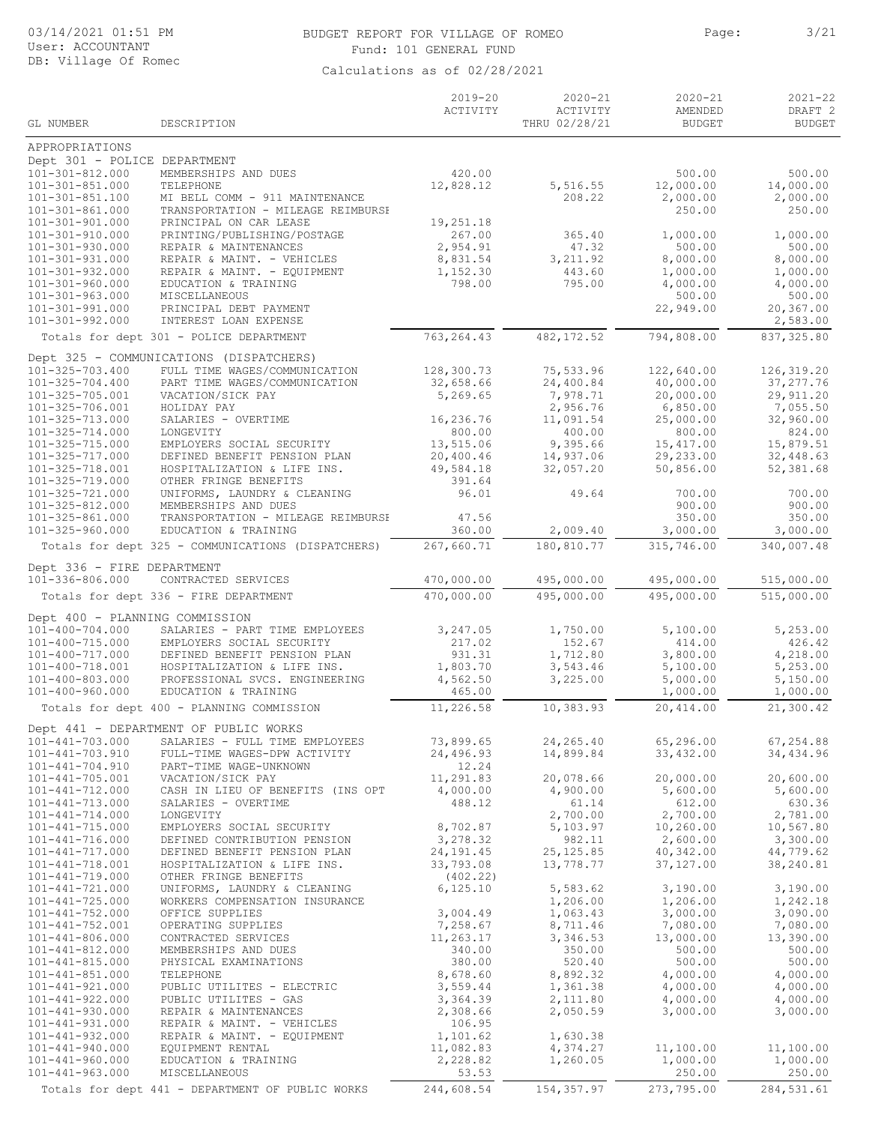# 03/14/2021 01:51 PM User: ACCOUNTANT DB: Village Of Romec

# BUDGET REPORT FOR VILLAGE OF ROMEO Page: 3/21 Fund: 101 GENERAL FUND

| GL NUMBER                                               | DESCRIPTION                                                             | $2019 - 20$<br>ACTIVITY | $2020 - 21$<br>ACTIVITY<br>THRU 02/28/21 | $2020 - 21$<br>AMENDED<br><b>BUDGET</b> | $2021 - 22$<br>DRAFT <sub>2</sub><br><b>BUDGET</b> |
|---------------------------------------------------------|-------------------------------------------------------------------------|-------------------------|------------------------------------------|-----------------------------------------|----------------------------------------------------|
|                                                         |                                                                         |                         |                                          |                                         |                                                    |
| APPROPRIATIONS                                          |                                                                         |                         |                                          |                                         |                                                    |
| Dept 301 - POLICE DEPARTMENT<br>101-301-812.000         | MEMBERSHIPS AND DUES                                                    | 420.00                  |                                          | 500.00                                  | 500.00                                             |
| $101 - 301 - 851.000$                                   | TELEPHONE                                                               | 12,828.12               | 5,516.55                                 | 12,000.00                               | 14,000.00                                          |
| $101 - 301 - 851.100$                                   | MI BELL COMM - 911 MAINTENANCE                                          |                         | 208.22                                   | 2,000.00                                | 2,000.00                                           |
| 101-301-861.000<br>$101 - 301 - 901.000$                | TRANSPORTATION - MILEAGE REIMBURSH<br>PRINCIPAL ON CAR LEASE            | 19,251.18               |                                          | 250.00                                  | 250.00                                             |
| 101-301-910.000                                         | PRINTING/PUBLISHING/POSTAGE                                             | 267.00                  | 365.40                                   | 1,000.00                                | 1,000.00                                           |
| $101 - 301 - 930.000$                                   | REPAIR & MAINTENANCES                                                   | 2,954.91                | 47.32                                    | 500.00                                  | 500.00                                             |
| 101-301-931.000<br>$101 - 301 - 932.000$                | REPAIR & MAINT. - VEHICLES<br>REPAIR & MAINT. - EQUIPMENT               | 8,831.54<br>1,152.30    | 3, 211.92                                | 8,000.00                                | 8,000.00                                           |
| 101-301-960.000                                         | EDUCATION & TRAINING                                                    | 798.00                  | 443.60<br>795.00                         | 1,000.00<br>4,000.00                    | 1,000.00<br>4,000.00                               |
| 101-301-963.000                                         | MISCELLANEOUS                                                           |                         |                                          | 500.00                                  | 500.00                                             |
| $101 - 301 - 991.000$                                   | PRINCIPAL DEBT PAYMENT                                                  |                         |                                          | 22,949.00                               | 20,367.00                                          |
| $101 - 301 - 992.000$                                   | INTEREST LOAN EXPENSE                                                   |                         |                                          |                                         | 2,583.00                                           |
|                                                         | Totals for dept 301 - POLICE DEPARTMENT                                 | 763, 264.43             | 482, 172.52                              | 794,808.00                              | 837, 325.80                                        |
|                                                         | Dept 325 - COMMUNICATIONS (DISPATCHERS)                                 |                         |                                          |                                         |                                                    |
| $101 - 325 - 703.400$<br>$101 - 325 - 704.400$          | FULL TIME WAGES/COMMUNICATION<br>PART TIME WAGES/COMMUNICATION          | 128,300.73<br>32,658.66 | 75,533.96<br>24,400.84                   | 122,640.00<br>40,000.00                 | 126, 319.20<br>37, 277.76                          |
| 101-325-705.001                                         | VACATION/SICK PAY                                                       | 5,269.65                | 7,978.71                                 | 20,000.00                               | 29,911.20                                          |
| 101-325-706.001                                         | HOLIDAY PAY                                                             |                         | 2,956.76                                 | 6,850.00                                | 7,055.50                                           |
| 101-325-713.000<br>$101 - 325 - 714.000$                | SALARIES - OVERTIME<br>LONGEVITY                                        | 16,236.76<br>800.00     | 11,091.54<br>400.00                      | 25,000.00<br>800.00                     | 32,960.00<br>824.00                                |
| 101-325-715.000                                         | EMPLOYERS SOCIAL SECURITY                                               | 13,515.06               | 9,395.66                                 | 15, 417.00                              | 15,879.51                                          |
| 101-325-717.000                                         | DEFINED BENEFIT PENSION PLAN                                            | 20,400.46               | 14,937.06                                | 29,233.00                               | 32,448.63                                          |
| $101 - 325 - 718.001$                                   | HOSPITALIZATION & LIFE INS.                                             | 49,584.18               | 32,057.20                                | 50,856.00                               | 52,381.68                                          |
| 101-325-719.000<br>101-325-721.000                      | OTHER FRINGE BENEFITS<br>UNIFORMS, LAUNDRY & CLEANING                   | 391.64<br>96.01         | 49.64                                    | 700.00                                  | 700.00                                             |
| 101-325-812.000                                         | MEMBERSHIPS AND DUES                                                    |                         |                                          | 900.00                                  | 900.00                                             |
| 101-325-861.000                                         | TRANSPORTATION - MILEAGE REIMBURSH                                      | 47.56                   |                                          | 350.00                                  | 350.00                                             |
| $101 - 325 - 960.000$                                   | EDUCATION & TRAINING                                                    | 360.00                  | 2,009.40                                 | 3,000.00                                | 3,000.00<br>340,007.48                             |
|                                                         | Totals for dept 325 - COMMUNICATIONS (DISPATCHERS)                      | 267,660.71              | 180,810.77                               | 315,746.00                              |                                                    |
| Dept 336 - FIRE DEPARTMENT<br>101-336-806.000           | CONTRACTED SERVICES                                                     | 470,000.00              | 495,000.00                               | 495,000.00                              |                                                    |
|                                                         | Totals for dept 336 - FIRE DEPARTMENT                                   | 470,000.00              | 495,000.00                               | 495,000.00                              | 515,000.00<br>515,000.00                           |
|                                                         |                                                                         |                         |                                          |                                         |                                                    |
| Dept 400 - PLANNING COMMISSION<br>$101 - 400 - 704.000$ | SALARIES - PART TIME EMPLOYEES                                          | 3,247.05                | 1,750.00                                 | 5,100.00                                | 5,253.00                                           |
| $101 - 400 - 715.000$                                   | EMPLOYERS SOCIAL SECURITY                                               | 217.02                  | 152.67                                   | 414.00                                  | 426.42                                             |
| 101-400-717.000                                         | DEFINED BENEFIT PENSION PLAN                                            | 931.31                  | 1,712.80                                 | 3,800.00                                | 4,218.00                                           |
| 101-400-718.001                                         | HOSPITALIZATION & LIFE INS.                                             | 1,803.70                | 3,543.46                                 | 5,100.00                                | 5,253.00                                           |
| 101-400-803.000<br>101-400-960.000                      | PROFESSIONAL SVCS. ENGINEERING<br>EDUCATION & TRAINING                  | 4,562.50<br>465.00      | 3,225.00                                 | 5,000.00<br>1,000.00                    | 5,150.00<br>1,000.00                               |
|                                                         | Totals for dept 400 - PLANNING COMMISSION                               | 11,226.58               | 10,383.93                                | 20,414.00                               | 21,300.42                                          |
|                                                         |                                                                         |                         |                                          |                                         |                                                    |
| $101 - 441 - 703.000$                                   | Dept 441 - DEPARTMENT OF PUBLIC WORKS<br>SALARIES - FULL TIME EMPLOYEES | 73,899.65               | 24,265.40                                | 65,296.00                               | 67,254.88                                          |
| 101-441-703.910                                         | FULL-TIME WAGES-DPW ACTIVITY                                            | 24,496.93               | 14,899.84                                | 33,432.00                               | 34,434.96                                          |
| $101 - 441 - 704.910$                                   | PART-TIME WAGE-UNKNOWN                                                  | 12.24                   |                                          |                                         |                                                    |
| $101 - 441 - 705.001$<br>$101 - 441 - 712.000$          | VACATION/SICK PAY<br>CASH IN LIEU OF BENEFITS (INS OPT                  | 11,291.83<br>4,000.00   | 20,078.66<br>4,900.00                    | 20,000.00<br>5,600.00                   | 20,600.00<br>5,600.00                              |
| 101-441-713.000                                         | SALARIES - OVERTIME                                                     | 488.12                  | 61.14                                    | 612.00                                  | 630.36                                             |
| $101 - 441 - 714.000$                                   | LONGEVITY                                                               |                         | 2,700.00                                 | 2,700.00                                | 2,781.00                                           |
| $101 - 441 - 715.000$<br>$101 - 441 - 716.000$          | EMPLOYERS SOCIAL SECURITY<br>DEFINED CONTRIBUTION PENSION               | 8,702.87<br>3,278.32    | 5,103.97<br>982.11                       | 10,260.00<br>2,600.00                   | 10,567.80<br>3,300.00                              |
| 101-441-717.000                                         | DEFINED BENEFIT PENSION PLAN                                            | 24, 191.45              | 25, 125.85                               | 40,342.00                               | 44,779.62                                          |
| 101-441-718.001                                         | HOSPITALIZATION & LIFE INS.                                             | 33,793.08               | 13,778.77                                | 37,127.00                               | 38,240.81                                          |
| 101-441-719.000                                         | OTHER FRINGE BENEFITS                                                   | (402.22)                |                                          |                                         |                                                    |
| $101 - 441 - 721.000$<br>$101 - 441 - 725.000$          | UNIFORMS, LAUNDRY & CLEANING<br>WORKERS COMPENSATION INSURANCE          | 6, 125.10               | 5,583.62<br>1,206.00                     | 3,190.00<br>1,206.00                    | 3,190.00<br>1,242.18                               |
| $101 - 441 - 752.000$                                   | OFFICE SUPPLIES                                                         | 3,004.49                | 1,063.43                                 | 3,000.00                                | 3,090.00                                           |
| $101 - 441 - 752.001$                                   | OPERATING SUPPLIES                                                      | 7,258.67                | 8,711.46                                 | 7,080.00                                | 7,080.00                                           |
| $101 - 441 - 806.000$<br>101-441-812.000                | CONTRACTED SERVICES<br>MEMBERSHIPS AND DUES                             | 11,263.17<br>340.00     | 3,346.53<br>350.00                       | 13,000.00<br>500.00                     | 13,390.00<br>500.00                                |
| $101 - 441 - 815.000$                                   | PHYSICAL EXAMINATIONS                                                   | 380.00                  | 520.40                                   | 500.00                                  | 500.00                                             |
| $101 - 441 - 851.000$                                   | TELEPHONE                                                               | 8,678.60                | 8,892.32                                 | 4,000.00                                | 4,000.00                                           |
| $101 - 441 - 921.000$<br>$101 - 441 - 922.000$          | PUBLIC UTILITES - ELECTRIC<br>PUBLIC UTILITES - GAS                     | 3,559.44<br>3,364.39    | 1,361.38<br>2,111.80                     | 4,000.00<br>4,000.00                    | 4,000.00<br>4,000.00                               |
| $101 - 441 - 930.000$                                   | REPAIR & MAINTENANCES                                                   | 2,308.66                | 2,050.59                                 | 3,000.00                                | 3,000.00                                           |
| $101 - 441 - 931.000$                                   | REPAIR & MAINT. - VEHICLES                                              | 106.95                  |                                          |                                         |                                                    |
| $101 - 441 - 932.000$                                   | REPAIR & MAINT. - EQUIPMENT                                             | 1,101.62                | 1,630.38                                 |                                         |                                                    |
| $101 - 441 - 940.000$<br>$101 - 441 - 960.000$          | EQUIPMENT RENTAL<br>EDUCATION & TRAINING                                | 11,082.83<br>2,228.82   | 4,374.27<br>1,260.05                     | 11,100.00<br>1,000.00                   | 11,100.00<br>1,000.00                              |
| $101 - 441 - 963.000$                                   | MISCELLANEOUS                                                           | 53.53                   |                                          | 250.00                                  | 250.00                                             |
|                                                         | Totals for dept 441 - DEPARTMENT OF PUBLIC WORKS                        | 244,608.54              | 154,357.97                               | 273,795.00                              | 284,531.61                                         |
|                                                         |                                                                         |                         |                                          |                                         |                                                    |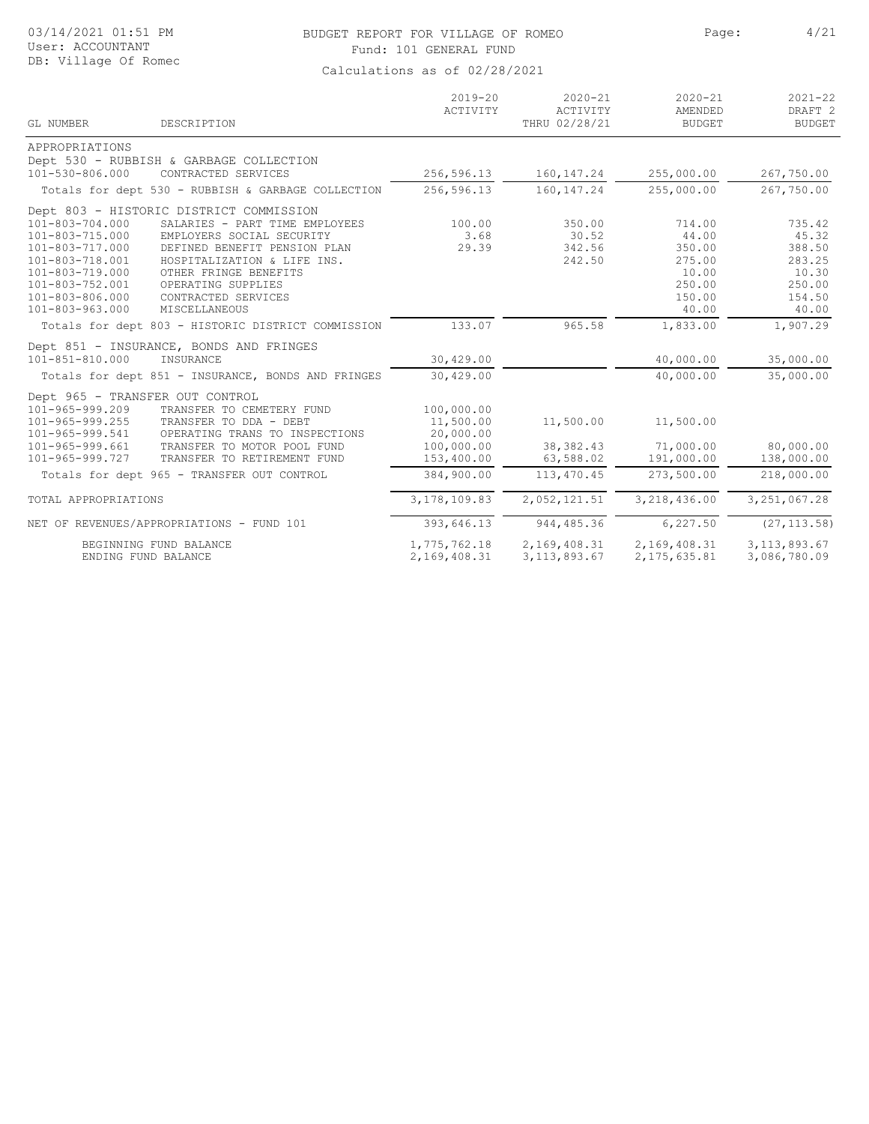#### BUDGET REPORT FOR VILLAGE OF ROMEO Page: 4/21 Fund: 101 GENERAL FUND

| GL NUMBER                       | DESCRIPTION                                        | $2019 - 20$<br>ACTIVITY | $2020 - 21$<br>ACTIVITY<br>THRU 02/28/21 | $2020 - 21$<br>AMENDED<br><b>BUDGET</b> | $2021 - 22$<br>DRAFT <sub>2</sub><br><b>BUDGET</b> |
|---------------------------------|----------------------------------------------------|-------------------------|------------------------------------------|-----------------------------------------|----------------------------------------------------|
| APPROPRIATIONS                  |                                                    |                         |                                          |                                         |                                                    |
|                                 | Dept 530 - RUBBISH & GARBAGE COLLECTION            |                         |                                          |                                         |                                                    |
| 101-530-806.000                 | CONTRACTED SERVICES                                | 256,596.13              | 160, 147. 24                             | 255,000.00                              | 267,750.00                                         |
|                                 | Totals for dept 530 - RUBBISH & GARBAGE COLLECTION | 256,596.13              | 160, 147.24                              | 255,000.00                              | 267,750.00                                         |
|                                 | Dept 803 - HISTORIC DISTRICT COMMISSION            |                         |                                          |                                         |                                                    |
| $101 - 803 - 704.000$           | SALARIES - PART TIME EMPLOYEES                     | 100.00                  | 350.00                                   | 714.00                                  | 735.42                                             |
| 101-803-715.000                 | EMPLOYERS SOCIAL SECURITY                          | 3.68                    | 30.52                                    | 44.00                                   | 45.32                                              |
| 101-803-717.000                 | DEFINED BENEFIT PENSION PLAN                       | 29.39                   | 342.56                                   | 350.00                                  | 388.50                                             |
| 101-803-718.001                 | HOSPITALIZATION & LIFE INS.                        |                         | 242.50                                   | 275.00                                  | 283.25                                             |
| 101-803-719.000                 | OTHER FRINGE BENEFITS                              |                         |                                          | 10.00                                   | 10.30                                              |
| 101-803-752.001                 | OPERATING SUPPLIES                                 |                         |                                          | 250.00                                  | 250.00                                             |
| 101-803-806.000                 | CONTRACTED SERVICES                                |                         |                                          | 150.00                                  | 154.50                                             |
| $101 - 803 - 963.000$           | MISCELLANEOUS                                      |                         |                                          | 40.00                                   | 40.00                                              |
|                                 | Totals for dept 803 - HISTORIC DISTRICT COMMISSION | 133.07                  | 965.58                                   | 1,833.00                                | 1,907.29                                           |
|                                 | Dept 851 - INSURANCE, BONDS AND FRINGES            |                         |                                          |                                         |                                                    |
| $101 - 851 - 810.000$           | INSURANCE                                          | 30,429.00               |                                          | 40,000.00                               | 35,000.00                                          |
|                                 |                                                    |                         |                                          |                                         |                                                    |
|                                 | Totals for dept 851 - INSURANCE, BONDS AND FRINGES | 30,429.00               |                                          | 40,000.00                               | 35,000.00                                          |
| Dept 965 - TRANSFER OUT CONTROL |                                                    |                         |                                          |                                         |                                                    |
| 101-965-999.209                 | TRANSFER TO CEMETERY FUND                          | 100,000.00              |                                          |                                         |                                                    |
| $101 - 965 - 999.255$           | TRANSFER TO DDA - DEBT                             | 11,500.00               | 11,500.00                                | 11,500.00                               |                                                    |
| 101-965-999.541                 | OPERATING TRANS TO INSPECTIONS                     | 20,000.00               |                                          |                                         |                                                    |
| $101 - 965 - 999.661$           | TRANSFER TO MOTOR POOL FUND                        | 100,000.00              | 38, 382.43                               | 71,000.00                               | 80,000.00                                          |
| 101-965-999.727                 | TRANSFER TO RETIREMENT FUND                        | 153,400.00              | 63,588.02                                | 191,000.00                              | 138,000.00                                         |
|                                 | Totals for dept 965 - TRANSFER OUT CONTROL         | 384,900.00              | 113,470.45                               | 273,500.00                              | 218,000.00                                         |
| TOTAL APPROPRIATIONS            |                                                    | 3, 178, 109.83          | 2,052,121.51                             | 3,218,436.00                            | 3, 251, 067.28                                     |
|                                 | NET OF REVENUES/APPROPRIATIONS - FUND 101          | 393,646.13              | 944, 485.36                              | 6, 227.50                               | (27, 113.58)                                       |
|                                 | BEGINNING FUND BALANCE                             | 1,775,762.18            | 2,169,408.31                             | 2,169,408.31                            | 3, 113, 893.67                                     |
|                                 | ENDING FUND BALANCE                                | 2,169,408.31            | 3, 113, 893.67                           | 2, 175, 635.81                          | 3,086,780.09                                       |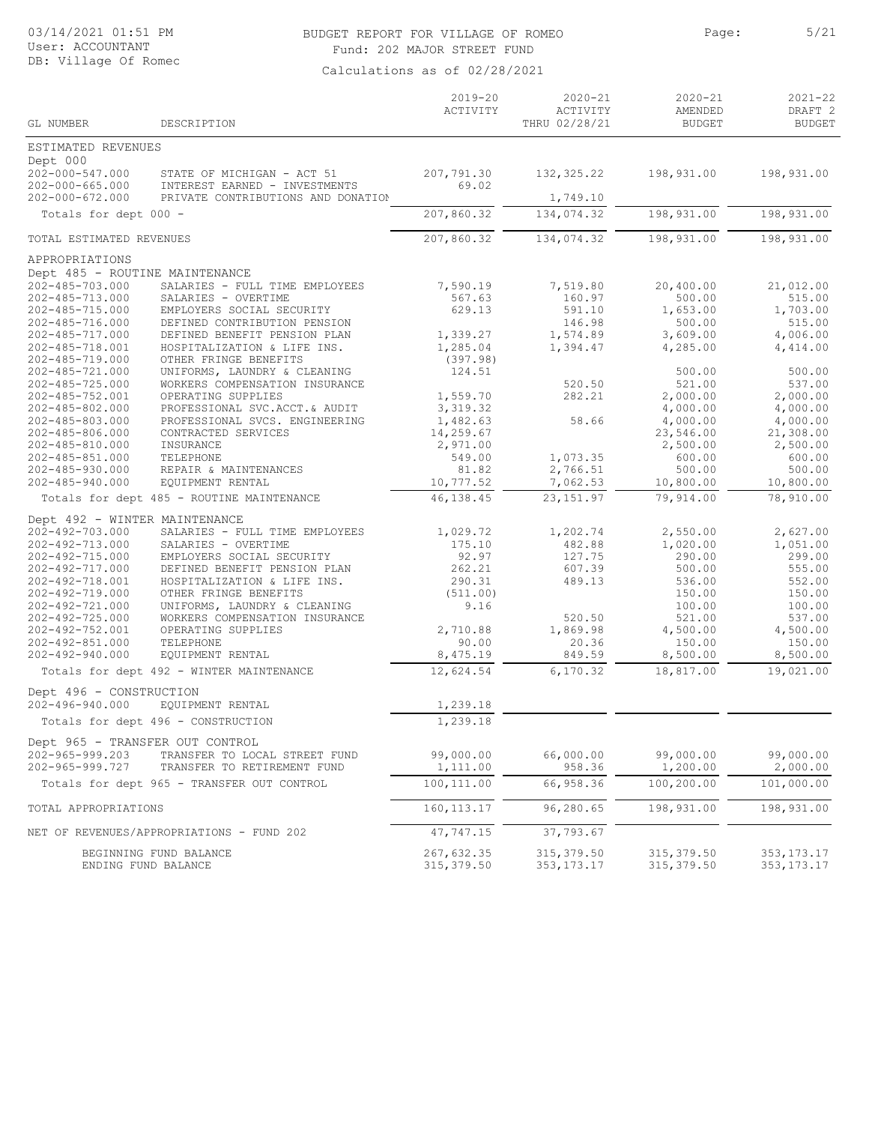### BUDGET REPORT FOR VILLAGE OF ROMEO Page: 5/21 Fund: 202 MAJOR STREET FUND

| GL NUMBER                                            |                                                              | $2019 - 20$<br>ACTIVITY | $2020 - 21$<br>ACTIVITY | $2020 - 21$<br>AMENDED | $2021 - 22$<br>DRAFT <sub>2</sub><br><b>BUDGET</b> |
|------------------------------------------------------|--------------------------------------------------------------|-------------------------|-------------------------|------------------------|----------------------------------------------------|
|                                                      | DESCRIPTION                                                  |                         | THRU 02/28/21           | <b>BUDGET</b>          |                                                    |
| ESTIMATED REVENUES                                   |                                                              |                         |                         |                        |                                                    |
| Dept 000<br>202-000-547.000<br>$202 - 000 - 665.000$ | STATE OF MICHIGAN - ACT 51<br>INTEREST EARNED - INVESTMENTS  | 207,791.30<br>69.02     | 132, 325.22             | 198,931.00             | 198,931.00                                         |
| $202 - 000 - 672.000$                                | PRIVATE CONTRIBUTIONS AND DONATION                           |                         | 1,749.10                |                        |                                                    |
| Totals for dept 000 -                                |                                                              | 207,860.32              | 134,074.32              | 198,931.00             | 198,931.00                                         |
| TOTAL ESTIMATED REVENUES                             |                                                              | 207,860.32              | 134,074.32              | 198,931.00             | 198,931.00                                         |
| APPROPRIATIONS                                       |                                                              |                         |                         |                        |                                                    |
| Dept 485 - ROUTINE MAINTENANCE                       |                                                              |                         |                         |                        |                                                    |
| $202 - 485 - 703.000$                                | SALARIES - FULL TIME EMPLOYEES                               | 7,590.19                | 7,519.80                | 20,400.00              | 21,012.00                                          |
| 202-485-713.000                                      | SALARIES - OVERTIME                                          | 567.63                  | 160.97                  | 500.00                 | 515.00                                             |
| $202 - 485 - 715.000$                                | EMPLOYERS SOCIAL SECURITY                                    | 629.13                  | 591.10                  | 1,653.00               | 1,703.00                                           |
| 202-485-716.000                                      | DEFINED CONTRIBUTION PENSION                                 |                         | 146.98                  | 500.00                 | 515.00                                             |
| 202-485-717.000                                      | DEFINED BENEFIT PENSION PLAN                                 | 1,339.27                | 1,574.89                | 3,609.00               | 4,006.00                                           |
| 202-485-718.001                                      | HOSPITALIZATION & LIFE INS.                                  | 1,285.04                | 1,394.47                | 4,285.00               | 4,414.00                                           |
| 202-485-719.000                                      | OTHER FRINGE BENEFITS                                        | (397.98)                |                         |                        |                                                    |
| 202-485-721.000                                      | UNIFORMS, LAUNDRY & CLEANING                                 | 124.51                  |                         | 500.00                 | 500.00                                             |
| $202 - 485 - 725.000$                                | WORKERS COMPENSATION INSURANCE<br>OPERATING SUPPLIES         |                         | 520.50                  | 521.00                 | 537.00                                             |
| 202-485-752.001<br>$202 - 485 - 802.000$             |                                                              | 1,559.70                | 282.21                  | 2,000.00               | 2,000.00                                           |
|                                                      | PROFESSIONAL SVC.ACCT.& AUDIT                                | 3,319.32                |                         | 4,000.00               | 4,000.00                                           |
| 202-485-803.000                                      | PROFESSIONAL SVCS. ENGINEERING                               | 1,482.63                | 58.66                   | 4,000.00               | 4,000.00                                           |
| 202-485-806.000<br>$202 - 485 - 810.000$             | CONTRACTED SERVICES                                          | 14,259.67<br>2,971.00   |                         | 23,546.00<br>2,500.00  | 21,308.00<br>2,500.00                              |
| $202 - 485 - 851.000$                                | INSURANCE<br>TELEPHONE                                       | 549.00                  | 1,073.35                | 600.00                 | 600.00                                             |
| $202 - 485 - 930.000$                                | REPAIR & MAINTENANCES                                        | 81.82                   | 2,766.51                | 500.00                 | 500.00                                             |
| $202 - 485 - 940.000$                                | EQUIPMENT RENTAL                                             | 10,777.52               | 7,062.53                | 10,800.00              | 10,800.00                                          |
|                                                      | Totals for dept 485 - ROUTINE MAINTENANCE                    | 46, 138.45              | 23, 151.97              | 79,914.00              | 78,910.00                                          |
|                                                      |                                                              |                         |                         |                        |                                                    |
| Dept 492 - WINTER MAINTENANCE                        |                                                              |                         |                         |                        |                                                    |
| 202-492-703.000                                      | SALARIES - FULL TIME EMPLOYEES                               | 1,029.72                | 1,202.74                | 2,550.00               | 2,627.00                                           |
| 202-492-713.000                                      | SALARIES - OVERTIME                                          | 175.10                  | 482.88                  | 1,020.00               | 1,051.00                                           |
| 202-492-715.000                                      | EMPLOYERS SOCIAL SECURITY                                    | 92.97                   | 127.75                  | 290.00                 | 299.00                                             |
| 202-492-717.000                                      | DEFINED BENEFIT PENSION PLAN                                 | 262.21                  | 607.39                  | 500.00                 | 555.00                                             |
| 202-492-718.001                                      | HOSPITALIZATION & LIFE INS.                                  | 290.31                  | 489.13                  | 536.00                 | 552.00                                             |
| 202-492-719.000                                      | OTHER FRINGE BENEFITS                                        | (511.00)                |                         | 150.00                 | 150.00                                             |
| 202-492-721.000                                      | UNIFORMS, LAUNDRY & CLEANING                                 | 9.16                    |                         | 100.00                 | 100.00                                             |
| $202 - 492 - 725.000$                                | WORKERS COMPENSATION INSURANCE                               |                         | 520.50                  | 521.00                 | 537.00                                             |
| 202-492-752.001                                      | OPERATING SUPPLIES<br>TELEPHONE                              | 2,710.88                | 1,869.98                | 4,500.00               | 4,500.00                                           |
| $202 - 492 - 851.000$<br>$202 - 492 - 940.000$       |                                                              | 90.00                   | 20.36                   | 150.00<br>8,500.00     | 150.00<br>8,500.00                                 |
|                                                      | EQUIPMENT RENTAL<br>Totals for dept 492 - WINTER MAINTENANCE | 8,475.19<br>12,624.54   | 849.59<br>6,170.32      | 18,817.00              | 19,021.00                                          |
|                                                      |                                                              |                         |                         |                        |                                                    |
| Dept 496 - CONSTRUCTION<br>$202 - 496 - 940.000$     |                                                              |                         |                         |                        |                                                    |
|                                                      | EQUIPMENT RENTAL                                             | 1,239.18                |                         |                        |                                                    |
|                                                      | Totals for dept 496 - CONSTRUCTION                           | 1,239.18                |                         |                        |                                                    |
| Dept 965 - TRANSFER OUT CONTROL                      |                                                              |                         |                         |                        |                                                    |
| 202-965-999.203                                      | TRANSFER TO LOCAL STREET FUND                                | 99,000.00               | 66,000.00               | 99,000.00              | 99,000.00                                          |
| 202-965-999.727                                      | TRANSFER TO RETIREMENT FUND                                  | 1,111.00                | 958.36                  | 1,200.00               | 2,000.00                                           |
|                                                      | Totals for dept 965 - TRANSFER OUT CONTROL                   | 100, 111.00             | 66,958.36               | 100,200.00             | 101,000.00                                         |
| TOTAL APPROPRIATIONS                                 |                                                              | 160, 113.17             | 96,280.65               | 198,931.00             | 198,931.00                                         |
|                                                      | NET OF REVENUES/APPROPRIATIONS - FUND 202                    | 47,747.15               | 37,793.67               |                        |                                                    |
|                                                      | BEGINNING FUND BALANCE                                       | 267,632.35              | 315,379.50              | 315, 379.50            | 353, 173. 17                                       |
| ENDING FUND BALANCE                                  |                                                              | 315, 379.50             | 353,173.17              | 315, 379.50            | 353, 173. 17                                       |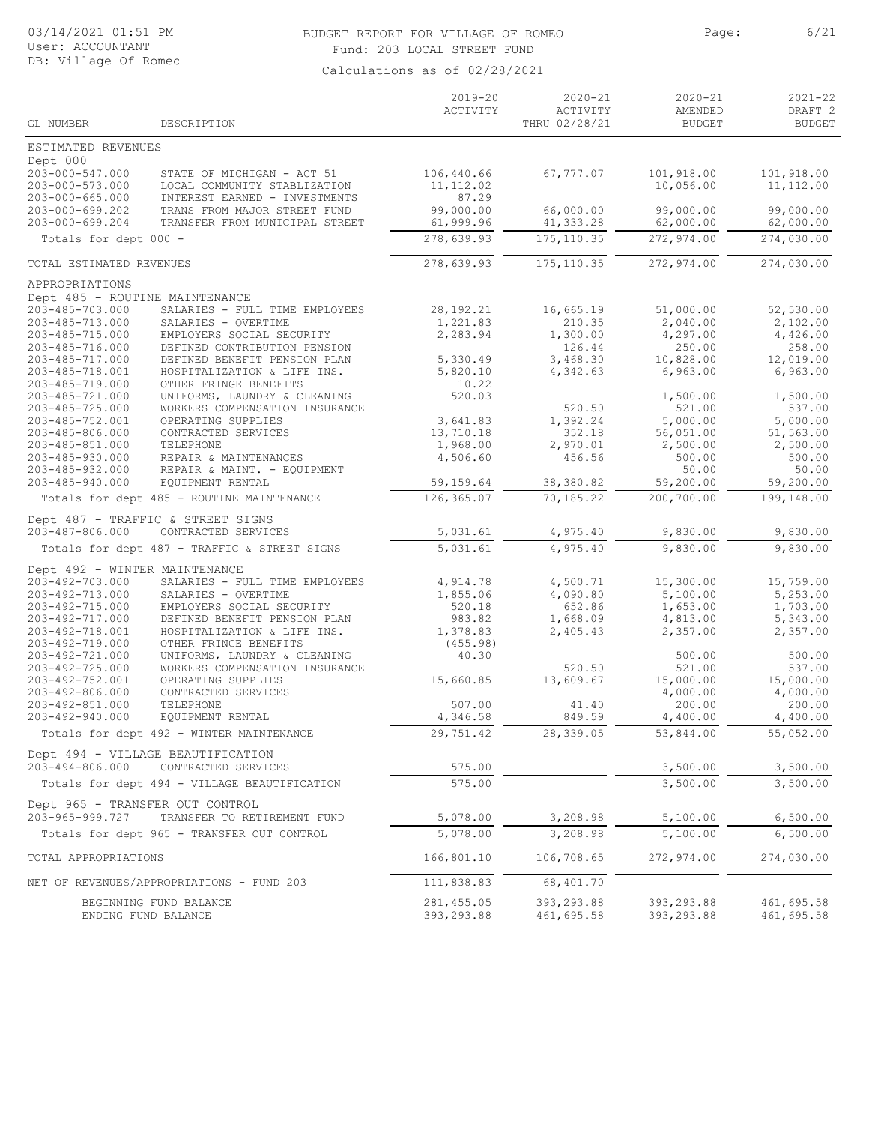#### BUDGET REPORT FOR VILLAGE OF ROMEO PAGE: Page: 6/21 Fund: 203 LOCAL STREET FUND

| ESTIMATED REVENUES<br>Dept 000<br>203-000-547.000<br>106,440.66<br>67,777.07<br>101,918.00<br>101,918.00<br>STATE OF MICHIGAN - ACT 51<br>203-000-573.000<br>LOCAL COMMUNITY STABLIZATION<br>11, 112.02<br>10,056.00<br>11,112.00<br>87.29<br>$203 - 000 - 665.000$<br>INTEREST EARNED - INVESTMENTS<br>203-000-699.202<br>99,000.00<br>66,000.00<br>99,000.00<br>99,000.00<br>TRANS FROM MAJOR STREET FUND<br>203-000-699.204<br>61,999.96<br>41,333.28<br>62,000.00<br>TRANSFER FROM MUNICIPAL STREET<br>62,000.00<br>175, 110.35<br>272,974.00<br>274,030.00<br>278,639.93<br>Totals for dept 000 -<br>278,639.93<br>175, 110.35<br>272,974.00<br>274,030.00<br>TOTAL ESTIMATED REVENUES<br>APPROPRIATIONS<br>Dept 485 - ROUTINE MAINTENANCE<br>203-485-703.000<br>28, 192. 21<br>16,665.19<br>51,000.00<br>52,530.00<br>SALARIES - FULL TIME EMPLOYEES<br>203-485-713.000<br>1,221.83<br>210.35<br>2,040.00<br>2,102.00<br>SALARIES - OVERTIME<br>2,283.94<br>4,426.00<br>203-485-715.000<br>EMPLOYERS SOCIAL SECURITY<br>1,300.00<br>4,297.00<br>258.00<br>203-485-716.000<br>DEFINED CONTRIBUTION PENSION<br>126.44<br>250.00<br>203-485-717.000<br>DEFINED BENEFIT PENSION PLAN<br>5,330.49<br>3,468.30<br>10,828.00<br>12,019.00<br>203-485-718.001<br>4,342.63<br>6,963.00<br>6,963.00<br>HOSPITALIZATION & LIFE INS.<br>5,820.10<br>OTHER FRINGE BENEFITS<br>10.22<br>203-485-719.000<br>$203 - 485 - 721.000$<br>UNIFORMS, LAUNDRY & CLEANING<br>520.03<br>1,500.00<br>1,500.00<br>203-485-725.000<br>WORKERS COMPENSATION INSURANCE<br>520.50<br>521.00<br>537.00<br>$203 - 485 - 752.001$<br>3,641.83<br>5,000.00<br>5,000.00<br>OPERATING SUPPLIES<br>1,392.24<br>51,563.00<br>203-485-806.000<br>CONTRACTED SERVICES<br>13,710.18<br>352.18<br>56,051.00<br>1,968.00<br>2,500.00<br>203-485-851.000<br>TELEPHONE<br>2,970.01<br>2,500.00<br>203-485-930.000<br>4,506.60<br>456.56<br>500.00<br>REPAIR & MAINTENANCES<br>500.00<br>50.00<br>$203 - 485 - 932.000$<br>REPAIR & MAINT. - EQUIPMENT<br>50.00<br>203-485-940.000<br>59,200.00<br>59,200.00<br>EQUIPMENT RENTAL<br>59,159.64<br>38,380.82<br>126, 365.07<br>70,185.22<br>200,700.00<br>199,148.00<br>Totals for dept 485 - ROUTINE MAINTENANCE<br>Dept 487 - TRAFFIC & STREET SIGNS<br>203-487-806.000<br>CONTRACTED SERVICES<br>5,031.61<br>4,975.40<br>9,830.00<br>9,830.00<br>5,031.61<br>4,975.40<br>9,830.00<br>9,830.00<br>Totals for dept 487 - TRAFFIC & STREET SIGNS<br>Dept 492 - WINTER MAINTENANCE<br>203-492-703.000<br>4,914.78<br>4,500.71<br>15,300.00<br>15,759.00<br>SALARIES - FULL TIME EMPLOYEES<br>5,253.00<br>203-492-713.000<br>SALARIES - OVERTIME<br>1,855.06<br>4,090.80<br>5,100.00<br>1,703.00<br>203-492-715.000<br>EMPLOYERS SOCIAL SECURITY<br>520.18<br>652.86<br>1,653.00<br>203-492-717.000<br>983.82<br>1,668.09<br>5,343.00<br>DEFINED BENEFIT PENSION PLAN<br>4,813.00<br>203-492-718.001<br>2,405.43<br>2,357.00<br>2,357.00<br>HOSPITALIZATION & LIFE INS.<br>1,378.83<br>203-492-719.000<br>OTHER FRINGE BENEFITS<br>(455.98)<br>203-492-721.000<br>40.30<br>UNIFORMS, LAUNDRY & CLEANING<br>500.00<br>500.00<br>203-492-725.000<br>WORKERS COMPENSATION INSURANCE<br>521.00<br>537.00<br>520.50<br>203-492-752.001<br>15,660.85<br>13,609.67<br>15,000.00<br>OPERATING SUPPLIES<br>15,000.00<br>203-492-806.000<br>CONTRACTED SERVICES<br>4,000.00<br>4,000.00<br>203-492-851.000<br>TELEPHONE<br>200.00<br>200.00<br>507.00<br>41.40<br>203-492-940.000<br>4,346.58<br>849.59<br>4,400.00<br>EQUIPMENT RENTAL<br>4,400.00<br>29,751.42<br>28,339.05<br>53,844.00<br>55,052.00<br>Totals for dept 492 - WINTER MAINTENANCE<br>Dept 494 - VILLAGE BEAUTIFICATION<br>203-494-806.000<br>CONTRACTED SERVICES<br>575.00<br>3,500.00<br>3,500.00<br>3,500.00<br>575.00<br>3,500.00<br>Totals for dept 494 - VILLAGE BEAUTIFICATION<br>Dept 965 - TRANSFER OUT CONTROL<br>203-965-999.727<br>3,208.98<br>TRANSFER TO RETIREMENT FUND<br>5,078.00<br>5,100.00<br>6,500.00<br>5,078.00<br>3,208.98<br>5,100.00<br>6,500.00<br>Totals for dept 965 - TRANSFER OUT CONTROL<br>166,801.10<br>106,708.65<br>272,974.00<br>274,030.00<br>TOTAL APPROPRIATIONS<br>68,401.70<br>NET OF REVENUES/APPROPRIATIONS - FUND 203<br>111,838.83<br>281, 455.05<br>393,293.88<br>393,293.88<br>461,695.58<br>BEGINNING FUND BALANCE<br>393, 293.88<br>393,293.88<br>461,695.58<br>461,695.58<br>ENDING FUND BALANCE | GL NUMBER | DESCRIPTION | $2019 - 20$<br>ACTIVITY | $2020 - 21$<br>ACTIVITY<br>THRU 02/28/21 | $2020 - 21$<br>AMENDED<br><b>BUDGET</b> | $2021 - 22$<br>DRAFT <sub>2</sub><br><b>BUDGET</b> |
|----------------------------------------------------------------------------------------------------------------------------------------------------------------------------------------------------------------------------------------------------------------------------------------------------------------------------------------------------------------------------------------------------------------------------------------------------------------------------------------------------------------------------------------------------------------------------------------------------------------------------------------------------------------------------------------------------------------------------------------------------------------------------------------------------------------------------------------------------------------------------------------------------------------------------------------------------------------------------------------------------------------------------------------------------------------------------------------------------------------------------------------------------------------------------------------------------------------------------------------------------------------------------------------------------------------------------------------------------------------------------------------------------------------------------------------------------------------------------------------------------------------------------------------------------------------------------------------------------------------------------------------------------------------------------------------------------------------------------------------------------------------------------------------------------------------------------------------------------------------------------------------------------------------------------------------------------------------------------------------------------------------------------------------------------------------------------------------------------------------------------------------------------------------------------------------------------------------------------------------------------------------------------------------------------------------------------------------------------------------------------------------------------------------------------------------------------------------------------------------------------------------------------------------------------------------------------------------------------------------------------------------------------------------------------------------------------------------------------------------------------------------------------------------------------------------------------------------------------------------------------------------------------------------------------------------------------------------------------------------------------------------------------------------------------------------------------------------------------------------------------------------------------------------------------------------------------------------------------------------------------------------------------------------------------------------------------------------------------------------------------------------------------------------------------------------------------------------------------------------------------------------------------------------------------------------------------------------------------------------------------------------------------------------------------------------------------------------------------------------------------------------------------------------------------------------------------------------------------------------------------------------------------------------------------------------------------------------------------------------------------------------------------------------------------------------------------------------------------------------------------------------------------------------------------------------------------------------------------------------------------------------------------------------------------------------------------------------------------------------------------------------------------------------|-----------|-------------|-------------------------|------------------------------------------|-----------------------------------------|----------------------------------------------------|
|                                                                                                                                                                                                                                                                                                                                                                                                                                                                                                                                                                                                                                                                                                                                                                                                                                                                                                                                                                                                                                                                                                                                                                                                                                                                                                                                                                                                                                                                                                                                                                                                                                                                                                                                                                                                                                                                                                                                                                                                                                                                                                                                                                                                                                                                                                                                                                                                                                                                                                                                                                                                                                                                                                                                                                                                                                                                                                                                                                                                                                                                                                                                                                                                                                                                                                                                                                                                                                                                                                                                                                                                                                                                                                                                                                                                                                                                                                                                                                                                                                                                                                                                                                                                                                                                                                                                                                                                                |           |             |                         |                                          |                                         |                                                    |
|                                                                                                                                                                                                                                                                                                                                                                                                                                                                                                                                                                                                                                                                                                                                                                                                                                                                                                                                                                                                                                                                                                                                                                                                                                                                                                                                                                                                                                                                                                                                                                                                                                                                                                                                                                                                                                                                                                                                                                                                                                                                                                                                                                                                                                                                                                                                                                                                                                                                                                                                                                                                                                                                                                                                                                                                                                                                                                                                                                                                                                                                                                                                                                                                                                                                                                                                                                                                                                                                                                                                                                                                                                                                                                                                                                                                                                                                                                                                                                                                                                                                                                                                                                                                                                                                                                                                                                                                                |           |             |                         |                                          |                                         |                                                    |
|                                                                                                                                                                                                                                                                                                                                                                                                                                                                                                                                                                                                                                                                                                                                                                                                                                                                                                                                                                                                                                                                                                                                                                                                                                                                                                                                                                                                                                                                                                                                                                                                                                                                                                                                                                                                                                                                                                                                                                                                                                                                                                                                                                                                                                                                                                                                                                                                                                                                                                                                                                                                                                                                                                                                                                                                                                                                                                                                                                                                                                                                                                                                                                                                                                                                                                                                                                                                                                                                                                                                                                                                                                                                                                                                                                                                                                                                                                                                                                                                                                                                                                                                                                                                                                                                                                                                                                                                                |           |             |                         |                                          |                                         |                                                    |
|                                                                                                                                                                                                                                                                                                                                                                                                                                                                                                                                                                                                                                                                                                                                                                                                                                                                                                                                                                                                                                                                                                                                                                                                                                                                                                                                                                                                                                                                                                                                                                                                                                                                                                                                                                                                                                                                                                                                                                                                                                                                                                                                                                                                                                                                                                                                                                                                                                                                                                                                                                                                                                                                                                                                                                                                                                                                                                                                                                                                                                                                                                                                                                                                                                                                                                                                                                                                                                                                                                                                                                                                                                                                                                                                                                                                                                                                                                                                                                                                                                                                                                                                                                                                                                                                                                                                                                                                                |           |             |                         |                                          |                                         |                                                    |
|                                                                                                                                                                                                                                                                                                                                                                                                                                                                                                                                                                                                                                                                                                                                                                                                                                                                                                                                                                                                                                                                                                                                                                                                                                                                                                                                                                                                                                                                                                                                                                                                                                                                                                                                                                                                                                                                                                                                                                                                                                                                                                                                                                                                                                                                                                                                                                                                                                                                                                                                                                                                                                                                                                                                                                                                                                                                                                                                                                                                                                                                                                                                                                                                                                                                                                                                                                                                                                                                                                                                                                                                                                                                                                                                                                                                                                                                                                                                                                                                                                                                                                                                                                                                                                                                                                                                                                                                                |           |             |                         |                                          |                                         |                                                    |
|                                                                                                                                                                                                                                                                                                                                                                                                                                                                                                                                                                                                                                                                                                                                                                                                                                                                                                                                                                                                                                                                                                                                                                                                                                                                                                                                                                                                                                                                                                                                                                                                                                                                                                                                                                                                                                                                                                                                                                                                                                                                                                                                                                                                                                                                                                                                                                                                                                                                                                                                                                                                                                                                                                                                                                                                                                                                                                                                                                                                                                                                                                                                                                                                                                                                                                                                                                                                                                                                                                                                                                                                                                                                                                                                                                                                                                                                                                                                                                                                                                                                                                                                                                                                                                                                                                                                                                                                                |           |             |                         |                                          |                                         |                                                    |
|                                                                                                                                                                                                                                                                                                                                                                                                                                                                                                                                                                                                                                                                                                                                                                                                                                                                                                                                                                                                                                                                                                                                                                                                                                                                                                                                                                                                                                                                                                                                                                                                                                                                                                                                                                                                                                                                                                                                                                                                                                                                                                                                                                                                                                                                                                                                                                                                                                                                                                                                                                                                                                                                                                                                                                                                                                                                                                                                                                                                                                                                                                                                                                                                                                                                                                                                                                                                                                                                                                                                                                                                                                                                                                                                                                                                                                                                                                                                                                                                                                                                                                                                                                                                                                                                                                                                                                                                                |           |             |                         |                                          |                                         |                                                    |
|                                                                                                                                                                                                                                                                                                                                                                                                                                                                                                                                                                                                                                                                                                                                                                                                                                                                                                                                                                                                                                                                                                                                                                                                                                                                                                                                                                                                                                                                                                                                                                                                                                                                                                                                                                                                                                                                                                                                                                                                                                                                                                                                                                                                                                                                                                                                                                                                                                                                                                                                                                                                                                                                                                                                                                                                                                                                                                                                                                                                                                                                                                                                                                                                                                                                                                                                                                                                                                                                                                                                                                                                                                                                                                                                                                                                                                                                                                                                                                                                                                                                                                                                                                                                                                                                                                                                                                                                                |           |             |                         |                                          |                                         |                                                    |
|                                                                                                                                                                                                                                                                                                                                                                                                                                                                                                                                                                                                                                                                                                                                                                                                                                                                                                                                                                                                                                                                                                                                                                                                                                                                                                                                                                                                                                                                                                                                                                                                                                                                                                                                                                                                                                                                                                                                                                                                                                                                                                                                                                                                                                                                                                                                                                                                                                                                                                                                                                                                                                                                                                                                                                                                                                                                                                                                                                                                                                                                                                                                                                                                                                                                                                                                                                                                                                                                                                                                                                                                                                                                                                                                                                                                                                                                                                                                                                                                                                                                                                                                                                                                                                                                                                                                                                                                                |           |             |                         |                                          |                                         |                                                    |
|                                                                                                                                                                                                                                                                                                                                                                                                                                                                                                                                                                                                                                                                                                                                                                                                                                                                                                                                                                                                                                                                                                                                                                                                                                                                                                                                                                                                                                                                                                                                                                                                                                                                                                                                                                                                                                                                                                                                                                                                                                                                                                                                                                                                                                                                                                                                                                                                                                                                                                                                                                                                                                                                                                                                                                                                                                                                                                                                                                                                                                                                                                                                                                                                                                                                                                                                                                                                                                                                                                                                                                                                                                                                                                                                                                                                                                                                                                                                                                                                                                                                                                                                                                                                                                                                                                                                                                                                                |           |             |                         |                                          |                                         |                                                    |
|                                                                                                                                                                                                                                                                                                                                                                                                                                                                                                                                                                                                                                                                                                                                                                                                                                                                                                                                                                                                                                                                                                                                                                                                                                                                                                                                                                                                                                                                                                                                                                                                                                                                                                                                                                                                                                                                                                                                                                                                                                                                                                                                                                                                                                                                                                                                                                                                                                                                                                                                                                                                                                                                                                                                                                                                                                                                                                                                                                                                                                                                                                                                                                                                                                                                                                                                                                                                                                                                                                                                                                                                                                                                                                                                                                                                                                                                                                                                                                                                                                                                                                                                                                                                                                                                                                                                                                                                                |           |             |                         |                                          |                                         |                                                    |
|                                                                                                                                                                                                                                                                                                                                                                                                                                                                                                                                                                                                                                                                                                                                                                                                                                                                                                                                                                                                                                                                                                                                                                                                                                                                                                                                                                                                                                                                                                                                                                                                                                                                                                                                                                                                                                                                                                                                                                                                                                                                                                                                                                                                                                                                                                                                                                                                                                                                                                                                                                                                                                                                                                                                                                                                                                                                                                                                                                                                                                                                                                                                                                                                                                                                                                                                                                                                                                                                                                                                                                                                                                                                                                                                                                                                                                                                                                                                                                                                                                                                                                                                                                                                                                                                                                                                                                                                                |           |             |                         |                                          |                                         |                                                    |
|                                                                                                                                                                                                                                                                                                                                                                                                                                                                                                                                                                                                                                                                                                                                                                                                                                                                                                                                                                                                                                                                                                                                                                                                                                                                                                                                                                                                                                                                                                                                                                                                                                                                                                                                                                                                                                                                                                                                                                                                                                                                                                                                                                                                                                                                                                                                                                                                                                                                                                                                                                                                                                                                                                                                                                                                                                                                                                                                                                                                                                                                                                                                                                                                                                                                                                                                                                                                                                                                                                                                                                                                                                                                                                                                                                                                                                                                                                                                                                                                                                                                                                                                                                                                                                                                                                                                                                                                                |           |             |                         |                                          |                                         |                                                    |
|                                                                                                                                                                                                                                                                                                                                                                                                                                                                                                                                                                                                                                                                                                                                                                                                                                                                                                                                                                                                                                                                                                                                                                                                                                                                                                                                                                                                                                                                                                                                                                                                                                                                                                                                                                                                                                                                                                                                                                                                                                                                                                                                                                                                                                                                                                                                                                                                                                                                                                                                                                                                                                                                                                                                                                                                                                                                                                                                                                                                                                                                                                                                                                                                                                                                                                                                                                                                                                                                                                                                                                                                                                                                                                                                                                                                                                                                                                                                                                                                                                                                                                                                                                                                                                                                                                                                                                                                                |           |             |                         |                                          |                                         |                                                    |
|                                                                                                                                                                                                                                                                                                                                                                                                                                                                                                                                                                                                                                                                                                                                                                                                                                                                                                                                                                                                                                                                                                                                                                                                                                                                                                                                                                                                                                                                                                                                                                                                                                                                                                                                                                                                                                                                                                                                                                                                                                                                                                                                                                                                                                                                                                                                                                                                                                                                                                                                                                                                                                                                                                                                                                                                                                                                                                                                                                                                                                                                                                                                                                                                                                                                                                                                                                                                                                                                                                                                                                                                                                                                                                                                                                                                                                                                                                                                                                                                                                                                                                                                                                                                                                                                                                                                                                                                                |           |             |                         |                                          |                                         |                                                    |
|                                                                                                                                                                                                                                                                                                                                                                                                                                                                                                                                                                                                                                                                                                                                                                                                                                                                                                                                                                                                                                                                                                                                                                                                                                                                                                                                                                                                                                                                                                                                                                                                                                                                                                                                                                                                                                                                                                                                                                                                                                                                                                                                                                                                                                                                                                                                                                                                                                                                                                                                                                                                                                                                                                                                                                                                                                                                                                                                                                                                                                                                                                                                                                                                                                                                                                                                                                                                                                                                                                                                                                                                                                                                                                                                                                                                                                                                                                                                                                                                                                                                                                                                                                                                                                                                                                                                                                                                                |           |             |                         |                                          |                                         |                                                    |
|                                                                                                                                                                                                                                                                                                                                                                                                                                                                                                                                                                                                                                                                                                                                                                                                                                                                                                                                                                                                                                                                                                                                                                                                                                                                                                                                                                                                                                                                                                                                                                                                                                                                                                                                                                                                                                                                                                                                                                                                                                                                                                                                                                                                                                                                                                                                                                                                                                                                                                                                                                                                                                                                                                                                                                                                                                                                                                                                                                                                                                                                                                                                                                                                                                                                                                                                                                                                                                                                                                                                                                                                                                                                                                                                                                                                                                                                                                                                                                                                                                                                                                                                                                                                                                                                                                                                                                                                                |           |             |                         |                                          |                                         |                                                    |
|                                                                                                                                                                                                                                                                                                                                                                                                                                                                                                                                                                                                                                                                                                                                                                                                                                                                                                                                                                                                                                                                                                                                                                                                                                                                                                                                                                                                                                                                                                                                                                                                                                                                                                                                                                                                                                                                                                                                                                                                                                                                                                                                                                                                                                                                                                                                                                                                                                                                                                                                                                                                                                                                                                                                                                                                                                                                                                                                                                                                                                                                                                                                                                                                                                                                                                                                                                                                                                                                                                                                                                                                                                                                                                                                                                                                                                                                                                                                                                                                                                                                                                                                                                                                                                                                                                                                                                                                                |           |             |                         |                                          |                                         |                                                    |
|                                                                                                                                                                                                                                                                                                                                                                                                                                                                                                                                                                                                                                                                                                                                                                                                                                                                                                                                                                                                                                                                                                                                                                                                                                                                                                                                                                                                                                                                                                                                                                                                                                                                                                                                                                                                                                                                                                                                                                                                                                                                                                                                                                                                                                                                                                                                                                                                                                                                                                                                                                                                                                                                                                                                                                                                                                                                                                                                                                                                                                                                                                                                                                                                                                                                                                                                                                                                                                                                                                                                                                                                                                                                                                                                                                                                                                                                                                                                                                                                                                                                                                                                                                                                                                                                                                                                                                                                                |           |             |                         |                                          |                                         |                                                    |
|                                                                                                                                                                                                                                                                                                                                                                                                                                                                                                                                                                                                                                                                                                                                                                                                                                                                                                                                                                                                                                                                                                                                                                                                                                                                                                                                                                                                                                                                                                                                                                                                                                                                                                                                                                                                                                                                                                                                                                                                                                                                                                                                                                                                                                                                                                                                                                                                                                                                                                                                                                                                                                                                                                                                                                                                                                                                                                                                                                                                                                                                                                                                                                                                                                                                                                                                                                                                                                                                                                                                                                                                                                                                                                                                                                                                                                                                                                                                                                                                                                                                                                                                                                                                                                                                                                                                                                                                                |           |             |                         |                                          |                                         |                                                    |
|                                                                                                                                                                                                                                                                                                                                                                                                                                                                                                                                                                                                                                                                                                                                                                                                                                                                                                                                                                                                                                                                                                                                                                                                                                                                                                                                                                                                                                                                                                                                                                                                                                                                                                                                                                                                                                                                                                                                                                                                                                                                                                                                                                                                                                                                                                                                                                                                                                                                                                                                                                                                                                                                                                                                                                                                                                                                                                                                                                                                                                                                                                                                                                                                                                                                                                                                                                                                                                                                                                                                                                                                                                                                                                                                                                                                                                                                                                                                                                                                                                                                                                                                                                                                                                                                                                                                                                                                                |           |             |                         |                                          |                                         |                                                    |
|                                                                                                                                                                                                                                                                                                                                                                                                                                                                                                                                                                                                                                                                                                                                                                                                                                                                                                                                                                                                                                                                                                                                                                                                                                                                                                                                                                                                                                                                                                                                                                                                                                                                                                                                                                                                                                                                                                                                                                                                                                                                                                                                                                                                                                                                                                                                                                                                                                                                                                                                                                                                                                                                                                                                                                                                                                                                                                                                                                                                                                                                                                                                                                                                                                                                                                                                                                                                                                                                                                                                                                                                                                                                                                                                                                                                                                                                                                                                                                                                                                                                                                                                                                                                                                                                                                                                                                                                                |           |             |                         |                                          |                                         |                                                    |
|                                                                                                                                                                                                                                                                                                                                                                                                                                                                                                                                                                                                                                                                                                                                                                                                                                                                                                                                                                                                                                                                                                                                                                                                                                                                                                                                                                                                                                                                                                                                                                                                                                                                                                                                                                                                                                                                                                                                                                                                                                                                                                                                                                                                                                                                                                                                                                                                                                                                                                                                                                                                                                                                                                                                                                                                                                                                                                                                                                                                                                                                                                                                                                                                                                                                                                                                                                                                                                                                                                                                                                                                                                                                                                                                                                                                                                                                                                                                                                                                                                                                                                                                                                                                                                                                                                                                                                                                                |           |             |                         |                                          |                                         |                                                    |
|                                                                                                                                                                                                                                                                                                                                                                                                                                                                                                                                                                                                                                                                                                                                                                                                                                                                                                                                                                                                                                                                                                                                                                                                                                                                                                                                                                                                                                                                                                                                                                                                                                                                                                                                                                                                                                                                                                                                                                                                                                                                                                                                                                                                                                                                                                                                                                                                                                                                                                                                                                                                                                                                                                                                                                                                                                                                                                                                                                                                                                                                                                                                                                                                                                                                                                                                                                                                                                                                                                                                                                                                                                                                                                                                                                                                                                                                                                                                                                                                                                                                                                                                                                                                                                                                                                                                                                                                                |           |             |                         |                                          |                                         |                                                    |
|                                                                                                                                                                                                                                                                                                                                                                                                                                                                                                                                                                                                                                                                                                                                                                                                                                                                                                                                                                                                                                                                                                                                                                                                                                                                                                                                                                                                                                                                                                                                                                                                                                                                                                                                                                                                                                                                                                                                                                                                                                                                                                                                                                                                                                                                                                                                                                                                                                                                                                                                                                                                                                                                                                                                                                                                                                                                                                                                                                                                                                                                                                                                                                                                                                                                                                                                                                                                                                                                                                                                                                                                                                                                                                                                                                                                                                                                                                                                                                                                                                                                                                                                                                                                                                                                                                                                                                                                                |           |             |                         |                                          |                                         |                                                    |
|                                                                                                                                                                                                                                                                                                                                                                                                                                                                                                                                                                                                                                                                                                                                                                                                                                                                                                                                                                                                                                                                                                                                                                                                                                                                                                                                                                                                                                                                                                                                                                                                                                                                                                                                                                                                                                                                                                                                                                                                                                                                                                                                                                                                                                                                                                                                                                                                                                                                                                                                                                                                                                                                                                                                                                                                                                                                                                                                                                                                                                                                                                                                                                                                                                                                                                                                                                                                                                                                                                                                                                                                                                                                                                                                                                                                                                                                                                                                                                                                                                                                                                                                                                                                                                                                                                                                                                                                                |           |             |                         |                                          |                                         |                                                    |
|                                                                                                                                                                                                                                                                                                                                                                                                                                                                                                                                                                                                                                                                                                                                                                                                                                                                                                                                                                                                                                                                                                                                                                                                                                                                                                                                                                                                                                                                                                                                                                                                                                                                                                                                                                                                                                                                                                                                                                                                                                                                                                                                                                                                                                                                                                                                                                                                                                                                                                                                                                                                                                                                                                                                                                                                                                                                                                                                                                                                                                                                                                                                                                                                                                                                                                                                                                                                                                                                                                                                                                                                                                                                                                                                                                                                                                                                                                                                                                                                                                                                                                                                                                                                                                                                                                                                                                                                                |           |             |                         |                                          |                                         |                                                    |
|                                                                                                                                                                                                                                                                                                                                                                                                                                                                                                                                                                                                                                                                                                                                                                                                                                                                                                                                                                                                                                                                                                                                                                                                                                                                                                                                                                                                                                                                                                                                                                                                                                                                                                                                                                                                                                                                                                                                                                                                                                                                                                                                                                                                                                                                                                                                                                                                                                                                                                                                                                                                                                                                                                                                                                                                                                                                                                                                                                                                                                                                                                                                                                                                                                                                                                                                                                                                                                                                                                                                                                                                                                                                                                                                                                                                                                                                                                                                                                                                                                                                                                                                                                                                                                                                                                                                                                                                                |           |             |                         |                                          |                                         |                                                    |
|                                                                                                                                                                                                                                                                                                                                                                                                                                                                                                                                                                                                                                                                                                                                                                                                                                                                                                                                                                                                                                                                                                                                                                                                                                                                                                                                                                                                                                                                                                                                                                                                                                                                                                                                                                                                                                                                                                                                                                                                                                                                                                                                                                                                                                                                                                                                                                                                                                                                                                                                                                                                                                                                                                                                                                                                                                                                                                                                                                                                                                                                                                                                                                                                                                                                                                                                                                                                                                                                                                                                                                                                                                                                                                                                                                                                                                                                                                                                                                                                                                                                                                                                                                                                                                                                                                                                                                                                                |           |             |                         |                                          |                                         |                                                    |
|                                                                                                                                                                                                                                                                                                                                                                                                                                                                                                                                                                                                                                                                                                                                                                                                                                                                                                                                                                                                                                                                                                                                                                                                                                                                                                                                                                                                                                                                                                                                                                                                                                                                                                                                                                                                                                                                                                                                                                                                                                                                                                                                                                                                                                                                                                                                                                                                                                                                                                                                                                                                                                                                                                                                                                                                                                                                                                                                                                                                                                                                                                                                                                                                                                                                                                                                                                                                                                                                                                                                                                                                                                                                                                                                                                                                                                                                                                                                                                                                                                                                                                                                                                                                                                                                                                                                                                                                                |           |             |                         |                                          |                                         |                                                    |
|                                                                                                                                                                                                                                                                                                                                                                                                                                                                                                                                                                                                                                                                                                                                                                                                                                                                                                                                                                                                                                                                                                                                                                                                                                                                                                                                                                                                                                                                                                                                                                                                                                                                                                                                                                                                                                                                                                                                                                                                                                                                                                                                                                                                                                                                                                                                                                                                                                                                                                                                                                                                                                                                                                                                                                                                                                                                                                                                                                                                                                                                                                                                                                                                                                                                                                                                                                                                                                                                                                                                                                                                                                                                                                                                                                                                                                                                                                                                                                                                                                                                                                                                                                                                                                                                                                                                                                                                                |           |             |                         |                                          |                                         |                                                    |
|                                                                                                                                                                                                                                                                                                                                                                                                                                                                                                                                                                                                                                                                                                                                                                                                                                                                                                                                                                                                                                                                                                                                                                                                                                                                                                                                                                                                                                                                                                                                                                                                                                                                                                                                                                                                                                                                                                                                                                                                                                                                                                                                                                                                                                                                                                                                                                                                                                                                                                                                                                                                                                                                                                                                                                                                                                                                                                                                                                                                                                                                                                                                                                                                                                                                                                                                                                                                                                                                                                                                                                                                                                                                                                                                                                                                                                                                                                                                                                                                                                                                                                                                                                                                                                                                                                                                                                                                                |           |             |                         |                                          |                                         |                                                    |
|                                                                                                                                                                                                                                                                                                                                                                                                                                                                                                                                                                                                                                                                                                                                                                                                                                                                                                                                                                                                                                                                                                                                                                                                                                                                                                                                                                                                                                                                                                                                                                                                                                                                                                                                                                                                                                                                                                                                                                                                                                                                                                                                                                                                                                                                                                                                                                                                                                                                                                                                                                                                                                                                                                                                                                                                                                                                                                                                                                                                                                                                                                                                                                                                                                                                                                                                                                                                                                                                                                                                                                                                                                                                                                                                                                                                                                                                                                                                                                                                                                                                                                                                                                                                                                                                                                                                                                                                                |           |             |                         |                                          |                                         |                                                    |
|                                                                                                                                                                                                                                                                                                                                                                                                                                                                                                                                                                                                                                                                                                                                                                                                                                                                                                                                                                                                                                                                                                                                                                                                                                                                                                                                                                                                                                                                                                                                                                                                                                                                                                                                                                                                                                                                                                                                                                                                                                                                                                                                                                                                                                                                                                                                                                                                                                                                                                                                                                                                                                                                                                                                                                                                                                                                                                                                                                                                                                                                                                                                                                                                                                                                                                                                                                                                                                                                                                                                                                                                                                                                                                                                                                                                                                                                                                                                                                                                                                                                                                                                                                                                                                                                                                                                                                                                                |           |             |                         |                                          |                                         |                                                    |
|                                                                                                                                                                                                                                                                                                                                                                                                                                                                                                                                                                                                                                                                                                                                                                                                                                                                                                                                                                                                                                                                                                                                                                                                                                                                                                                                                                                                                                                                                                                                                                                                                                                                                                                                                                                                                                                                                                                                                                                                                                                                                                                                                                                                                                                                                                                                                                                                                                                                                                                                                                                                                                                                                                                                                                                                                                                                                                                                                                                                                                                                                                                                                                                                                                                                                                                                                                                                                                                                                                                                                                                                                                                                                                                                                                                                                                                                                                                                                                                                                                                                                                                                                                                                                                                                                                                                                                                                                |           |             |                         |                                          |                                         |                                                    |
|                                                                                                                                                                                                                                                                                                                                                                                                                                                                                                                                                                                                                                                                                                                                                                                                                                                                                                                                                                                                                                                                                                                                                                                                                                                                                                                                                                                                                                                                                                                                                                                                                                                                                                                                                                                                                                                                                                                                                                                                                                                                                                                                                                                                                                                                                                                                                                                                                                                                                                                                                                                                                                                                                                                                                                                                                                                                                                                                                                                                                                                                                                                                                                                                                                                                                                                                                                                                                                                                                                                                                                                                                                                                                                                                                                                                                                                                                                                                                                                                                                                                                                                                                                                                                                                                                                                                                                                                                |           |             |                         |                                          |                                         |                                                    |
|                                                                                                                                                                                                                                                                                                                                                                                                                                                                                                                                                                                                                                                                                                                                                                                                                                                                                                                                                                                                                                                                                                                                                                                                                                                                                                                                                                                                                                                                                                                                                                                                                                                                                                                                                                                                                                                                                                                                                                                                                                                                                                                                                                                                                                                                                                                                                                                                                                                                                                                                                                                                                                                                                                                                                                                                                                                                                                                                                                                                                                                                                                                                                                                                                                                                                                                                                                                                                                                                                                                                                                                                                                                                                                                                                                                                                                                                                                                                                                                                                                                                                                                                                                                                                                                                                                                                                                                                                |           |             |                         |                                          |                                         |                                                    |
|                                                                                                                                                                                                                                                                                                                                                                                                                                                                                                                                                                                                                                                                                                                                                                                                                                                                                                                                                                                                                                                                                                                                                                                                                                                                                                                                                                                                                                                                                                                                                                                                                                                                                                                                                                                                                                                                                                                                                                                                                                                                                                                                                                                                                                                                                                                                                                                                                                                                                                                                                                                                                                                                                                                                                                                                                                                                                                                                                                                                                                                                                                                                                                                                                                                                                                                                                                                                                                                                                                                                                                                                                                                                                                                                                                                                                                                                                                                                                                                                                                                                                                                                                                                                                                                                                                                                                                                                                |           |             |                         |                                          |                                         |                                                    |
|                                                                                                                                                                                                                                                                                                                                                                                                                                                                                                                                                                                                                                                                                                                                                                                                                                                                                                                                                                                                                                                                                                                                                                                                                                                                                                                                                                                                                                                                                                                                                                                                                                                                                                                                                                                                                                                                                                                                                                                                                                                                                                                                                                                                                                                                                                                                                                                                                                                                                                                                                                                                                                                                                                                                                                                                                                                                                                                                                                                                                                                                                                                                                                                                                                                                                                                                                                                                                                                                                                                                                                                                                                                                                                                                                                                                                                                                                                                                                                                                                                                                                                                                                                                                                                                                                                                                                                                                                |           |             |                         |                                          |                                         |                                                    |
|                                                                                                                                                                                                                                                                                                                                                                                                                                                                                                                                                                                                                                                                                                                                                                                                                                                                                                                                                                                                                                                                                                                                                                                                                                                                                                                                                                                                                                                                                                                                                                                                                                                                                                                                                                                                                                                                                                                                                                                                                                                                                                                                                                                                                                                                                                                                                                                                                                                                                                                                                                                                                                                                                                                                                                                                                                                                                                                                                                                                                                                                                                                                                                                                                                                                                                                                                                                                                                                                                                                                                                                                                                                                                                                                                                                                                                                                                                                                                                                                                                                                                                                                                                                                                                                                                                                                                                                                                |           |             |                         |                                          |                                         |                                                    |
|                                                                                                                                                                                                                                                                                                                                                                                                                                                                                                                                                                                                                                                                                                                                                                                                                                                                                                                                                                                                                                                                                                                                                                                                                                                                                                                                                                                                                                                                                                                                                                                                                                                                                                                                                                                                                                                                                                                                                                                                                                                                                                                                                                                                                                                                                                                                                                                                                                                                                                                                                                                                                                                                                                                                                                                                                                                                                                                                                                                                                                                                                                                                                                                                                                                                                                                                                                                                                                                                                                                                                                                                                                                                                                                                                                                                                                                                                                                                                                                                                                                                                                                                                                                                                                                                                                                                                                                                                |           |             |                         |                                          |                                         |                                                    |
|                                                                                                                                                                                                                                                                                                                                                                                                                                                                                                                                                                                                                                                                                                                                                                                                                                                                                                                                                                                                                                                                                                                                                                                                                                                                                                                                                                                                                                                                                                                                                                                                                                                                                                                                                                                                                                                                                                                                                                                                                                                                                                                                                                                                                                                                                                                                                                                                                                                                                                                                                                                                                                                                                                                                                                                                                                                                                                                                                                                                                                                                                                                                                                                                                                                                                                                                                                                                                                                                                                                                                                                                                                                                                                                                                                                                                                                                                                                                                                                                                                                                                                                                                                                                                                                                                                                                                                                                                |           |             |                         |                                          |                                         |                                                    |
|                                                                                                                                                                                                                                                                                                                                                                                                                                                                                                                                                                                                                                                                                                                                                                                                                                                                                                                                                                                                                                                                                                                                                                                                                                                                                                                                                                                                                                                                                                                                                                                                                                                                                                                                                                                                                                                                                                                                                                                                                                                                                                                                                                                                                                                                                                                                                                                                                                                                                                                                                                                                                                                                                                                                                                                                                                                                                                                                                                                                                                                                                                                                                                                                                                                                                                                                                                                                                                                                                                                                                                                                                                                                                                                                                                                                                                                                                                                                                                                                                                                                                                                                                                                                                                                                                                                                                                                                                |           |             |                         |                                          |                                         |                                                    |
|                                                                                                                                                                                                                                                                                                                                                                                                                                                                                                                                                                                                                                                                                                                                                                                                                                                                                                                                                                                                                                                                                                                                                                                                                                                                                                                                                                                                                                                                                                                                                                                                                                                                                                                                                                                                                                                                                                                                                                                                                                                                                                                                                                                                                                                                                                                                                                                                                                                                                                                                                                                                                                                                                                                                                                                                                                                                                                                                                                                                                                                                                                                                                                                                                                                                                                                                                                                                                                                                                                                                                                                                                                                                                                                                                                                                                                                                                                                                                                                                                                                                                                                                                                                                                                                                                                                                                                                                                |           |             |                         |                                          |                                         |                                                    |
|                                                                                                                                                                                                                                                                                                                                                                                                                                                                                                                                                                                                                                                                                                                                                                                                                                                                                                                                                                                                                                                                                                                                                                                                                                                                                                                                                                                                                                                                                                                                                                                                                                                                                                                                                                                                                                                                                                                                                                                                                                                                                                                                                                                                                                                                                                                                                                                                                                                                                                                                                                                                                                                                                                                                                                                                                                                                                                                                                                                                                                                                                                                                                                                                                                                                                                                                                                                                                                                                                                                                                                                                                                                                                                                                                                                                                                                                                                                                                                                                                                                                                                                                                                                                                                                                                                                                                                                                                |           |             |                         |                                          |                                         |                                                    |
|                                                                                                                                                                                                                                                                                                                                                                                                                                                                                                                                                                                                                                                                                                                                                                                                                                                                                                                                                                                                                                                                                                                                                                                                                                                                                                                                                                                                                                                                                                                                                                                                                                                                                                                                                                                                                                                                                                                                                                                                                                                                                                                                                                                                                                                                                                                                                                                                                                                                                                                                                                                                                                                                                                                                                                                                                                                                                                                                                                                                                                                                                                                                                                                                                                                                                                                                                                                                                                                                                                                                                                                                                                                                                                                                                                                                                                                                                                                                                                                                                                                                                                                                                                                                                                                                                                                                                                                                                |           |             |                         |                                          |                                         |                                                    |
|                                                                                                                                                                                                                                                                                                                                                                                                                                                                                                                                                                                                                                                                                                                                                                                                                                                                                                                                                                                                                                                                                                                                                                                                                                                                                                                                                                                                                                                                                                                                                                                                                                                                                                                                                                                                                                                                                                                                                                                                                                                                                                                                                                                                                                                                                                                                                                                                                                                                                                                                                                                                                                                                                                                                                                                                                                                                                                                                                                                                                                                                                                                                                                                                                                                                                                                                                                                                                                                                                                                                                                                                                                                                                                                                                                                                                                                                                                                                                                                                                                                                                                                                                                                                                                                                                                                                                                                                                |           |             |                         |                                          |                                         |                                                    |
|                                                                                                                                                                                                                                                                                                                                                                                                                                                                                                                                                                                                                                                                                                                                                                                                                                                                                                                                                                                                                                                                                                                                                                                                                                                                                                                                                                                                                                                                                                                                                                                                                                                                                                                                                                                                                                                                                                                                                                                                                                                                                                                                                                                                                                                                                                                                                                                                                                                                                                                                                                                                                                                                                                                                                                                                                                                                                                                                                                                                                                                                                                                                                                                                                                                                                                                                                                                                                                                                                                                                                                                                                                                                                                                                                                                                                                                                                                                                                                                                                                                                                                                                                                                                                                                                                                                                                                                                                |           |             |                         |                                          |                                         |                                                    |
|                                                                                                                                                                                                                                                                                                                                                                                                                                                                                                                                                                                                                                                                                                                                                                                                                                                                                                                                                                                                                                                                                                                                                                                                                                                                                                                                                                                                                                                                                                                                                                                                                                                                                                                                                                                                                                                                                                                                                                                                                                                                                                                                                                                                                                                                                                                                                                                                                                                                                                                                                                                                                                                                                                                                                                                                                                                                                                                                                                                                                                                                                                                                                                                                                                                                                                                                                                                                                                                                                                                                                                                                                                                                                                                                                                                                                                                                                                                                                                                                                                                                                                                                                                                                                                                                                                                                                                                                                |           |             |                         |                                          |                                         |                                                    |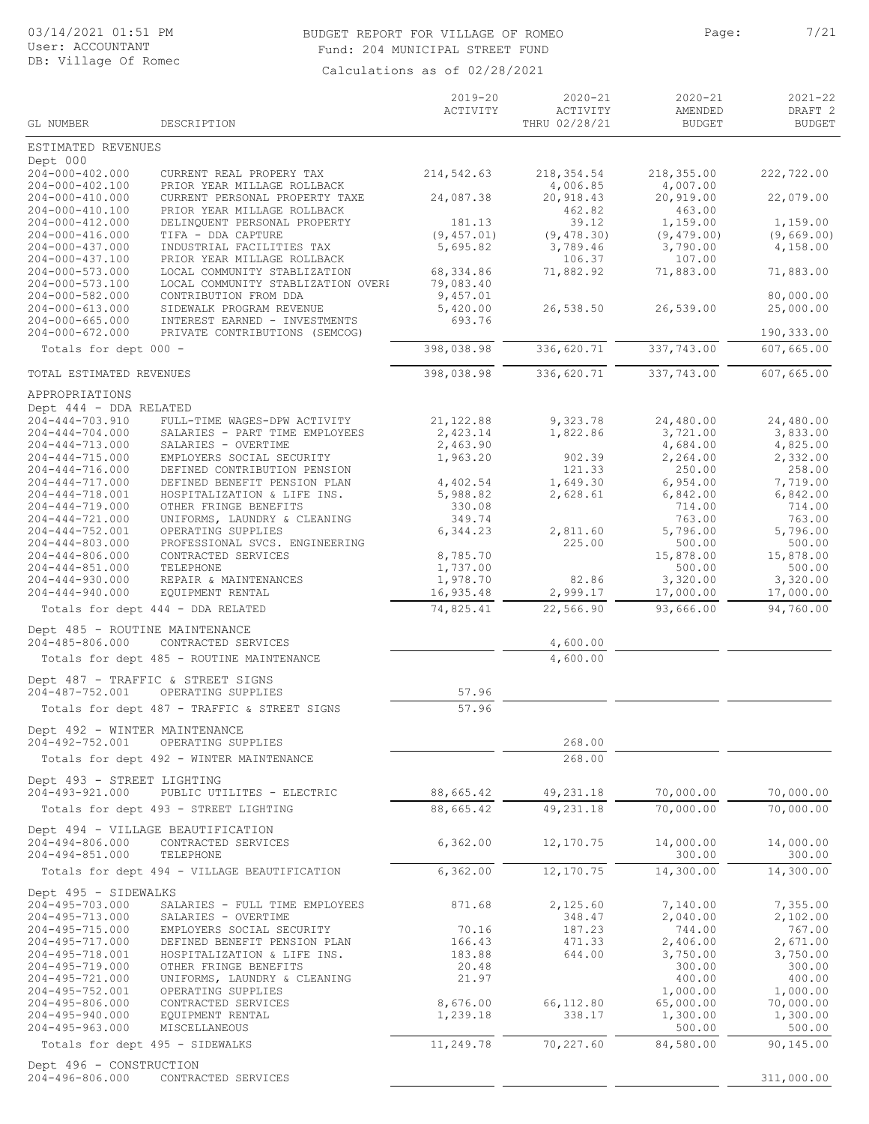#### BUDGET REPORT FOR VILLAGE OF ROMEO Page: 7/21 Fund: 204 MUNICIPAL STREET FUND

|                                                             |                                                                                              | $2019 - 20$          | $2020 - 21$                     | $2020 - 21$                     | $2021 - 22$                         |
|-------------------------------------------------------------|----------------------------------------------------------------------------------------------|----------------------|---------------------------------|---------------------------------|-------------------------------------|
| GL NUMBER                                                   | DESCRIPTION                                                                                  | ACTIVITY             | ACTIVITY<br>THRU 02/28/21       | AMENDED<br><b>BUDGET</b>        | DRAFT <sub>2</sub><br><b>BUDGET</b> |
| ESTIMATED REVENUES                                          |                                                                                              |                      |                                 |                                 |                                     |
| Dept 000<br>204-000-402.000                                 | CURRENT REAL PROPERY TAX                                                                     | 214,542.63           | 218,354.54                      | 218,355.00                      | 222,722.00                          |
| $204 - 000 - 402.100$<br>204-000-410.000<br>204-000-410.100 | PRIOR YEAR MILLAGE ROLLBACK<br>CURRENT PERSONAL PROPERTY TAXE<br>PRIOR YEAR MILLAGE ROLLBACK | 24,087.38            | 4,006.85<br>20,918.43<br>462.82 | 4,007.00<br>20,919.00<br>463.00 | 22,079.00                           |
| 204-000-412.000                                             | DELINQUENT PERSONAL PROPERTY                                                                 | 181.13               | 39.12                           | 1,159.00                        | 1,159.00                            |
| 204-000-416.000                                             | TIFA - DDA CAPTURE                                                                           | (9, 457.01)          | (9, 478.30)                     | (9, 479.00)                     | (9,669.00)                          |
| 204-000-437.000                                             | INDUSTRIAL FACILITIES TAX                                                                    | 5,695.82             | 3,789.46                        | 3,790.00                        | 4,158.00                            |
| $204 - 000 - 437.100$<br>$204 - 000 - 573.000$              | PRIOR YEAR MILLAGE ROLLBACK<br>LOCAL COMMUNITY STABLIZATION                                  | 68,334.86            | 106.37<br>71,882.92             | 107.00<br>71,883.00             | 71,883.00                           |
| $204 - 000 - 573.100$                                       | LOCAL COMMUNITY STABLIZATION OVERH                                                           | 79,083.40            |                                 |                                 |                                     |
| 204-000-582.000                                             | CONTRIBUTION FROM DDA                                                                        | 9,457.01             |                                 |                                 | 80,000.00                           |
| 204-000-613.000<br>$204 - 000 - 665.000$                    | SIDEWALK PROGRAM REVENUE<br>INTEREST EARNED - INVESTMENTS                                    | 5,420.00<br>693.76   | 26,538.50                       | 26,539.00                       | 25,000.00                           |
| $204 - 000 - 672.000$                                       | PRIVATE CONTRIBUTIONS (SEMCOG)                                                               |                      |                                 |                                 | 190,333.00                          |
| Totals for dept 000 -                                       |                                                                                              | 398,038.98           | 336,620.71                      | 337,743.00                      | 607,665.00                          |
| TOTAL ESTIMATED REVENUES                                    |                                                                                              | 398,038.98           | 336,620.71                      | 337,743.00                      | 607,665.00                          |
| APPROPRIATIONS                                              |                                                                                              |                      |                                 |                                 |                                     |
| Dept 444 - DDA RELATED<br>$204 - 444 - 703.910$             | FULL-TIME WAGES-DPW ACTIVITY                                                                 | 21,122.88            | 9,323.78                        | 24,480.00                       | 24,480.00                           |
| $204 - 444 - 704.000$                                       | SALARIES - PART TIME EMPLOYEES                                                               | 2,423.14             | 1,822.86                        | 3,721.00                        | 3,833.00                            |
| 204-444-713.000                                             | SALARIES - OVERTIME                                                                          | 2,463.90             |                                 | 4,684.00                        | 4,825.00                            |
| $204 - 444 - 715.000$<br>$204 - 444 - 716,000$              | EMPLOYERS SOCIAL SECURITY<br>DEFINED CONTRIBUTION PENSION                                    | 1,963.20             | 902.39<br>121.33                | 2,264.00<br>250.00              | 2,332.00<br>258.00                  |
| $204 - 444 - 717.000$                                       | DEFINED BENEFIT PENSION PLAN                                                                 | 4,402.54             | 1,649.30                        | 6,954.00                        | 7,719.00                            |
| $204 - 444 - 718.001$                                       | HOSPITALIZATION & LIFE INS.                                                                  | 5,988.82             | 2,628.61                        | 6,842.00                        | 6,842.00                            |
| $204 - 444 - 719.000$                                       | OTHER FRINGE BENEFITS                                                                        | 330.08               |                                 | 714.00                          | 714.00                              |
| $204 - 444 - 721.000$<br>$204 - 444 - 752.001$              | UNIFORMS, LAUNDRY & CLEANING<br>OPERATING SUPPLIES                                           | 349.74<br>6,344.23   | 2,811.60                        | 763.00<br>5,796.00              | 763.00<br>5,796.00                  |
| $204 - 444 - 803.000$                                       | PROFESSIONAL SVCS. ENGINEERING                                                               |                      | 225.00                          | 500.00                          | 500.00                              |
| $204 - 444 - 806.000$                                       | CONTRACTED SERVICES                                                                          | 8,785.70             |                                 | 15,878.00                       | 15,878.00                           |
| $204 - 444 - 851.000$<br>$204 - 444 - 930.000$              | TELEPHONE<br>REPAIR & MAINTENANCES                                                           | 1,737.00<br>1,978.70 | 82.86                           | 500.00<br>3,320.00              | 500.00<br>3,320.00                  |
| $204 - 444 - 940.000$                                       | EQUIPMENT RENTAL                                                                             | 16,935.48            | 2,999.17                        | 17,000.00                       | 17,000.00                           |
|                                                             | Totals for dept 444 - DDA RELATED                                                            | 74,825.41            | 22,566.90                       | 93,666.00                       | 94,760.00                           |
| Dept 485 - ROUTINE MAINTENANCE<br>204-485-806.000           | CONTRACTED SERVICES                                                                          |                      | 4,600.00                        |                                 |                                     |
|                                                             | Totals for dept 485 - ROUTINE MAINTENANCE                                                    |                      | 4,600.00                        |                                 |                                     |
|                                                             | Dept 487 - TRAFFIC & STREET SIGNS                                                            |                      |                                 |                                 |                                     |
| 204-487-752.001                                             | OPERATING SUPPLIES                                                                           | 57.96                |                                 |                                 |                                     |
| Dept 492 - WINTER MAINTENANCE                               | Totals for dept 487 - TRAFFIC & STREET SIGNS                                                 | 57.96                |                                 |                                 |                                     |
| 204-492-752.001                                             | OPERATING SUPPLIES                                                                           |                      | 268.00                          |                                 |                                     |
|                                                             | Totals for dept 492 - WINTER MAINTENANCE                                                     |                      | 268.00                          |                                 |                                     |
| Dept 493 - STREET LIGHTING<br>204-493-921.000               | PUBLIC UTILITES - ELECTRIC                                                                   | 88,665.42            | 49,231.18                       | 70,000.00                       | 70,000.00                           |
|                                                             | Totals for dept 493 - STREET LIGHTING                                                        | 88,665.42            | 49,231.18                       | 70,000.00                       | 70,000.00                           |
|                                                             | Dept 494 - VILLAGE BEAUTIFICATION                                                            |                      |                                 |                                 |                                     |
| 204-494-806.000<br>204-494-851.000                          | CONTRACTED SERVICES<br>TELEPHONE                                                             | 6,362.00             | 12,170.75                       | 14,000.00<br>300.00             | 14,000.00<br>300.00                 |
|                                                             | Totals for dept 494 - VILLAGE BEAUTIFICATION                                                 | 6, 362.00            | 12,170.75                       | 14,300.00                       | 14,300.00                           |
| Dept 495 - SIDEWALKS                                        |                                                                                              |                      |                                 |                                 |                                     |
| 204-495-703.000                                             | SALARIES - FULL TIME EMPLOYEES                                                               | 871.68               | 2,125.60                        | 7,140.00                        | 7,355.00                            |
| 204-495-713.000<br>204-495-715.000                          | SALARIES - OVERTIME<br>EMPLOYERS SOCIAL SECURITY                                             | 70.16                | 348.47<br>187.23                | 2,040.00<br>744.00              | 2,102.00<br>767.00                  |
| 204-495-717.000                                             | DEFINED BENEFIT PENSION PLAN                                                                 | 166.43               | 471.33                          | 2,406.00                        | 2,671.00                            |
| 204-495-718.001                                             | HOSPITALIZATION & LIFE INS.                                                                  | 183.88               | 644.00                          | 3,750.00                        | 3,750.00                            |
| 204-495-719.000                                             | OTHER FRINGE BENEFITS                                                                        | 20.48                |                                 | 300.00                          | 300.00                              |
| 204-495-721.000<br>204-495-752.001                          | UNIFORMS, LAUNDRY & CLEANING<br>OPERATING SUPPLIES                                           | 21.97                |                                 | 400.00<br>1,000.00              | 400.00<br>1,000.00                  |
| 204-495-806.000                                             | CONTRACTED SERVICES                                                                          | 8,676.00             | 66,112.80                       | 65,000.00                       | 70,000.00                           |
| $204 - 495 - 940.000$                                       | EQUIPMENT RENTAL                                                                             | 1,239.18             | 338.17                          | 1,300.00                        | 1,300.00                            |
| $204 - 495 - 963.000$                                       | MISCELLANEOUS                                                                                |                      | 70,227.60                       | 500.00<br>84,580.00             | 500.00<br>90,145.00                 |
|                                                             | Totals for dept 495 - SIDEWALKS                                                              | 11,249.78            |                                 |                                 |                                     |
| Dept 496 - CONSTRUCTION<br>204-496-806.000                  | CONTRACTED SERVICES                                                                          |                      |                                 |                                 | 311,000.00                          |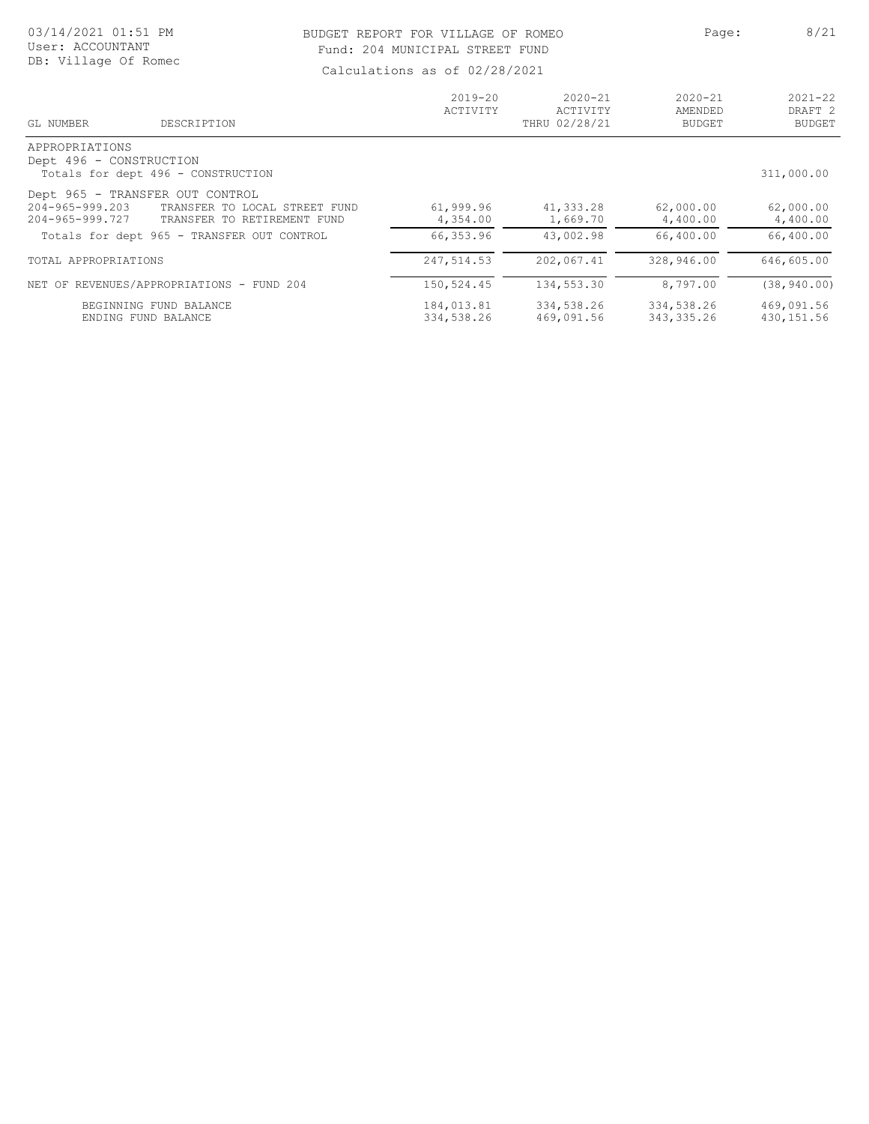#### 03/14/2021 01:51 PM User: ACCOUNTANT DB: Village Of Romec

#### BUDGET REPORT FOR VILLAGE OF ROMEO PAGE: Page: 8/21 Fund: 204 MUNICIPAL STREET FUND

| DESCRIPTION<br>GL NUMBER                         | $2019 - 20$<br>ACTIVITY | $2020 - 21$<br>ACTIVITY<br>THRU 02/28/21 | $2020 - 21$<br>AMENDED<br><b>BUDGET</b> | $2021 - 22$<br>DRAFT <sub>2</sub><br><b>BUDGET</b> |
|--------------------------------------------------|-------------------------|------------------------------------------|-----------------------------------------|----------------------------------------------------|
| APPROPRIATIONS<br>Dept 496 - CONSTRUCTION        |                         |                                          |                                         |                                                    |
| Totals for dept 496 - CONSTRUCTION               |                         |                                          |                                         | 311,000.00                                         |
| Dept 965 - TRANSFER OUT CONTROL                  |                         |                                          |                                         |                                                    |
| 204-965-999.203<br>TRANSFER TO LOCAL STREET FUND | 61,999.96               | 41,333.28                                | 62,000.00                               | 62,000.00                                          |
| 204-965-999.727<br>TRANSFER TO RETIREMENT FUND   | 4,354.00                | 1,669.70                                 | 4,400.00                                | 4,400.00                                           |
| Totals for dept 965 - TRANSFER OUT CONTROL       | 66,353.96               | 43,002.98                                | 66,400.00                               | 66,400.00                                          |
| TOTAL APPROPRIATIONS                             | 247,514.53              | 202,067.41                               | 328,946.00                              | 646,605.00                                         |
| NET OF REVENUES/APPROPRIATIONS - FUND 204        | 150,524.45              | 134,553.30                               | 8,797.00                                | (38, 940, 00)                                      |
| BEGINNING FUND BALANCE                           | 184,013.81              | 334,538.26                               | 334,538.26                              | 469,091.56                                         |
| ENDING FUND BALANCE                              | 334,538.26              | 469,091.56                               | 343, 335.26                             | 430, 151.56                                        |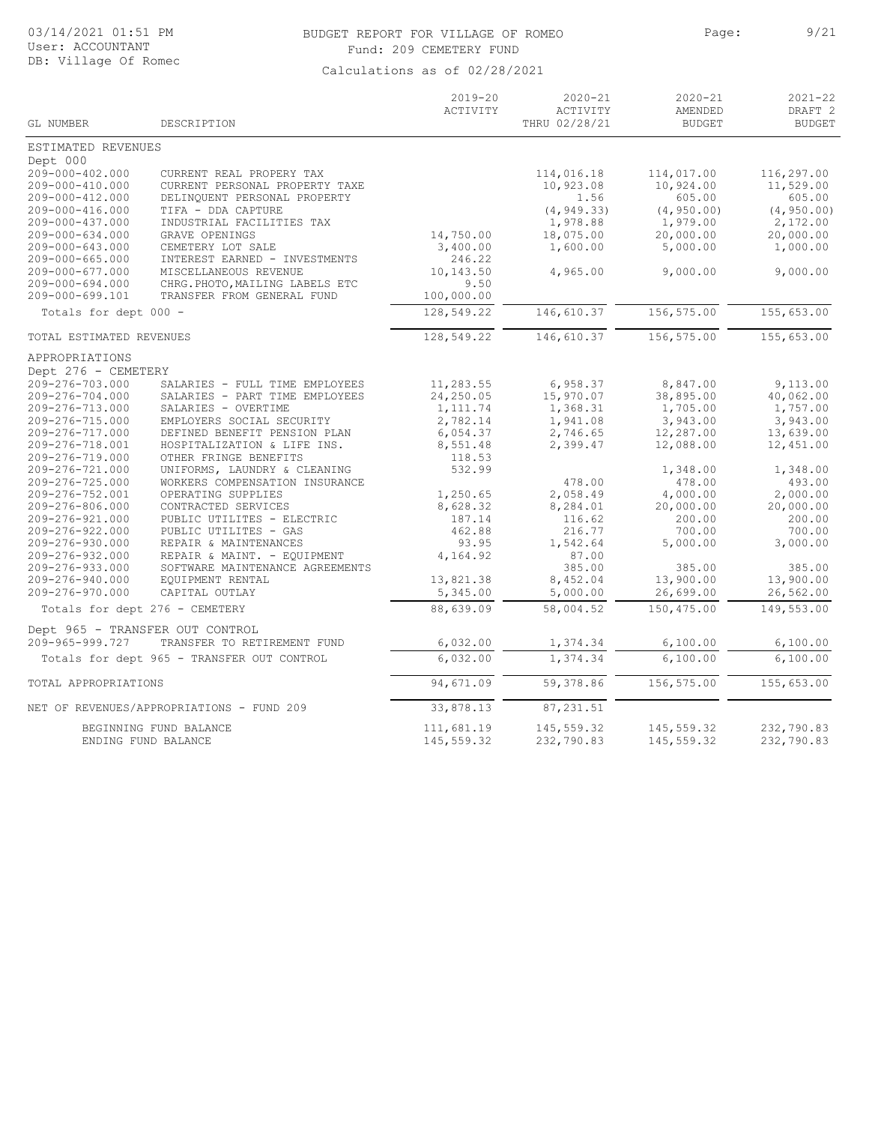#### 03/14/2021 01:51 PM BUDGET REPORT FOR VILLAGE OF ROMEO Page: 9/21 Fund: 209 CEMETERY FUND

|                                 |                                            | $2019 - 20$<br>ACTIVITY | $2020 - 21$<br>ACTIVITY | $2020 - 21$<br>AMENDED | $2021 - 22$<br>DRAFT <sub>2</sub> |
|---------------------------------|--------------------------------------------|-------------------------|-------------------------|------------------------|-----------------------------------|
| GL NUMBER                       | DESCRIPTION                                |                         | THRU 02/28/21           | <b>BUDGET</b>          | <b>BUDGET</b>                     |
| ESTIMATED REVENUES              |                                            |                         |                         |                        |                                   |
| Dept 000                        |                                            |                         |                         |                        |                                   |
| 209-000-402.000                 | CURRENT REAL PROPERY TAX                   |                         | 114,016.18              | 114,017.00             | 116,297.00                        |
| 209-000-410.000                 | CURRENT PERSONAL PROPERTY TAXE             |                         | 10,923.08               | 10,924.00              | 11,529.00                         |
| 209-000-412.000                 | DELINQUENT PERSONAL PROPERTY               |                         | 1.56                    | 605.00                 | 605.00                            |
| 209-000-416.000                 | TIFA - DDA CAPTURE                         |                         | (4, 949.33)             | (4, 950.00)            | (4, 950.00)                       |
| $209 - 000 - 437.000$           | INDUSTRIAL FACILITIES TAX                  |                         | 1,978.88                | 1,979.00               | 2,172.00                          |
| $209 - 000 - 634.000$           | GRAVE OPENINGS                             | 14,750.00               | 18,075.00               | 20,000.00              | 20,000.00                         |
| 209-000-643.000                 | CEMETERY LOT SALE                          | 3,400.00                | 1,600.00                | 5,000.00               | 1,000.00                          |
| $209 - 000 - 665.000$           | INTEREST EARNED - INVESTMENTS              | 246.22                  |                         |                        |                                   |
| 209-000-677.000                 | MISCELLANEOUS REVENUE                      | 10,143.50               | 4,965.00                | 9,000.00               | 9,000.00                          |
| $209 - 000 - 694.000$           | CHRG. PHOTO, MAILING LABELS ETC            | 9.50                    |                         |                        |                                   |
| 209-000-699.101                 | TRANSFER FROM GENERAL FUND                 | 100,000.00              |                         |                        |                                   |
| Totals for dept 000 -           |                                            | 128,549.22              | 146,610.37              | 156,575.00             | 155,653.00                        |
| TOTAL ESTIMATED REVENUES        |                                            | 128,549.22              | 146,610.37              | 156,575.00             | 155,653.00                        |
| APPROPRIATIONS                  |                                            |                         |                         |                        |                                   |
| Dept 276 - CEMETERY             |                                            |                         |                         |                        |                                   |
| 209-276-703.000                 | SALARIES - FULL TIME EMPLOYEES             | 11,283.55               | 6,958.37                | 8,847.00               | 9,113.00                          |
| 209-276-704.000                 | SALARIES - PART TIME EMPLOYEES             | 24,250.05               | 15,970.07               | 38,895.00              | 40,062.00                         |
| 209-276-713.000                 | SALARIES - OVERTIME                        | 1,111.74                | 1,368.31                | 1,705.00               | 1,757.00                          |
| 209-276-715.000                 | EMPLOYERS SOCIAL SECURITY                  | 2,782.14                | 1,941.08                | 3,943.00               | 3,943.00                          |
| 209-276-717.000                 | DEFINED BENEFIT PENSION PLAN               | 6,054.37                | 2,746.65                | 12,287.00              | 13,639.00                         |
| 209-276-718.001                 | HOSPITALIZATION & LIFE INS.                | 8,551.48                | 2,399.47                | 12,088.00              | 12,451.00                         |
| 209-276-719.000                 | OTHER FRINGE BENEFITS                      | 118.53                  |                         |                        |                                   |
| 209-276-721.000                 | UNIFORMS, LAUNDRY & CLEANING               | 532.99                  |                         | 1,348.00               | 1,348.00                          |
| 209-276-725.000                 | WORKERS COMPENSATION INSURANCE             |                         | 478.00                  | 478.00                 | 493.00                            |
| 209-276-752.001                 | OPERATING SUPPLIES                         | 1,250.65                | 2,058.49                | 4,000.00               | 2,000.00                          |
| 209-276-806.000                 | CONTRACTED SERVICES                        | 8,628.32                | 8,284.01                | 20,000.00              | 20,000.00                         |
| 209-276-921.000                 | PUBLIC UTILITES - ELECTRIC                 | 187.14                  | 116.62                  | 200.00                 | 200.00                            |
| 209-276-922.000                 | PUBLIC UTILITES - GAS                      | 462.88                  | 216.77                  | 700.00                 | 700.00                            |
| 209-276-930.000                 | REPAIR & MAINTENANCES                      | 93.95                   | 1,542.64                | 5,000.00               | 3,000.00                          |
| 209-276-932.000                 | REPAIR & MAINT. - EQUIPMENT                | 4,164.92                | 87.00                   |                        |                                   |
| 209-276-933.000                 | SOFTWARE MAINTENANCE AGREEMENTS            |                         | 385.00                  | 385.00                 | 385.00                            |
| 209-276-940.000                 | EQUIPMENT RENTAL                           | 13,821.38               | 8,452.04                | 13,900.00              | 13,900.00                         |
| 209-276-970.000                 | CAPITAL OUTLAY                             | 5,345.00                | 5,000.00                | 26,699.00              | 26,562.00                         |
| Totals for dept 276 - CEMETERY  |                                            | 88,639.09               | 58,004.52               | 150,475.00             | 149,553.00                        |
| Dept 965 - TRANSFER OUT CONTROL |                                            |                         |                         |                        |                                   |
| 209-965-999.727                 | TRANSFER TO RETIREMENT FUND                | 6,032.00                | 1,374.34                | 6,100.00               | 6,100.00                          |
|                                 | Totals for dept 965 - TRANSFER OUT CONTROL | 6,032.00                | 1,374.34                | 6,100.00               | 6,100.00                          |
| TOTAL APPROPRIATIONS            |                                            | 94,671.09               | 59,378.86               | 156,575.00             | 155,653.00                        |
|                                 | NET OF REVENUES/APPROPRIATIONS - FUND 209  | 33,878.13               | 87,231.51               |                        |                                   |
|                                 | BEGINNING FUND BALANCE                     | 111,681.19              | 145,559.32              | 145,559.32             | 232,790.83                        |
|                                 | ENDING FUND BALANCE                        | 145,559.32              | 232,790.83              | 145,559.32             | 232,790.83                        |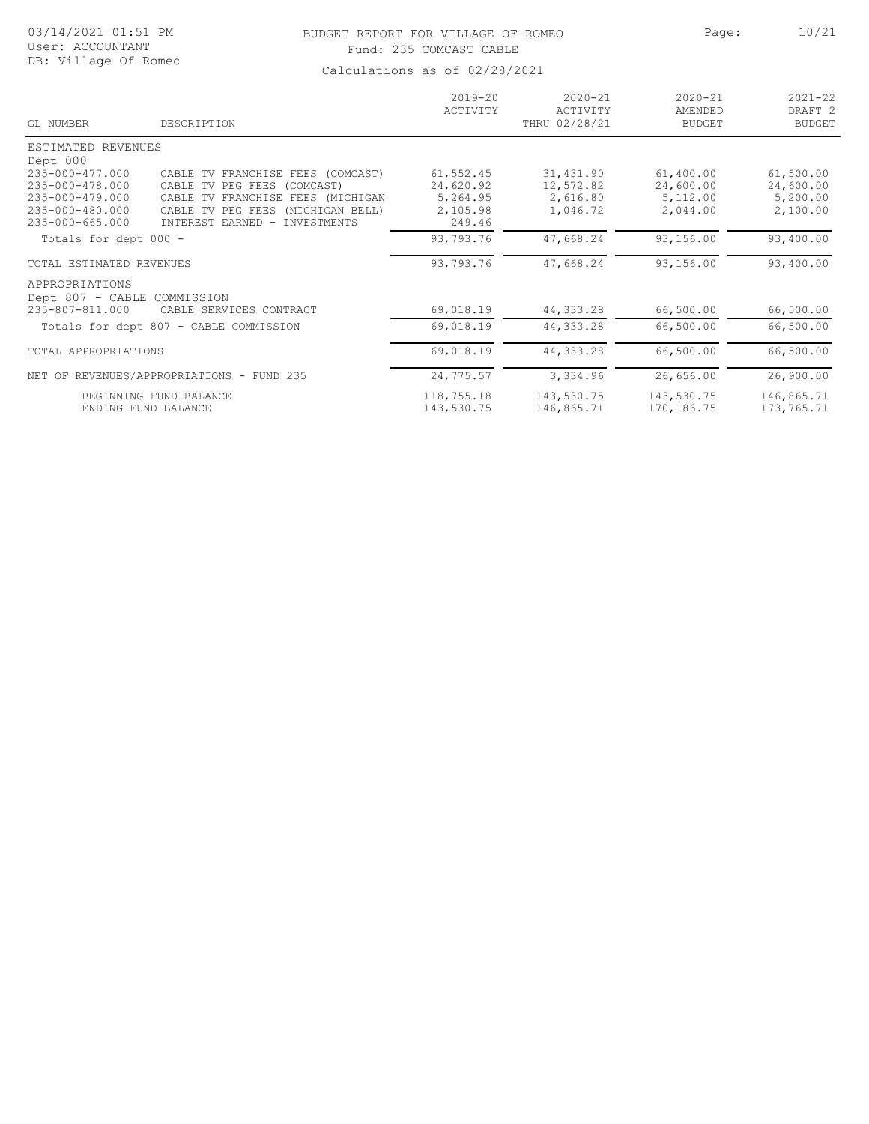## BUDGET REPORT FOR VILLAGE OF ROMEO Page: 10/21 Fund: 235 COMCAST CABLE

| GL NUMBER                   | DESCRIPTION                                       | $2019 - 20$<br>ACTIVITY | $2020 - 21$<br>ACTIVITY<br>THRU 02/28/21 | $2020 - 21$<br>AMENDED<br><b>BUDGET</b> | $2021 - 22$<br>DRAFT <sub>2</sub><br><b>BUDGET</b> |
|-----------------------------|---------------------------------------------------|-------------------------|------------------------------------------|-----------------------------------------|----------------------------------------------------|
| ESTIMATED REVENUES          |                                                   |                         |                                          |                                         |                                                    |
| Dept 000                    |                                                   |                         |                                          |                                         |                                                    |
| 235-000-477.000             | CABLE TV FRANCHISE FEES (COMCAST)                 | 61, 552.45              | 31,431.90                                | 61,400.00                               | 61,500.00                                          |
| 235-000-478.000             | CABLE<br>PEG FEES<br>(COMCAST)<br>TV              | 24,620.92               | 12,572.82                                | 24,600.00                               | 24,600.00                                          |
| 235-000-479.000             | CABLE<br>FRANCHISE FEES (MICHIGAN<br>TV           | 5,264.95                | 2,616.80                                 | 5,112.00                                | 5,200.00                                           |
| 235-000-480.000             | <b>CABLE</b><br>PEG FEES<br>(MICHIGAN BELL)<br>TV | 2,105.98                | 1,046.72                                 | 2,044.00                                | 2,100.00                                           |
| $235 - 000 - 665.000$       | INTEREST EARNED -<br>INVESTMENTS                  | 249.46                  |                                          |                                         |                                                    |
| Totals for dept 000 -       |                                                   | 93,793.76               | 47,668.24                                | 93,156.00                               | 93,400.00                                          |
| TOTAL ESTIMATED REVENUES    |                                                   | 93,793.76               | 47,668.24                                | 93,156.00                               | 93,400.00                                          |
| APPROPRIATIONS              |                                                   |                         |                                          |                                         |                                                    |
| Dept 807 - CABLE COMMISSION |                                                   |                         |                                          |                                         |                                                    |
| 235-807-811.000             | CABLE SERVICES CONTRACT                           | 69,018.19               | 44, 333.28                               | 66,500.00                               | 66,500.00                                          |
|                             | Totals for dept 807 - CABLE COMMISSION            | 69,018.19               | 44, 333.28                               | 66,500.00                               | 66,500.00                                          |
| TOTAL APPROPRIATIONS        |                                                   | 69,018.19               | 44, 333.28                               | 66,500.00                               | 66,500.00                                          |
|                             | NET OF REVENUES/APPROPRIATIONS - FUND 235         | 24,775.57               | 3,334.96                                 | 26,656.00                               | 26,900.00                                          |
|                             |                                                   |                         |                                          |                                         |                                                    |
|                             | BEGINNING FUND BALANCE<br>ENDING FUND BALANCE     | 118,755.18              | 143,530.75                               | 143,530.75<br>170, 186. 75              | 146,865.71                                         |
|                             |                                                   | 143,530.75              | 146,865.71                               |                                         | 173,765.71                                         |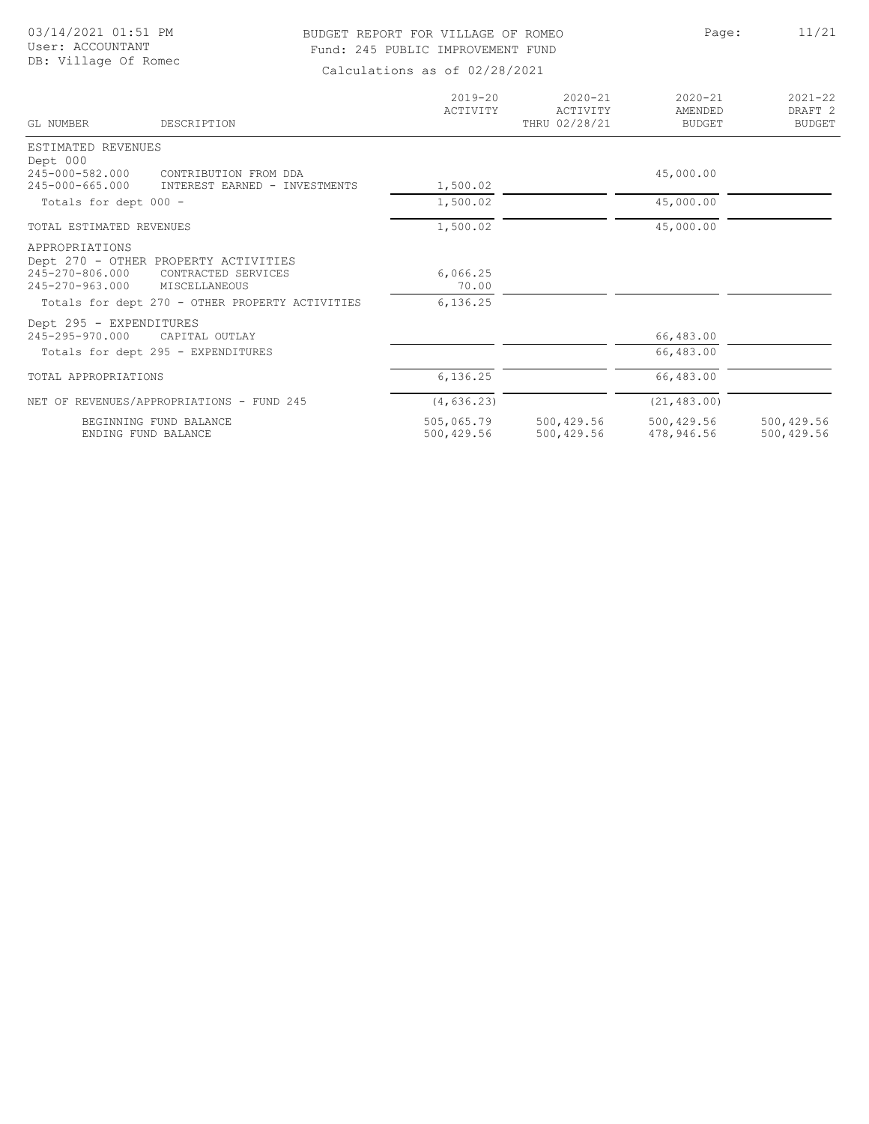# BUDGET REPORT FOR VILLAGE OF ROMEO Page: 11/21 Fund: 245 PUBLIC IMPROVEMENT FUND

| GL NUMBER                                  | DESCRIPTION                                                 | $2019 - 20$<br>ACTIVITY  | $2020 - 21$<br>ACTIVITY<br>THRU 02/28/21 | $2020 - 21$<br>AMENDED<br><b>BUDGET</b> | $2021 - 22$<br>DRAFT <sub>2</sub><br><b>BUDGET</b> |
|--------------------------------------------|-------------------------------------------------------------|--------------------------|------------------------------------------|-----------------------------------------|----------------------------------------------------|
| ESTIMATED REVENUES                         |                                                             |                          |                                          |                                         |                                                    |
| Dept 000<br>245-000-582.000                | CONTRIBUTION FROM DDA                                       |                          |                                          | 45,000.00                               |                                                    |
| $245 - 000 - 665.000$                      | INTEREST EARNED - INVESTMENTS                               | 1,500.02                 |                                          |                                         |                                                    |
| Totals for dept 000 -                      |                                                             | 1,500.02                 |                                          | 45,000.00                               |                                                    |
| TOTAL ESTIMATED REVENUES                   |                                                             | 1,500.02                 |                                          | 45,000.00                               |                                                    |
| APPROPRIATIONS<br>245-270-806.000          | Dept 270 - OTHER PROPERTY ACTIVITIES<br>CONTRACTED SERVICES | 6,066.25                 |                                          |                                         |                                                    |
| 245-270-963.000                            | MISCELLANEOUS                                               | 70.00                    |                                          |                                         |                                                    |
|                                            | Totals for dept 270 - OTHER PROPERTY ACTIVITIES             | 6,136.25                 |                                          |                                         |                                                    |
| Dept 295 - EXPENDITURES<br>245-295-970.000 | CAPITAL OUTLAY                                              |                          |                                          | 66,483.00                               |                                                    |
|                                            | Totals for dept 295 - EXPENDITURES                          |                          |                                          | 66,483.00                               |                                                    |
| TOTAL APPROPRIATIONS                       |                                                             | 6,136.25                 |                                          | 66,483.00                               |                                                    |
|                                            | NET OF REVENUES/APPROPRIATIONS - FUND 245                   | (4, 636.23)              |                                          | (21, 483.00)                            |                                                    |
| ENDING FUND BALANCE                        | BEGINNING FUND BALANCE                                      | 505,065.79<br>500,429.56 | 500,429.56<br>500,429.56                 | 500,429.56<br>478,946.56                | 500,429.56<br>500,429.56                           |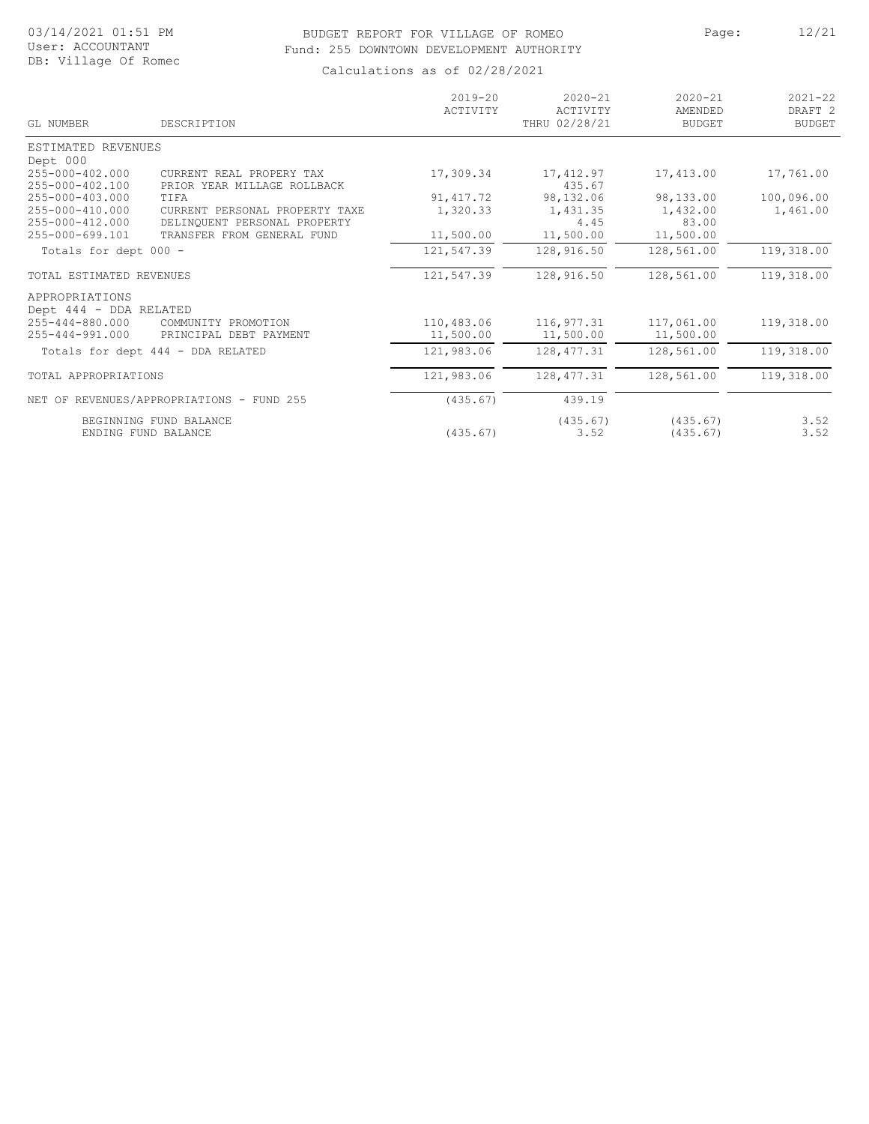#### BUDGET REPORT FOR VILLAGE OF ROMEO PAGE: Page: 12/21 Fund: 255 DOWNTOWN DEVELOPMENT AUTHORITY

| GL NUMBER                                | DESCRIPTION                                                    | $2019 - 20$<br>ACTIVITY | $2020 - 21$<br>ACTIVITY<br>THRU 02/28/21 | $2020 - 21$<br><b>AMENDED</b><br><b>BUDGET</b> | $2021 - 22$<br>DRAFT <sub>2</sub><br><b>BUDGET</b> |
|------------------------------------------|----------------------------------------------------------------|-------------------------|------------------------------------------|------------------------------------------------|----------------------------------------------------|
| ESTIMATED REVENUES                       |                                                                |                         |                                          |                                                |                                                    |
| Dept 000                                 |                                                                |                         |                                          |                                                |                                                    |
| 255-000-402.000<br>255-000-402.100       | CURRENT REAL PROPERY TAX<br>PRIOR YEAR MILLAGE ROLLBACK        | 17,309.34               | 17,412.97<br>435.67                      | 17,413.00                                      | 17,761.00                                          |
| 255-000-403.000                          | TIFA                                                           | 91, 417.72              | 98,132.06                                | 98,133.00                                      | 100,096.00                                         |
| 255-000-410.000<br>255-000-412.000       | CURRENT PERSONAL PROPERTY TAXE<br>DELINOUENT PERSONAL PROPERTY | 1,320.33                | 1,431.35<br>4.45                         | 1,432.00<br>83.00                              | 1,461.00                                           |
| 255-000-699.101                          | TRANSFER FROM GENERAL FUND                                     | 11,500.00               | 11,500.00                                | 11,500.00                                      |                                                    |
| Totals for dept 000 -                    |                                                                | 121,547.39              | 128,916.50                               | 128,561.00                                     | 119,318.00                                         |
| TOTAL ESTIMATED REVENUES                 |                                                                | 121,547.39              | 128,916.50                               | 128,561.00                                     | 119,318.00                                         |
| APPROPRIATIONS                           |                                                                |                         |                                          |                                                |                                                    |
| Dept 444 - DDA RELATED                   |                                                                |                         |                                          |                                                |                                                    |
| 255-444-880.000<br>$255 - 444 - 991.000$ | COMMUNITY PROMOTION<br>PRINCIPAL DEBT PAYMENT                  | 110,483.06<br>11,500.00 | 116,977.31<br>11,500.00                  | 117,061.00<br>11,500.00                        | 119,318.00                                         |
|                                          | Totals for dept 444 - DDA RELATED                              | 121,983.06              | 128, 477.31                              | 128,561.00                                     | 119,318.00                                         |
| TOTAL APPROPRIATIONS                     |                                                                | 121,983.06              | 128, 477.31                              | 128,561.00                                     | 119,318.00                                         |
|                                          | NET OF REVENUES/APPROPRIATIONS - FUND 255                      | (435.67)                | 439.19                                   |                                                |                                                    |
|                                          | BEGINNING FUND BALANCE<br>ENDING FUND BALANCE                  | (435.67)                | (435.67)<br>3.52                         | (435.67)<br>(435.67)                           | 3.52<br>3.52                                       |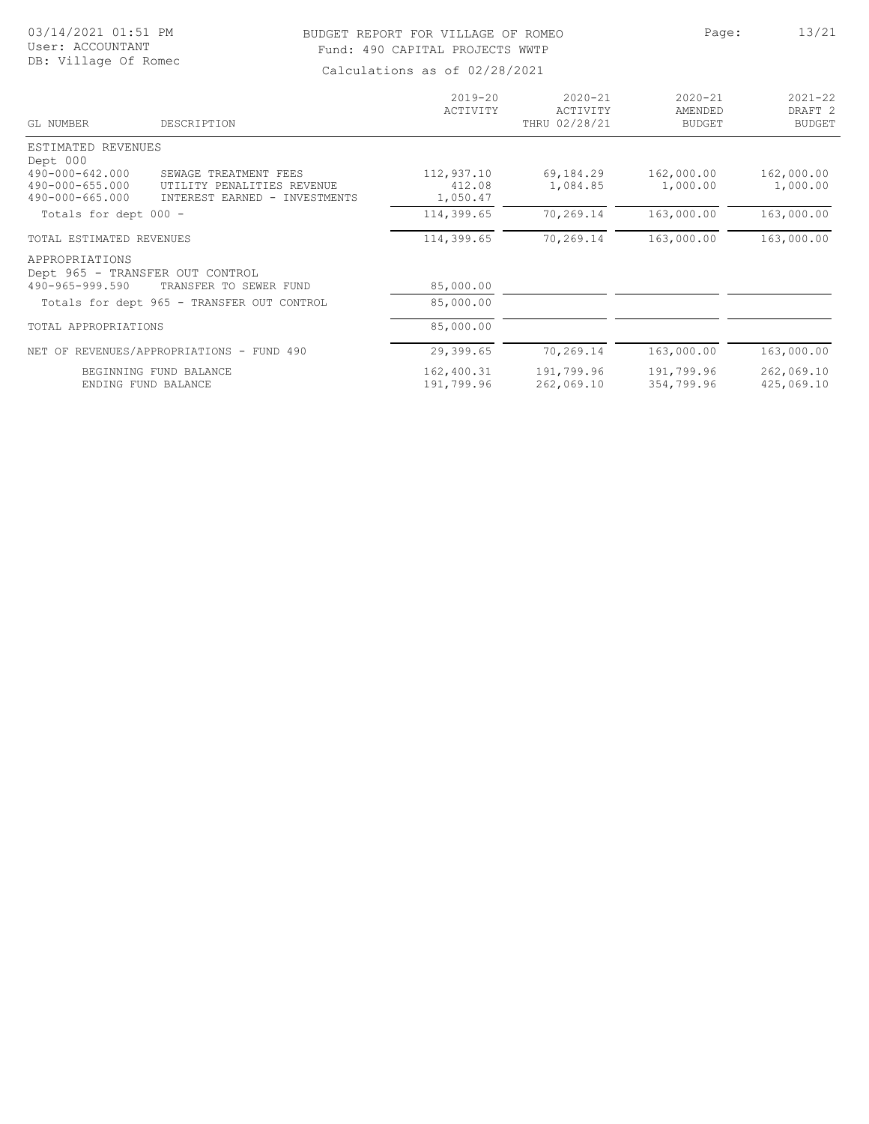#### BUDGET REPORT FOR VILLAGE OF ROMEO Page: 13/21 Fund: 490 CAPITAL PROJECTS WWTP

| GL NUMBER                                                            | DESCRIPTION                                                                          | $2019 - 20$<br>ACTIVITY          | $2020 - 21$<br>ACTIVITY<br>THRU 02/28/21 | $2020 - 21$<br>AMENDED<br><b>BUDGET</b> | $2021 - 22$<br>DRAFT <sub>2</sub><br><b>BUDGET</b> |
|----------------------------------------------------------------------|--------------------------------------------------------------------------------------|----------------------------------|------------------------------------------|-----------------------------------------|----------------------------------------------------|
| ESTIMATED REVENUES<br>Dept 000                                       |                                                                                      |                                  |                                          |                                         |                                                    |
| 490-000-642.000<br>490-000-655.000<br>490-000-665.000                | SEWAGE TREATMENT FEES<br>UTILITY PENALITIES REVENUE<br>INTEREST EARNED - INVESTMENTS | 112,937.10<br>412.08<br>1,050.47 | 69,184.29<br>1,084.85                    | 162,000.00<br>1,000.00                  | 162,000.00<br>1,000.00                             |
| Totals for dept 000 -                                                |                                                                                      | 114,399.65                       | 70,269.14                                | 163,000.00                              | 163,000.00                                         |
| TOTAL ESTIMATED REVENUES                                             |                                                                                      | 114,399.65                       | 70,269.14                                | 163,000.00                              | 163,000.00                                         |
| APPROPRIATIONS<br>Dept 965 - TRANSFER OUT CONTROL<br>490-965-999.590 | TRANSFER TO SEWER FUND                                                               | 85,000.00                        |                                          |                                         |                                                    |
|                                                                      | Totals for dept 965 - TRANSFER OUT CONTROL                                           | 85,000.00                        |                                          |                                         |                                                    |
| TOTAL APPROPRIATIONS                                                 |                                                                                      | 85,000.00                        |                                          |                                         |                                                    |
|                                                                      | NET OF REVENUES/APPROPRIATIONS - FUND 490                                            | 29,399.65                        | 70,269.14                                | 163,000.00                              | 163,000.00                                         |
|                                                                      | BEGINNING FUND BALANCE<br>ENDING FUND BALANCE                                        | 162,400.31<br>191,799.96         | 191,799.96<br>262,069.10                 | 191,799.96<br>354,799.96                | 262,069.10<br>425,069.10                           |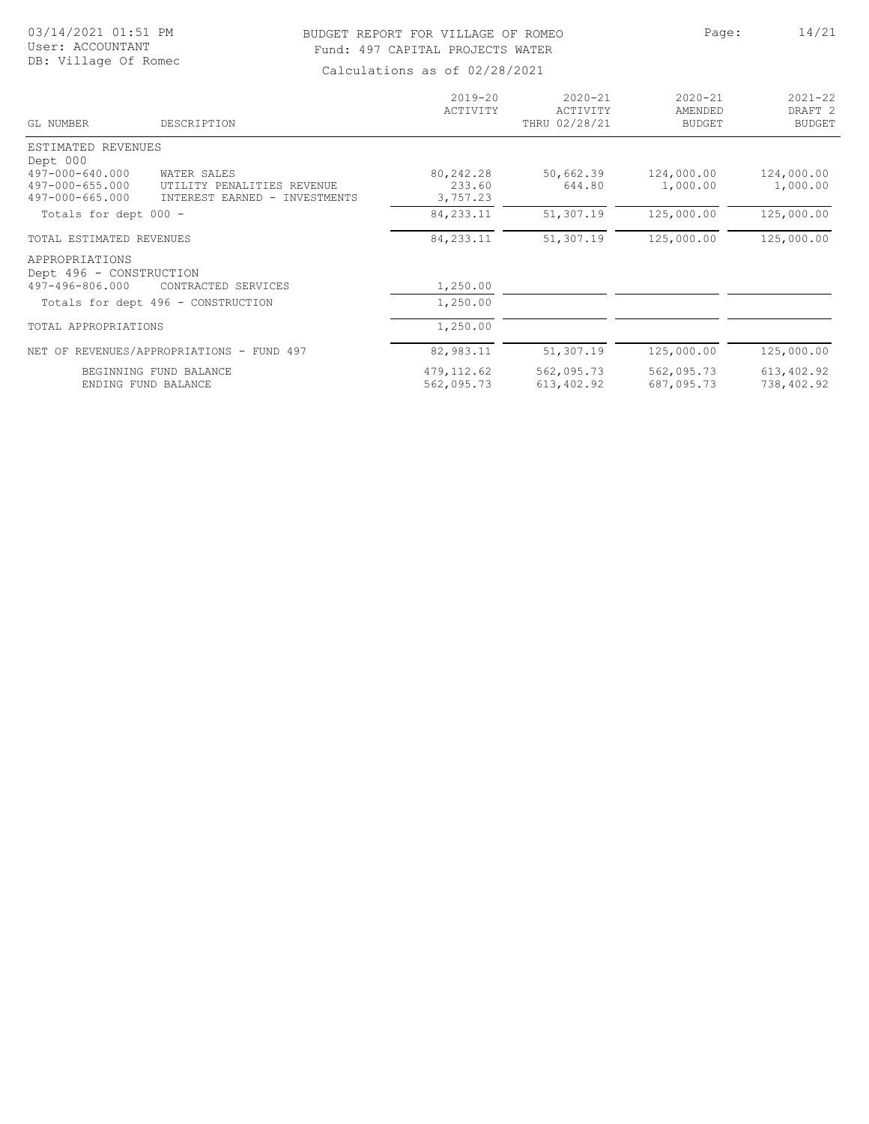### BUDGET REPORT FOR VILLAGE OF ROMEO Page: 14/21 Fund: 497 CAPITAL PROJECTS WATER

| GL NUMBER                                                   | DESCRIPTION                                                                | $2019 - 20$<br>ACTIVITY         | $2020 - 21$<br>ACTIVITY<br>THRU 02/28/21 | $2020 - 21$<br>AMENDED<br><b>BUDGET</b> | $2021 - 22$<br>DRAFT <sub>2</sub><br><b>BUDGET</b> |
|-------------------------------------------------------------|----------------------------------------------------------------------------|---------------------------------|------------------------------------------|-----------------------------------------|----------------------------------------------------|
| ESTIMATED REVENUES<br>Dept 000                              |                                                                            |                                 |                                          |                                         |                                                    |
| 497-000-640.000<br>497-000-655.000<br>$497 - 000 - 665.000$ | WATER SALES<br>UTILITY PENALITIES REVENUE<br>INTEREST EARNED - INVESTMENTS | 80,242.28<br>233.60<br>3,757.23 | 50,662.39<br>644.80                      | 124,000.00<br>1,000.00                  | 124,000.00<br>1,000.00                             |
| Totals for dept 000 -                                       |                                                                            | 84, 233. 11                     | 51,307.19                                | 125,000.00                              | 125,000.00                                         |
| TOTAL ESTIMATED REVENUES                                    |                                                                            | 84, 233. 11                     | 51,307.19                                | 125,000.00                              | 125,000.00                                         |
| APPROPRIATIONS<br>Dept 496 - CONSTRUCTION                   |                                                                            |                                 |                                          |                                         |                                                    |
| 497-496-806.000                                             | CONTRACTED SERVICES                                                        | 1,250.00                        |                                          |                                         |                                                    |
|                                                             | Totals for dept 496 - CONSTRUCTION                                         | 1,250.00                        |                                          |                                         |                                                    |
| TOTAL APPROPRIATIONS                                        |                                                                            | 1,250.00                        |                                          |                                         |                                                    |
|                                                             | NET OF REVENUES/APPROPRIATIONS - FUND 497                                  | 82,983.11                       | 51,307.19                                | 125,000.00                              | 125,000.00                                         |
| ENDING FUND BALANCE                                         | BEGINNING FUND BALANCE                                                     | 479, 112.62<br>562,095.73       | 562,095.73<br>613,402.92                 | 562,095.73<br>687,095.73                | 613,402.92<br>738,402.92                           |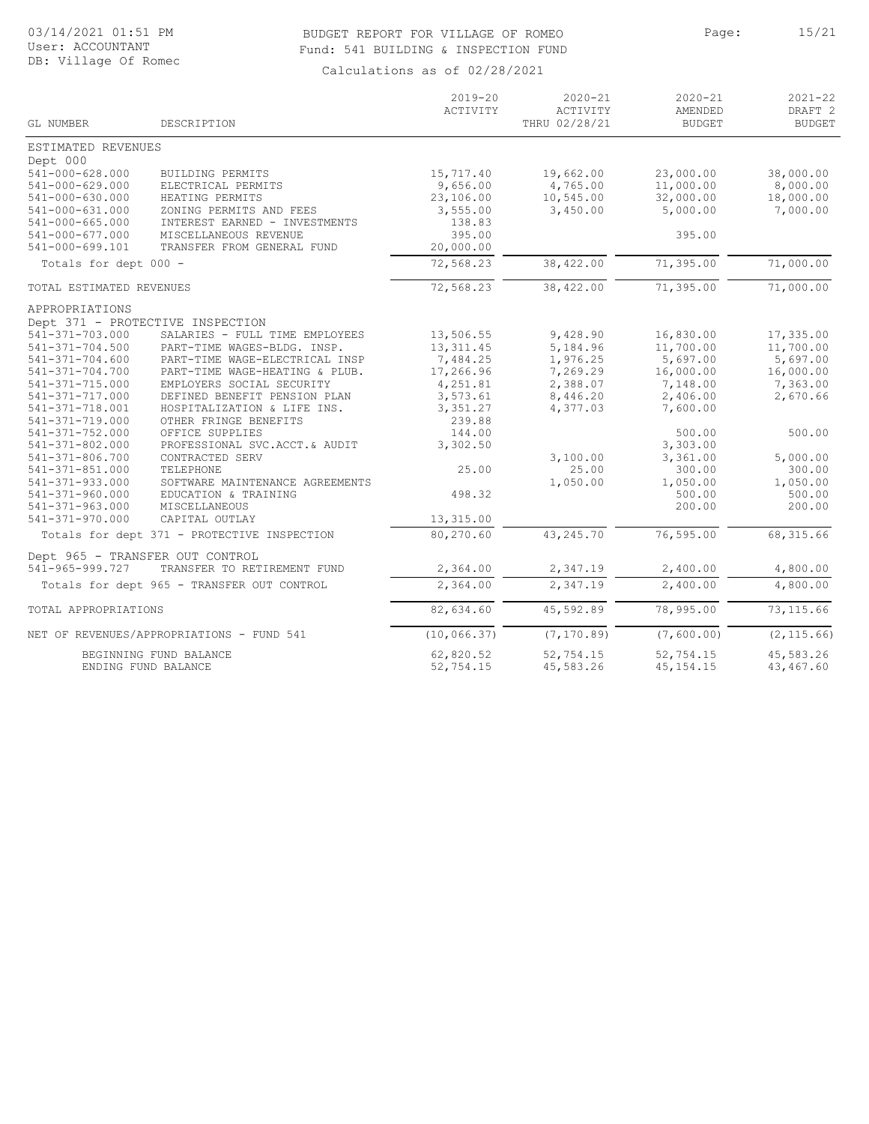# BUDGET REPORT FOR VILLAGE OF ROMEO Page: 15/21 Fund: 541 BUILDING & INSPECTION FUND

| GL NUMBER<br>DESCRIPTION<br>THRU 02/28/21<br><b>BUDGET</b><br>ESTIMATED REVENUES<br>Dept 000<br>$541 - 000 - 628.000$<br>19,662.00<br>23,000.00<br>BUILDING PERMITS<br>15,717.40<br>541-000-629.000<br>9,656.00<br>11,000.00<br>ELECTRICAL PERMITS<br>4,765.00<br>541-000-630.000<br>23,106.00<br>10,545.00<br>32,000.00<br>HEATING PERMITS<br>541-000-631.000<br>ZONING PERMITS AND FEES<br>3,555.00<br>3,450.00<br>5,000.00<br>$541 - 000 - 665.000$<br>138.83<br>INTEREST EARNED - INVESTMENTS<br>395.00<br>395.00<br>541-000-677.000<br>MISCELLANEOUS REVENUE<br>541-000-699.101<br>20,000.00<br>TRANSFER FROM GENERAL FUND<br>72,568.23<br>38,422.00<br>71,395.00<br>Totals for dept 000 -<br>72,568.23<br>38,422.00<br>71,395.00<br>TOTAL ESTIMATED REVENUES<br>APPROPRIATIONS<br>Dept 371 - PROTECTIVE INSPECTION<br>541-371-703.000<br>SALARIES - FULL TIME EMPLOYEES<br>13,506.55<br>9,428.90<br>16,830.00<br>13, 311.45<br>5,184.96<br>11,700.00<br>541-371-704.500<br>PART-TIME WAGES-BLDG. INSP.<br>$541 - 371 - 704.600$<br>PART-TIME WAGE-ELECTRICAL INSP<br>7,484.25<br>1,976.25<br>5,697.00<br>541-371-704.700<br>PART-TIME WAGE-HEATING & PLUB.<br>17,266.96<br>7,269.29<br>16,000.00<br>541-371-715.000<br>EMPLOYERS SOCIAL SECURITY<br>4,251.81<br>2,388.07<br>7,148.00<br>541-371-717.000<br>DEFINED BENEFIT PENSION PLAN<br>3,573.61<br>8,446.20<br>2,406.00 | $2021 - 22$<br>DRAFT <sub>2</sub><br><b>BUDGET</b> |
|-----------------------------------------------------------------------------------------------------------------------------------------------------------------------------------------------------------------------------------------------------------------------------------------------------------------------------------------------------------------------------------------------------------------------------------------------------------------------------------------------------------------------------------------------------------------------------------------------------------------------------------------------------------------------------------------------------------------------------------------------------------------------------------------------------------------------------------------------------------------------------------------------------------------------------------------------------------------------------------------------------------------------------------------------------------------------------------------------------------------------------------------------------------------------------------------------------------------------------------------------------------------------------------------------------------------------------------------------------------------------------------|----------------------------------------------------|
|                                                                                                                                                                                                                                                                                                                                                                                                                                                                                                                                                                                                                                                                                                                                                                                                                                                                                                                                                                                                                                                                                                                                                                                                                                                                                                                                                                                   |                                                    |
|                                                                                                                                                                                                                                                                                                                                                                                                                                                                                                                                                                                                                                                                                                                                                                                                                                                                                                                                                                                                                                                                                                                                                                                                                                                                                                                                                                                   |                                                    |
|                                                                                                                                                                                                                                                                                                                                                                                                                                                                                                                                                                                                                                                                                                                                                                                                                                                                                                                                                                                                                                                                                                                                                                                                                                                                                                                                                                                   | 38,000.00                                          |
|                                                                                                                                                                                                                                                                                                                                                                                                                                                                                                                                                                                                                                                                                                                                                                                                                                                                                                                                                                                                                                                                                                                                                                                                                                                                                                                                                                                   | 8,000.00                                           |
|                                                                                                                                                                                                                                                                                                                                                                                                                                                                                                                                                                                                                                                                                                                                                                                                                                                                                                                                                                                                                                                                                                                                                                                                                                                                                                                                                                                   | 18,000.00                                          |
|                                                                                                                                                                                                                                                                                                                                                                                                                                                                                                                                                                                                                                                                                                                                                                                                                                                                                                                                                                                                                                                                                                                                                                                                                                                                                                                                                                                   | 7,000.00                                           |
|                                                                                                                                                                                                                                                                                                                                                                                                                                                                                                                                                                                                                                                                                                                                                                                                                                                                                                                                                                                                                                                                                                                                                                                                                                                                                                                                                                                   |                                                    |
|                                                                                                                                                                                                                                                                                                                                                                                                                                                                                                                                                                                                                                                                                                                                                                                                                                                                                                                                                                                                                                                                                                                                                                                                                                                                                                                                                                                   |                                                    |
|                                                                                                                                                                                                                                                                                                                                                                                                                                                                                                                                                                                                                                                                                                                                                                                                                                                                                                                                                                                                                                                                                                                                                                                                                                                                                                                                                                                   |                                                    |
|                                                                                                                                                                                                                                                                                                                                                                                                                                                                                                                                                                                                                                                                                                                                                                                                                                                                                                                                                                                                                                                                                                                                                                                                                                                                                                                                                                                   | 71,000.00                                          |
|                                                                                                                                                                                                                                                                                                                                                                                                                                                                                                                                                                                                                                                                                                                                                                                                                                                                                                                                                                                                                                                                                                                                                                                                                                                                                                                                                                                   | 71,000.00                                          |
|                                                                                                                                                                                                                                                                                                                                                                                                                                                                                                                                                                                                                                                                                                                                                                                                                                                                                                                                                                                                                                                                                                                                                                                                                                                                                                                                                                                   |                                                    |
|                                                                                                                                                                                                                                                                                                                                                                                                                                                                                                                                                                                                                                                                                                                                                                                                                                                                                                                                                                                                                                                                                                                                                                                                                                                                                                                                                                                   |                                                    |
|                                                                                                                                                                                                                                                                                                                                                                                                                                                                                                                                                                                                                                                                                                                                                                                                                                                                                                                                                                                                                                                                                                                                                                                                                                                                                                                                                                                   | 17,335.00                                          |
|                                                                                                                                                                                                                                                                                                                                                                                                                                                                                                                                                                                                                                                                                                                                                                                                                                                                                                                                                                                                                                                                                                                                                                                                                                                                                                                                                                                   | 11,700.00                                          |
|                                                                                                                                                                                                                                                                                                                                                                                                                                                                                                                                                                                                                                                                                                                                                                                                                                                                                                                                                                                                                                                                                                                                                                                                                                                                                                                                                                                   | 5,697.00<br>16,000.00                              |
|                                                                                                                                                                                                                                                                                                                                                                                                                                                                                                                                                                                                                                                                                                                                                                                                                                                                                                                                                                                                                                                                                                                                                                                                                                                                                                                                                                                   | 7,363.00                                           |
|                                                                                                                                                                                                                                                                                                                                                                                                                                                                                                                                                                                                                                                                                                                                                                                                                                                                                                                                                                                                                                                                                                                                                                                                                                                                                                                                                                                   | 2,670.66                                           |
| 3,351.27<br>7,600.00<br>541-371-718.001<br>HOSPITALIZATION & LIFE INS.<br>4,377.03                                                                                                                                                                                                                                                                                                                                                                                                                                                                                                                                                                                                                                                                                                                                                                                                                                                                                                                                                                                                                                                                                                                                                                                                                                                                                                |                                                    |
| 239.88<br>541-371-719.000<br>OTHER FRINGE BENEFITS                                                                                                                                                                                                                                                                                                                                                                                                                                                                                                                                                                                                                                                                                                                                                                                                                                                                                                                                                                                                                                                                                                                                                                                                                                                                                                                                |                                                    |
| 144.00<br>500.00<br>541-371-752.000<br>OFFICE SUPPLIES                                                                                                                                                                                                                                                                                                                                                                                                                                                                                                                                                                                                                                                                                                                                                                                                                                                                                                                                                                                                                                                                                                                                                                                                                                                                                                                            | 500.00                                             |
| 541-371-802.000<br>3,302.50<br>3,303.00<br>PROFESSIONAL SVC.ACCT.& AUDIT                                                                                                                                                                                                                                                                                                                                                                                                                                                                                                                                                                                                                                                                                                                                                                                                                                                                                                                                                                                                                                                                                                                                                                                                                                                                                                          |                                                    |
| 3,361.00<br>$541 - 371 - 806.700$<br>CONTRACTED SERV<br>3,100.00                                                                                                                                                                                                                                                                                                                                                                                                                                                                                                                                                                                                                                                                                                                                                                                                                                                                                                                                                                                                                                                                                                                                                                                                                                                                                                                  | 5,000.00                                           |
| 25.00<br>$541 - 371 - 851.000$<br>TELEPHONE<br>25.00<br>300.00                                                                                                                                                                                                                                                                                                                                                                                                                                                                                                                                                                                                                                                                                                                                                                                                                                                                                                                                                                                                                                                                                                                                                                                                                                                                                                                    | 300.00                                             |
| $541 - 371 - 933.000$<br>1,050.00<br>1,050.00<br>SOFTWARE MAINTENANCE AGREEMENTS                                                                                                                                                                                                                                                                                                                                                                                                                                                                                                                                                                                                                                                                                                                                                                                                                                                                                                                                                                                                                                                                                                                                                                                                                                                                                                  | 1,050.00                                           |
| 498.32<br>541-371-960.000<br>500.00<br>EDUCATION & TRAINING                                                                                                                                                                                                                                                                                                                                                                                                                                                                                                                                                                                                                                                                                                                                                                                                                                                                                                                                                                                                                                                                                                                                                                                                                                                                                                                       | 500.00                                             |
| 541-371-963.000<br><b>MISCELLANEOUS</b><br>200.00<br>541-371-970.000<br>CAPITAL OUTLAY<br>13,315.00                                                                                                                                                                                                                                                                                                                                                                                                                                                                                                                                                                                                                                                                                                                                                                                                                                                                                                                                                                                                                                                                                                                                                                                                                                                                               | 200.00                                             |
| 80,270.60<br>43, 245. 70<br>76,595.00<br>Totals for dept 371 - PROTECTIVE INSPECTION                                                                                                                                                                                                                                                                                                                                                                                                                                                                                                                                                                                                                                                                                                                                                                                                                                                                                                                                                                                                                                                                                                                                                                                                                                                                                              | 68, 315.66                                         |
| Dept 965 - TRANSFER OUT CONTROL                                                                                                                                                                                                                                                                                                                                                                                                                                                                                                                                                                                                                                                                                                                                                                                                                                                                                                                                                                                                                                                                                                                                                                                                                                                                                                                                                   |                                                    |
| 541-965-999.727<br>TRANSFER TO RETIREMENT FUND<br>2,364.00<br>2,347.19<br>2,400.00                                                                                                                                                                                                                                                                                                                                                                                                                                                                                                                                                                                                                                                                                                                                                                                                                                                                                                                                                                                                                                                                                                                                                                                                                                                                                                | 4,800.00                                           |
| 2,364.00<br>2,347.19<br>2,400.00<br>Totals for dept 965 - TRANSFER OUT CONTROL                                                                                                                                                                                                                                                                                                                                                                                                                                                                                                                                                                                                                                                                                                                                                                                                                                                                                                                                                                                                                                                                                                                                                                                                                                                                                                    | 4,800.00                                           |
| 82,634.60<br>45,592.89<br>78,995.00<br>TOTAL APPROPRIATIONS                                                                                                                                                                                                                                                                                                                                                                                                                                                                                                                                                                                                                                                                                                                                                                                                                                                                                                                                                                                                                                                                                                                                                                                                                                                                                                                       | 73,115.66                                          |
|                                                                                                                                                                                                                                                                                                                                                                                                                                                                                                                                                                                                                                                                                                                                                                                                                                                                                                                                                                                                                                                                                                                                                                                                                                                                                                                                                                                   |                                                    |
| (10, 066.37)<br>(7, 170.89)<br>(7, 600.00)<br>NET OF REVENUES/APPROPRIATIONS - FUND 541                                                                                                                                                                                                                                                                                                                                                                                                                                                                                                                                                                                                                                                                                                                                                                                                                                                                                                                                                                                                                                                                                                                                                                                                                                                                                           | (2, 115.66)                                        |
| 62,820.52<br>52,754.15<br>52,754.15<br>BEGINNING FUND BALANCE<br>52,754.15<br>45,583.26<br>ENDING FUND BALANCE<br>45, 154. 15                                                                                                                                                                                                                                                                                                                                                                                                                                                                                                                                                                                                                                                                                                                                                                                                                                                                                                                                                                                                                                                                                                                                                                                                                                                     | 45,583.26<br>43,467.60                             |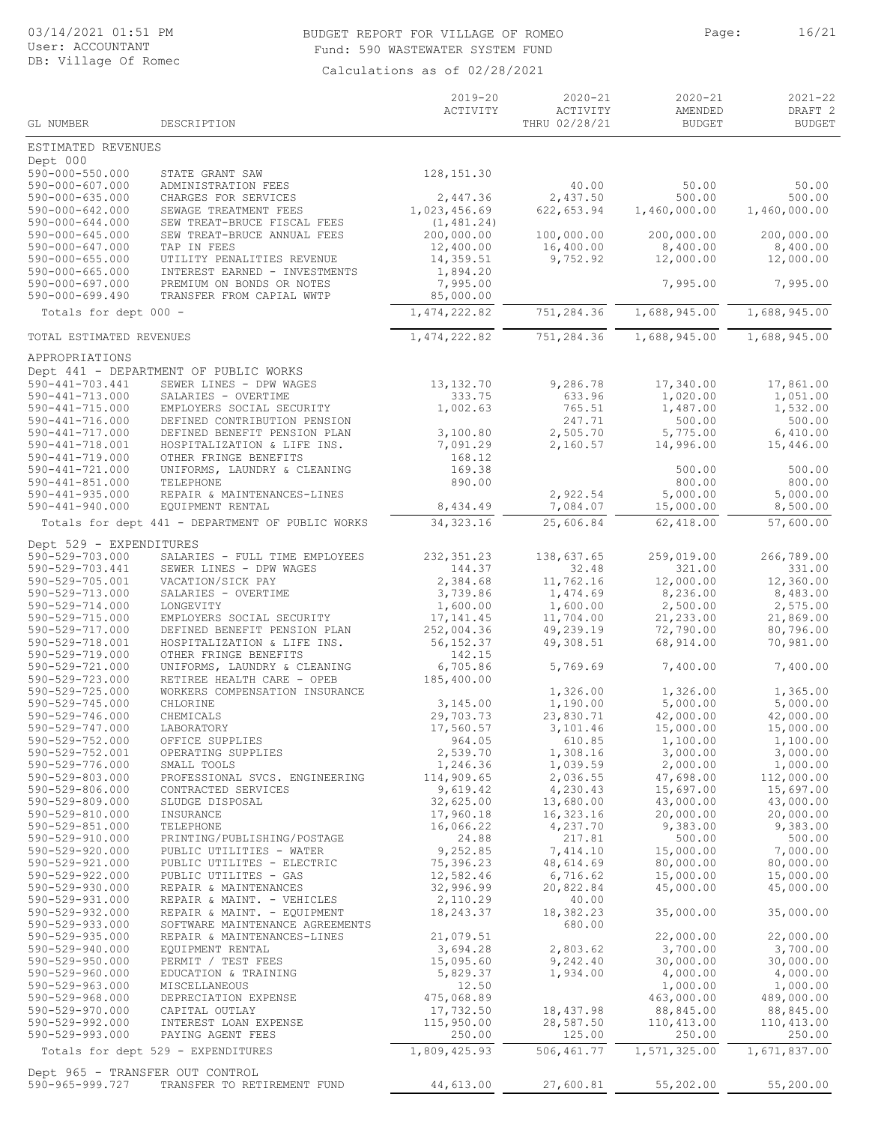### BUDGET REPORT FOR VILLAGE OF ROMEO Page: 16/21 Fund: 590 WASTEWATER SYSTEM FUND

|                                                    |                                                              | $2019 - 20$<br>ACTIVITY     | $2020 - 21$<br>ACTIVITY | $2020 - 21$<br>AMENDED  | $2021 - 22$<br>DRAFT <sub>2</sub> |
|----------------------------------------------------|--------------------------------------------------------------|-----------------------------|-------------------------|-------------------------|-----------------------------------|
| GL NUMBER                                          | DESCRIPTION                                                  |                             | THRU 02/28/21           | <b>BUDGET</b>           | <b>BUDGET</b>                     |
| ESTIMATED REVENUES                                 |                                                              |                             |                         |                         |                                   |
| Dept 000<br>590-000-550.000                        | STATE GRANT SAW                                              | 128, 151.30                 |                         |                         |                                   |
| $590 - 000 - 607.000$                              | ADMINISTRATION FEES                                          |                             | 40.00                   | 50.00                   | 50.00                             |
| $590 - 000 - 635.000$                              | CHARGES FOR SERVICES                                         | 2,447.36                    | 2,437.50                | 500.00                  | 500.00                            |
| $590 - 000 - 642.000$<br>$590 - 000 - 644.000$     | SEWAGE TREATMENT FEES<br>SEW TREAT-BRUCE FISCAL FEES         | 1,023,456.69<br>(1, 481.24) | 622, 653.94             | 1,460,000.00            | 1,460,000.00                      |
| $590 - 000 - 645.000$                              | SEW TREAT-BRUCE ANNUAL FEES                                  | 200,000.00                  | 100,000.00              | 200,000.00              | 200,000.00                        |
| 590-000-647.000                                    | TAP IN FEES                                                  | 12,400.00<br>14,359.51      | 16,400.00<br>9,752.92   | 8,400.00                | 8,400.00                          |
| $590 - 000 - 655.000$<br>$590 - 000 - 665.000$     | UTILITY PENALITIES REVENUE<br>INTEREST EARNED - INVESTMENTS  | 1,894.20                    |                         | 12,000.00               | 12,000.00                         |
| $590 - 000 - 697.000$                              | PREMIUM ON BONDS OR NOTES                                    | 7,995.00                    |                         | 7,995.00                | 7,995.00                          |
| $590 - 000 - 699.490$                              | TRANSFER FROM CAPIAL WWTP                                    | 85,000.00                   |                         |                         |                                   |
| Totals for dept 000 -                              |                                                              | 1, 474, 222.82              | 751,284.36              | 1,688,945.00            | 1,688,945.00                      |
| TOTAL ESTIMATED REVENUES                           |                                                              | 1, 474, 222.82              | 751,284.36              | 1,688,945.00            | 1,688,945.00                      |
| APPROPRIATIONS                                     |                                                              |                             |                         |                         |                                   |
|                                                    | Dept 441 - DEPARTMENT OF PUBLIC WORKS                        |                             |                         |                         |                                   |
| 590-441-703.441<br>590-441-713.000                 | SEWER LINES - DPW WAGES<br>SALARIES - OVERTIME               | 13, 132.70<br>333.75        | 9,286.78<br>633.96      | 17,340.00<br>1,020.00   | 17,861.00<br>1,051.00             |
| $590 - 441 - 715.000$                              | EMPLOYERS SOCIAL SECURITY                                    | 1,002.63                    | 765.51                  | 1,487.00                | 1,532.00                          |
| 590-441-716.000<br>$590 - 441 - 717.000$           | DEFINED CONTRIBUTION PENSION<br>DEFINED BENEFIT PENSION PLAN | 3,100.80                    | 247.71<br>2,505.70      | 500.00<br>5,775.00      | 500.00<br>6,410.00                |
| 590-441-718.001                                    | HOSPITALIZATION & LIFE INS.                                  | 7,091.29                    | 2,160.57                | 14,996.00               | 15,446.00                         |
| 590-441-719.000                                    | OTHER FRINGE BENEFITS                                        | 168.12                      |                         |                         |                                   |
| 590-441-721.000<br>$590 - 441 - 851.000$           | UNIFORMS, LAUNDRY & CLEANING<br>TELEPHONE                    | 169.38<br>890.00            |                         | 500.00<br>800.00        | 500.00<br>800.00                  |
| $590 - 441 - 935.000$                              | REPAIR & MAINTENANCES-LINES                                  |                             | 2,922.54                | 5,000.00                | 5,000.00                          |
| $590 - 441 - 940.000$                              | EQUIPMENT RENTAL                                             | 8,434.49                    | 7,084.07                | 15,000.00               | 8,500.00                          |
|                                                    | Totals for dept 441 - DEPARTMENT OF PUBLIC WORKS             | 34, 323.16                  | 25,606.84               | 62,418.00               | 57,600.00                         |
| Dept 529 - EXPENDITURES                            |                                                              |                             |                         |                         |                                   |
| 590-529-703.000<br>590-529-703.441                 | SALARIES - FULL TIME EMPLOYEES<br>SEWER LINES - DPW WAGES    | 232, 351.23<br>144.37       | 138,637.65<br>32.48     | 259,019.00<br>321.00    | 266,789.00<br>331.00              |
| 590-529-705.001                                    | VACATION/SICK PAY                                            | 2,384.68                    | 11,762.16               | 12,000.00               | 12,360.00                         |
| 590-529-713.000<br>590-529-714.000                 | SALARIES - OVERTIME<br>LONGEVITY                             | 3,739.86<br>1,600.00        | 1,474.69<br>1,600.00    | 8,236.00<br>2,500.00    | 8,483.00<br>2,575.00              |
| 590-529-715.000                                    | EMPLOYERS SOCIAL SECURITY                                    | 17, 141.45                  | 11,704.00               | 21,233.00               | 21,869.00                         |
| 590-529-717.000                                    | DEFINED BENEFIT PENSION PLAN                                 | 252,004.36                  | 49,239.19               | 72,790.00               | 80,796.00                         |
| 590-529-718.001<br>590-529-719.000                 | HOSPITALIZATION & LIFE INS.<br>OTHER FRINGE BENEFITS         | 56, 152.37<br>142.15        | 49,308.51               | 68,914.00               | 70,981.00                         |
| 590-529-721.000                                    | UNIFORMS, LAUNDRY & CLEANING                                 | 6,705.86                    | 5,769.69                | 7,400.00                | 7,400.00                          |
| 590-529-723.000<br>590-529-725.000                 | RETIREE HEALTH CARE - OPEB<br>WORKERS COMPENSATION INSURANCE | 185,400.00                  | 1,326.00                | 1,326.00                | 1,365.00                          |
| 590-529-745.000                                    | CHLORINE                                                     | 3,145.00                    | 1,190.00                | 5,000.00                | 5,000.00                          |
| 590-529-746.000                                    | CHEMICALS                                                    | 29,703.73                   | 23,830.71               | 42,000.00               | 42,000.00                         |
| 590-529-747.000<br>590-529-752.000                 | LABORATORY<br>OFFICE SUPPLIES                                | 17,560.57<br>964.05         | 3,101.46<br>610.85      | 15,000.00<br>1,100.00   | 15,000.00<br>1,100.00             |
| 590-529-752.001                                    | OPERATING SUPPLIES                                           | 2,539.70                    | 1,308.16                | 3,000.00                | 3,000.00                          |
| 590-529-776.000<br>590-529-803.000                 | SMALL TOOLS<br>PROFESSIONAL SVCS. ENGINEERING                | 1,246.36<br>114,909.65      | 1,039.59<br>2,036.55    | 2,000.00<br>47,698.00   | 1,000.00<br>112,000.00            |
| 590-529-806.000                                    | CONTRACTED SERVICES                                          | 9,619.42                    | 4,230.43                | 15,697.00               | 15,697.00                         |
| 590-529-809.000                                    | SLUDGE DISPOSAL                                              | 32,625.00                   | 13,680.00               | 43,000.00               | 43,000.00                         |
| 590-529-810.000<br>590-529-851.000                 | INSURANCE<br>TELEPHONE                                       | 17,960.18<br>16,066.22      | 16,323.16<br>4,237.70   | 20,000.00<br>9,383.00   | 20,000.00<br>9,383.00             |
| 590-529-910.000                                    | PRINTING/PUBLISHING/POSTAGE                                  | 24.88                       | 217.81                  | 500.00                  | 500.00                            |
| 590-529-920.000                                    | PUBLIC UTILITIES - WATER                                     | 9,252.85                    | 7,414.10                | 15,000.00               | 7,000.00                          |
| 590-529-921.000<br>590-529-922.000                 | PUBLIC UTILITES - ELECTRIC<br>PUBLIC UTILITES - GAS          | 75,396.23<br>12,582.46      | 48,614.69<br>6,716.62   | 80,000.00<br>15,000.00  | 80,000.00<br>15,000.00            |
| 590-529-930.000                                    | REPAIR & MAINTENANCES                                        | 32,996.99                   | 20,822.84               | 45,000.00               | 45,000.00                         |
| 590-529-931.000<br>590-529-932.000                 | REPAIR & MAINT. - VEHICLES<br>REPAIR & MAINT. - EQUIPMENT    | 2,110.29<br>18,243.37       | 40.00<br>18,382.23      | 35,000.00               | 35,000.00                         |
| 590-529-933.000                                    | SOFTWARE MAINTENANCE AGREEMENTS                              |                             | 680.00                  |                         |                                   |
| 590-529-935.000                                    | REPAIR & MAINTENANCES-LINES                                  | 21,079.51                   |                         | 22,000.00               | 22,000.00                         |
| 590-529-940.000<br>$590 - 529 - 950.000$           | EQUIPMENT RENTAL<br>PERMIT / TEST FEES                       | 3,694.28<br>15,095.60       | 2,803.62<br>9,242.40    | 3,700.00<br>30,000.00   | 3,700.00<br>30,000.00             |
| 590-529-960.000                                    | EDUCATION & TRAINING                                         | 5,829.37                    | 1,934.00                | 4,000.00                | 4,000.00                          |
| 590-529-963.000                                    | MISCELLANEOUS                                                | 12.50                       |                         | 1,000.00                | 1,000.00                          |
| 590-529-968.000<br>590-529-970.000                 | DEPRECIATION EXPENSE<br>CAPITAL OUTLAY                       | 475,068.89<br>17,732.50     | 18,437.98               | 463,000.00<br>88,845.00 | 489,000.00<br>88,845.00           |
| $590 - 529 - 992.000$                              | INTEREST LOAN EXPENSE                                        | 115,950.00                  | 28,587.50               | 110,413.00              | 110,413.00                        |
| 590-529-993.000                                    | PAYING AGENT FEES                                            | 250.00                      | 125.00                  | 250.00                  | 250.00                            |
|                                                    | Totals for dept 529 - EXPENDITURES                           | 1,809,425.93                | 506,461.77              | 1,571,325.00            | 1,671,837.00                      |
| Dept 965 - TRANSFER OUT CONTROL<br>590-965-999.727 | TRANSFER TO RETIREMENT FUND                                  | 44,613.00                   | 27,600.81               | 55,202.00               | 55,200.00                         |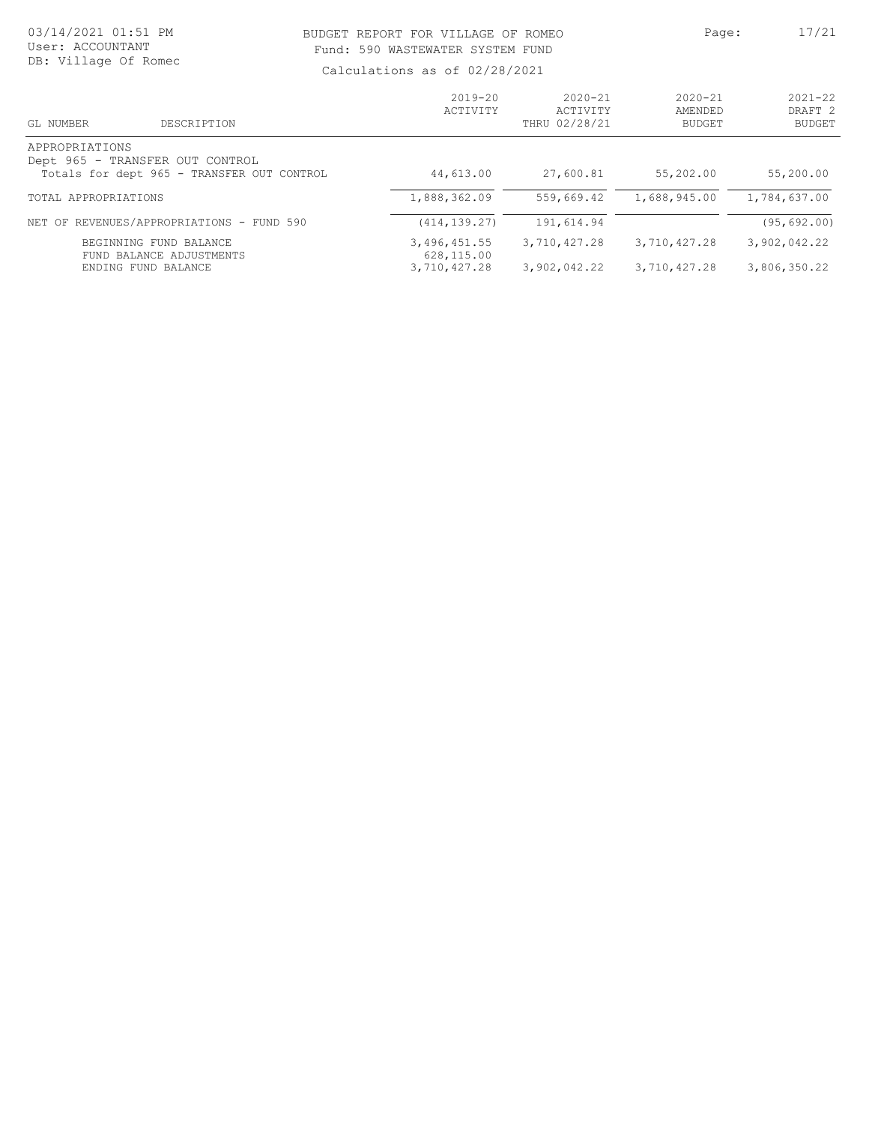### BUDGET REPORT FOR VILLAGE OF ROMEO Page: 17/21 Fund: 590 WASTEWATER SYSTEM FUND

| GL NUMBER<br>DESCRIPTION                                                                        | $2019 - 20$<br>ACTIVITY                    | $2020 - 21$<br>ACTIVITY<br>THRU 02/28/21 | $2020 - 21$<br>AMENDED<br><b>BUDGET</b> | $2021 - 22$<br>DRAFT <sub>2</sub><br><b>BUDGET</b> |
|-------------------------------------------------------------------------------------------------|--------------------------------------------|------------------------------------------|-----------------------------------------|----------------------------------------------------|
| APPROPRIATIONS<br>Dept 965 - TRANSFER OUT CONTROL<br>Totals for dept 965 - TRANSFER OUT CONTROL | 44,613.00                                  | 27,600.81                                | 55,202.00                               | 55,200.00                                          |
| TOTAL APPROPRIATIONS                                                                            | 1,888,362.09                               | 559,669.42                               | 1,688,945.00                            | 1,784,637.00                                       |
| NET OF REVENUES/APPROPRIATIONS - FUND 590                                                       | (414, 139, 27)                             | 191,614.94                               |                                         | (95, 692.00)                                       |
| BEGINNING FUND BALANCE<br>FUND BALANCE ADJUSTMENTS<br>ENDING FUND BALANCE                       | 3,496,451.55<br>628,115.00<br>3,710,427.28 | 3,710,427.28<br>3,902,042.22             | 3,710,427.28<br>3,710,427.28            | 3,902,042.22<br>3,806,350.22                       |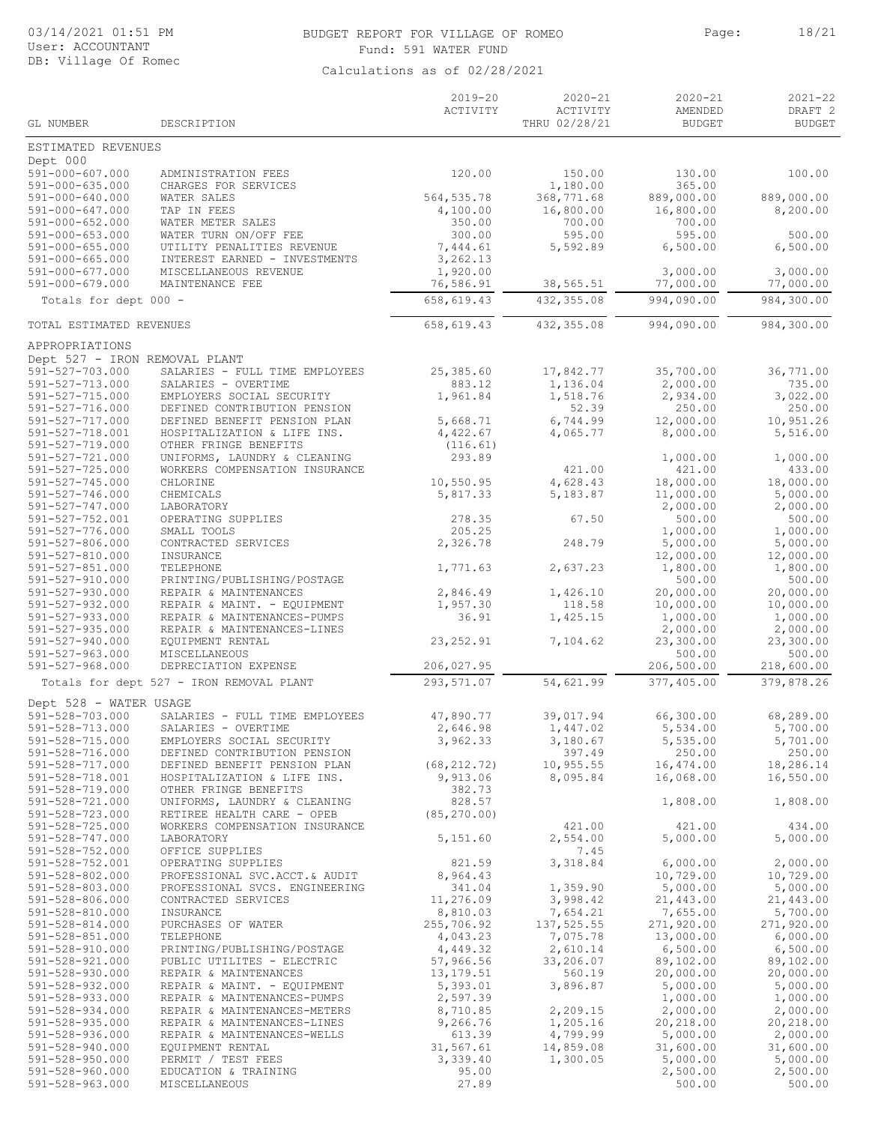#### 03/14/2021 01:51 PM BUDGET REPORT FOR VILLAGE OF ROMEO Page: 18/21 Fund: 591 WATER FUND

|                                                 |                                                                 | $2019 - 20$              | $2020 - 21$               | $2020 - 21$              | $2021 - 22$                         |
|-------------------------------------------------|-----------------------------------------------------------------|--------------------------|---------------------------|--------------------------|-------------------------------------|
| GL NUMBER                                       | DESCRIPTION                                                     | ACTIVITY                 | ACTIVITY<br>THRU 02/28/21 | AMENDED<br><b>BUDGET</b> | DRAFT <sub>2</sub><br><b>BUDGET</b> |
| ESTIMATED REVENUES                              |                                                                 |                          |                           |                          |                                     |
| Dept 000                                        |                                                                 | 120.00                   |                           | 130.00                   | 100.00                              |
| 591-000-607.000<br>591-000-635.000              | ADMINISTRATION FEES<br>CHARGES FOR SERVICES                     |                          | 150.00<br>1,180.00        | 365.00                   |                                     |
| 591-000-640.000                                 | WATER SALES                                                     | 564, 535.78              | 368,771.68                | 889,000.00               | 889,000.00                          |
| 591-000-647.000                                 | TAP IN FEES                                                     | 4,100.00                 | 16,800.00                 | 16,800.00                | 8,200.00                            |
| $591 - 000 - 652.000$<br>$591 - 000 - 653.000$  | WATER METER SALES<br>WATER TURN ON/OFF FEE                      | 350.00<br>300.00         | 700.00<br>595.00          | 700.00<br>595.00         | 500.00                              |
| $591 - 000 - 655.000$                           | UTILITY PENALITIES REVENUE                                      | 7,444.61                 | 5,592.89                  | 6,500.00                 | 6,500.00                            |
| $591 - 000 - 665.000$                           | INTEREST EARNED - INVESTMENTS                                   | 3,262.13                 |                           |                          |                                     |
| 591-000-677.000<br>$591 - 000 - 679.000$        | MISCELLANEOUS REVENUE<br>MAINTENANCE FEE                        | 1,920.00<br>76,586.91    | 38,565.51                 | 3,000.00<br>77,000.00    | 3,000.00<br>77,000.00               |
| Totals for dept 000 -                           |                                                                 | 658,619.43               | 432, 355.08               | 994,090.00               | 984,300.00                          |
|                                                 |                                                                 |                          |                           |                          |                                     |
| TOTAL ESTIMATED REVENUES                        |                                                                 | 658, 619.43              | 432, 355.08               | 994,090.00               | 984,300.00                          |
| APPROPRIATIONS<br>Dept 527 - IRON REMOVAL PLANT |                                                                 |                          |                           |                          |                                     |
| 591-527-703.000                                 | SALARIES - FULL TIME EMPLOYEES                                  | 25,385.60                | 17,842.77                 | 35,700.00                | 36,771.00                           |
| 591-527-713.000                                 | SALARIES - OVERTIME                                             | 883.12                   | 1,136.04                  | 2,000.00                 | 735.00                              |
| 591-527-715.000                                 | EMPLOYERS SOCIAL SECURITY<br>DEFINED CONTRIBUTION PENSION       | 1,961.84                 | 1,518.76                  | 2,934.00                 | 3,022.00                            |
| 591-527-716.000<br>591-527-717.000              | DEFINED BENEFIT PENSION PLAN                                    | 5,668.71                 | 52.39<br>6,744.99         | 250.00<br>12,000.00      | 250.00<br>10,951.26                 |
| 591-527-718.001                                 | HOSPITALIZATION & LIFE INS.                                     | 4,422.67                 | 4,065.77                  | 8,000.00                 | 5,516.00                            |
| 591-527-719.000                                 | OTHER FRINGE BENEFITS                                           | (116.61)                 |                           |                          |                                     |
| 591-527-721.000<br>591-527-725.000              | UNIFORMS, LAUNDRY & CLEANING<br>WORKERS COMPENSATION INSURANCE  | 293.89                   | 421.00                    | 1,000.00<br>421.00       | 1,000.00<br>433.00                  |
| 591-527-745.000                                 | CHLORINE                                                        | 10,550.95                | 4,628.43                  | 18,000.00                | 18,000.00                           |
| 591-527-746.000                                 | CHEMICALS                                                       | 5,817.33                 | 5,183.87                  | 11,000.00                | 5,000.00                            |
| 591-527-747.000                                 | LABORATORY                                                      |                          |                           | 2,000.00                 | 2,000.00                            |
| 591-527-752.001<br>591-527-776.000              | OPERATING SUPPLIES<br>SMALL TOOLS                               | 278.35<br>205.25         | 67.50                     | 500.00<br>1,000.00       | 500.00<br>1,000.00                  |
| 591-527-806.000                                 | CONTRACTED SERVICES                                             | 2,326.78                 | 248.79                    | 5,000.00                 | 5,000.00                            |
| 591-527-810.000                                 | INSURANCE                                                       |                          |                           | 12,000.00                | 12,000.00                           |
| $591 - 527 - 851.000$<br>591-527-910.000        | TELEPHONE<br>PRINTING/PUBLISHING/POSTAGE                        | 1,771.63                 | 2,637.23                  | 1,800.00<br>500.00       | 1,800.00<br>500.00                  |
| $591 - 527 - 930.000$                           | REPAIR & MAINTENANCES                                           | 2,846.49                 | 1,426.10                  | 20,000.00                | 20,000.00                           |
| 591-527-932.000                                 | REPAIR & MAINT. - EQUIPMENT                                     | 1,957.30                 | 118.58                    | 10,000.00                | 10,000.00                           |
| 591-527-933.000<br>$591 - 527 - 935.000$        | REPAIR & MAINTENANCES-PUMPS<br>REPAIR & MAINTENANCES-LINES      | 36.91                    | 1,425.15                  | 1,000.00<br>2,000.00     | 1,000.00<br>2,000.00                |
| $591 - 527 - 940.000$                           | EQUIPMENT RENTAL                                                | 23, 252.91               | 7,104.62                  | 23,300.00                | 23,300.00                           |
| $591 - 527 - 963.000$                           | MISCELLANEOUS                                                   |                          |                           | 500.00                   | 500.00                              |
| $591 - 527 - 968.000$                           | DEPRECIATION EXPENSE                                            | 206,027.95               |                           | 206,500.00               | 218,600.00                          |
|                                                 | Totals for dept 527 - IRON REMOVAL PLANT                        | 293,571.07               | 54,621.99                 | 377,405.00               | 379,878.26                          |
| Dept 528 - WATER USAGE<br>591-528-703.000       | SALARIES - FULL TIME EMPLOYEES                                  | 47,890.77                | 39,017.94                 | 66,300.00                | 68,289.00                           |
| 591-528-713.000                                 | SALARIES - OVERTIME                                             | 2,646.98                 | 1,447.02                  | 5,534.00                 | 5,700.00                            |
| 591-528-715.000                                 | EMPLOYERS SOCIAL SECURITY                                       | 3,962.33                 | 3,180.67                  | 5,535.00                 | 5,701.00                            |
| 591-528-716.000                                 | DEFINED CONTRIBUTION PENSION                                    |                          | 397.49                    | 250.00                   | 250.00                              |
| 591-528-717.000<br>591-528-718.001              | DEFINED BENEFIT PENSION PLAN<br>HOSPITALIZATION & LIFE INS.     | (68, 212.72)<br>9,913.06 | 10, 955.55<br>8,095.84    | 16,474.00<br>16,068.00   | 18,286.14<br>16,550.00              |
| 591-528-719.000                                 | OTHER FRINGE BENEFITS                                           | 382.73                   |                           |                          |                                     |
| 591-528-721.000                                 | UNIFORMS, LAUNDRY & CLEANING                                    | 828.57                   |                           | 1,808.00                 | 1,808.00                            |
| 591-528-723.000<br>591-528-725.000              | RETIREE HEALTH CARE - OPEB<br>WORKERS COMPENSATION INSURANCE    | (85, 270, 00)            | 421.00                    | 421.00                   | 434.00                              |
| 591-528-747.000                                 | LABORATORY                                                      | 5,151.60                 | 2,554.00                  | 5,000.00                 | 5,000.00                            |
| 591-528-752.000                                 | OFFICE SUPPLIES                                                 |                          | 7.45                      |                          |                                     |
| $591 - 528 - 752.001$                           | OPERATING SUPPLIES                                              | 821.59                   | 3,318.84                  | 6,000.00                 | 2,000.00                            |
| 591-528-802.000<br>591-528-803.000              | PROFESSIONAL SVC.ACCT.& AUDIT<br>PROFESSIONAL SVCS. ENGINEERING | 8,964.43<br>341.04       | 1,359.90                  | 10,729.00<br>5,000.00    | 10,729.00<br>5,000.00               |
| 591-528-806.000                                 | CONTRACTED SERVICES                                             | 11,276.09                | 3,998.42                  | 21,443.00                | 21,443.00                           |
| 591-528-810.000                                 | INSURANCE                                                       | 8,810.03                 | 7,654.21                  | 7,655.00                 | 5,700.00                            |
| $591 - 528 - 814.000$<br>$591 - 528 - 851.000$  | PURCHASES OF WATER<br>TELEPHONE                                 | 255,706.92<br>4,043.23   | 137,525.55<br>7,075.78    | 271,920.00<br>13,000.00  | 271,920.00<br>6,000.00              |
| 591-528-910.000                                 | PRINTING/PUBLISHING/POSTAGE                                     | 4,449.32                 | 2,610.14                  | 6,500.00                 | 6,500.00                            |
| 591-528-921.000                                 | PUBLIC UTILITES - ELECTRIC                                      | 57,966.56                | 33,206.07                 | 89,102.00                | 89,102.00                           |
| 591-528-930.000                                 | REPAIR & MAINTENANCES                                           | 13, 179.51               | 560.19                    | 20,000.00                | 20,000.00                           |
| 591-528-932.000<br>591-528-933.000              | REPAIR & MAINT. - EQUIPMENT<br>REPAIR & MAINTENANCES-PUMPS      | 5,393.01<br>2,597.39     | 3,896.87                  | 5,000.00<br>1,000.00     | 5,000.00<br>1,000.00                |
| $591 - 528 - 934.000$                           | REPAIR & MAINTENANCES-METERS                                    | 8,710.85                 | 2,209.15                  | 2,000.00                 | 2,000.00                            |
| $591 - 528 - 935.000$                           | REPAIR & MAINTENANCES-LINES                                     | 9,266.76                 | 1,205.16                  | 20,218.00                | 20,218.00                           |
| 591-528-936.000<br>$591 - 528 - 940.000$        | REPAIR & MAINTENANCES-WELLS<br>EQUIPMENT RENTAL                 | 613.39<br>31,567.61      | 4,799.99<br>14,859.08     | 5,000.00<br>31,600.00    | 2,000.00<br>31,600.00               |
| $591 - 528 - 950.000$                           | PERMIT / TEST FEES                                              | 3,339.40                 | 1,300.05                  | 5,000.00                 | 5,000.00                            |
| $591 - 528 - 960.000$                           | EDUCATION & TRAINING                                            | 95.00                    |                           | 2,500.00                 | 2,500.00                            |
| 591-528-963.000                                 | MISCELLANEOUS                                                   | 27.89                    |                           | 500.00                   | 500.00                              |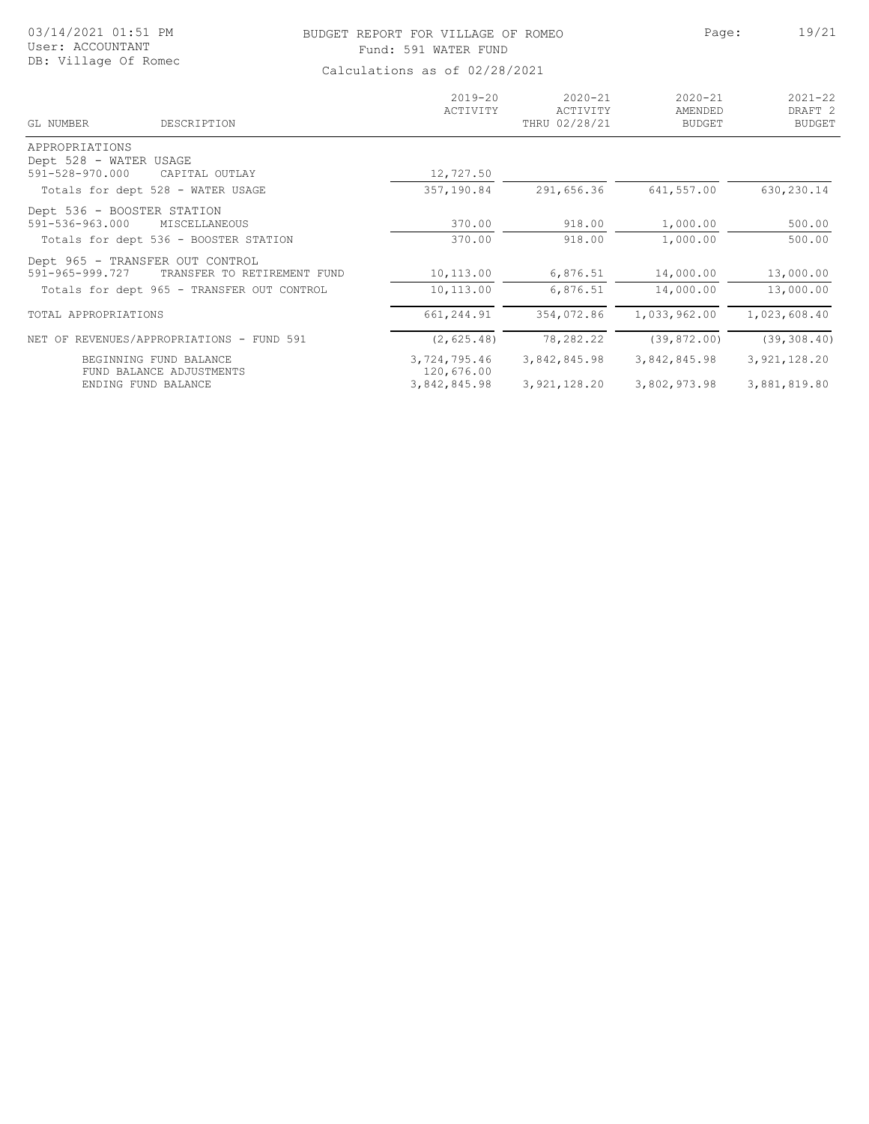|  | 03/14/2021 01:51 PM  |  |  |
|--|----------------------|--|--|
|  | User: ACCOUNTANT     |  |  |
|  | DB: Village Of Romec |  |  |

# BUDGET REPORT FOR VILLAGE OF ROMEO Page: 19/21 Fund: 591 WATER FUND

| GL NUMBER<br>DESCRIPTION                                             | $2019 - 20$<br>ACTIVITY    | $2020 - 21$<br>ACTIVITY<br>THRU 02/28/21 | $2020 - 21$<br>AMENDED<br><b>BUDGET</b> | $2021 - 22$<br>DRAFT <sub>2</sub><br><b>BUDGET</b> |
|----------------------------------------------------------------------|----------------------------|------------------------------------------|-----------------------------------------|----------------------------------------------------|
| APPROPRIATIONS                                                       |                            |                                          |                                         |                                                    |
| Dept 528 - WATER USAGE                                               |                            |                                          |                                         |                                                    |
| $591 - 528 - 970.000$<br>CAPITAL OUTLAY                              | 12,727.50                  |                                          |                                         |                                                    |
| Totals for dept 528 - WATER USAGE                                    | 357,190.84                 | 291,656.36                               | 641,557.00                              | 630,230.14                                         |
| Dept 536 - BOOSTER STATION<br>$591 - 536 - 963.000$<br>MISCELLANEOUS | 370.00                     | 918.00                                   | 1,000.00                                | 500.00                                             |
| Totals for dept 536 - BOOSTER STATION                                | 370.00                     | 918.00                                   | 1,000.00                                | 500.00                                             |
| Dept 965 - TRANSFER OUT CONTROL                                      |                            |                                          |                                         |                                                    |
| 591-965-999.727<br>TRANSFER TO RETIREMENT FUND                       | 10,113.00                  | 6,876.51                                 | 14,000.00                               | 13,000.00                                          |
| Totals for dept 965 - TRANSFER OUT CONTROL                           | 10,113.00                  | 6,876.51                                 | 14,000.00                               | 13,000.00                                          |
| TOTAL APPROPRIATIONS                                                 | 661,244.91                 | 354,072.86                               | 1,033,962.00                            | 1,023,608.40                                       |
| NET OF REVENUES/APPROPRIATIONS - FUND 591                            | (2, 625.48)                | 78,282.22                                | (39, 872, 00)                           | (39, 308.40)                                       |
| BEGINNING FUND BALANCE<br>FUND BALANCE ADJUSTMENTS                   | 3,724,795.46<br>120,676.00 | 3,842,845.98                             | 3,842,845.98                            | 3,921,128.20                                       |
| ENDING FUND BALANCE                                                  | 3,842,845.98               | 3,921,128.20                             | 3,802,973.98                            | 3,881,819.80                                       |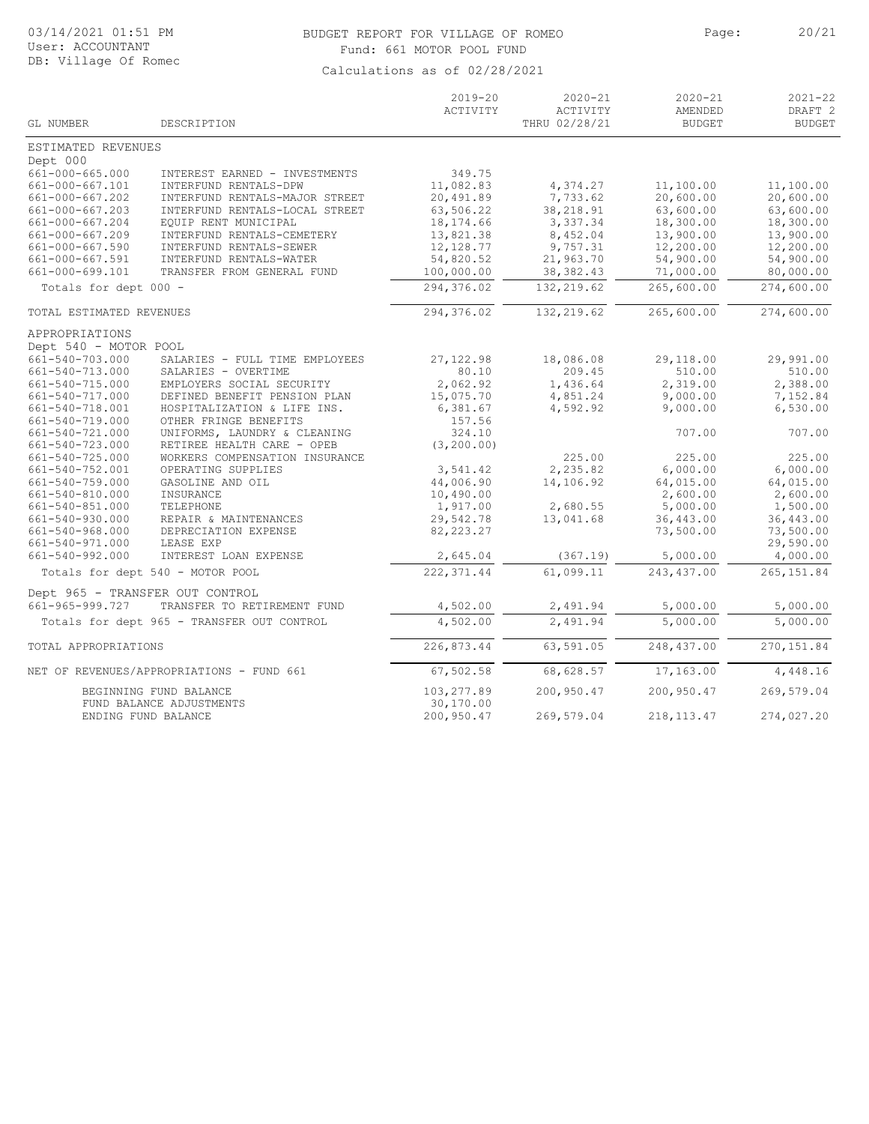# BUDGET REPORT FOR VILLAGE OF ROMEO Page: 20/21 Fund: 661 MOTOR POOL FUND

| GL NUMBER                          | DESCRIPTION                                            | $2019 - 20$<br>ACTIVITY | $2020 - 21$<br>ACTIVITY<br>THRU 02/28/21 | $2020 - 21$<br>AMENDED<br><b>BUDGET</b> | $2021 - 22$<br>DRAFT <sub>2</sub><br><b>BUDGET</b> |
|------------------------------------|--------------------------------------------------------|-------------------------|------------------------------------------|-----------------------------------------|----------------------------------------------------|
|                                    |                                                        |                         |                                          |                                         |                                                    |
| ESTIMATED REVENUES                 |                                                        |                         |                                          |                                         |                                                    |
| Dept 000<br>661-000-665.000        |                                                        | 349.75                  |                                          |                                         |                                                    |
| 661-000-667.101                    | INTEREST EARNED - INVESTMENTS<br>INTERFUND RENTALS-DPW | 11,082.83               |                                          |                                         | 11,100.00                                          |
| 661-000-667.202                    | INTERFUND RENTALS-MAJOR STREET                         | 20,491.89               | 4,374.27<br>7,733.62                     | 11,100.00<br>20,600.00                  | 20,600.00                                          |
| 661-000-667.203                    | INTERFUND RENTALS-LOCAL STREET                         | 63,506.22               | 38,218.91                                | 63,600.00                               | 63,600.00                                          |
| 661-000-667.204                    | EQUIP RENT MUNICIPAL                                   | 18,174.66               | 3,337.34                                 | 18,300.00                               | 18,300.00                                          |
| 661-000-667.209                    | INTERFUND RENTALS-CEMETERY                             | 13,821.38               | 8,452.04                                 | 13,900.00                               | 13,900.00                                          |
| 661-000-667.590                    | INTERFUND RENTALS-SEWER                                | 12, 128.77              | 9,757.31                                 | 12,200.00                               | 12,200.00                                          |
| 661-000-667.591                    | INTERFUND RENTALS-WATER                                | 54,820.52               | 21,963.70                                | 54,900.00                               | 54,900.00                                          |
| 661-000-699.101                    | TRANSFER FROM GENERAL FUND                             | 100,000.00              | 38, 382.43                               | 71,000.00                               | 80,000.00                                          |
| Totals for dept 000 -              |                                                        | 294,376.02              | 132, 219.62                              | 265,600.00                              | 274,600.00                                         |
| TOTAL ESTIMATED REVENUES           |                                                        | 294,376.02              | 132, 219.62                              | 265,600.00                              | 274,600.00                                         |
|                                    |                                                        |                         |                                          |                                         |                                                    |
| APPROPRIATIONS                     |                                                        |                         |                                          |                                         |                                                    |
| Dept 540 - MOTOR POOL              |                                                        |                         |                                          |                                         |                                                    |
| 661-540-703.000                    | SALARIES - FULL TIME EMPLOYEES                         | 27, 122.98              | 18,086.08                                | 29,118.00                               | 29,991.00                                          |
| 661-540-713.000                    | SALARIES - OVERTIME                                    | 80.10                   | 209.45                                   | 510.00                                  | 510.00                                             |
| 661-540-715.000                    | EMPLOYERS SOCIAL SECURITY                              | 2,062.92                | 1,436.64                                 | 2,319.00                                | 2,388.00                                           |
| 661-540-717.000                    | DEFINED BENEFIT PENSION PLAN                           | 15,075.70               | 4,851.24                                 | 9,000.00                                | 7,152.84                                           |
| 661-540-718.001                    | HOSPITALIZATION & LIFE INS.                            | 6,381.67                | 4,592.92                                 | 9,000.00                                | 6,530.00                                           |
| 661-540-719.000                    | OTHER FRINGE BENEFITS                                  | 157.56                  |                                          |                                         |                                                    |
| 661-540-721.000                    | UNIFORMS, LAUNDRY & CLEANING                           | 324.10                  |                                          | 707.00                                  | 707.00                                             |
| 661-540-723.000                    | RETIREE HEALTH CARE - OPEB                             | (3, 200.00)             | 225.00                                   |                                         |                                                    |
| 661-540-725.000<br>661-540-752.001 | WORKERS COMPENSATION INSURANCE<br>OPERATING SUPPLIES   |                         | 2,235.82                                 | 225.00                                  | 225.00<br>6,000.00                                 |
| 661-540-759.000                    | GASOLINE AND OIL                                       | 3,541.42<br>44,006.90   | 14,106.92                                | 6,000.00<br>64,015.00                   | 64,015.00                                          |
| 661-540-810.000                    | INSURANCE                                              | 10,490.00               |                                          | 2,600.00                                | 2,600.00                                           |
| 661-540-851.000                    | TELEPHONE                                              | 1,917.00                | 2,680.55                                 | 5,000.00                                | 1,500.00                                           |
| 661-540-930.000                    | REPAIR & MAINTENANCES                                  | 29,542.78               | 13,041.68                                | 36,443.00                               | 36,443.00                                          |
| 661-540-968.000                    | DEPRECIATION EXPENSE                                   | 82, 223.27              |                                          | 73,500.00                               | 73,500.00                                          |
| 661-540-971.000                    | LEASE EXP                                              |                         |                                          |                                         | 29,590.00                                          |
| 661-540-992.000                    | INTEREST LOAN EXPENSE                                  | 2,645.04                | (367.19)                                 | 5,000.00                                | 4,000.00                                           |
|                                    | Totals for dept 540 - MOTOR POOL                       | 222, 371.44             | 61,099.11                                | 243,437.00                              | 265, 151.84                                        |
| Dept 965 - TRANSFER OUT CONTROL    |                                                        |                         |                                          |                                         |                                                    |
| 661-965-999.727                    | TRANSFER TO RETIREMENT FUND                            | 4,502.00                | 2,491.94                                 | 5,000.00                                | 5,000.00                                           |
|                                    | Totals for dept 965 - TRANSFER OUT CONTROL             | 4,502.00                | 2,491.94                                 | 5,000.00                                | 5,000.00                                           |
|                                    |                                                        |                         |                                          | 248, 437.00                             |                                                    |
| TOTAL APPROPRIATIONS               |                                                        | 226,873.44              | 63,591.05                                |                                         | 270, 151.84                                        |
|                                    | NET OF REVENUES/APPROPRIATIONS - FUND 661              | 67,502.58               | 68,628.57                                | 17,163.00                               | 4,448.16                                           |
|                                    | BEGINNING FUND BALANCE                                 | 103,277.89              | 200,950.47                               | 200,950.47                              | 269,579.04                                         |
|                                    | FUND BALANCE ADJUSTMENTS                               | 30,170.00               |                                          |                                         |                                                    |
|                                    | ENDING FUND BALANCE                                    | 200,950.47              | 269,579.04                               | 218, 113. 47                            | 274,027.20                                         |